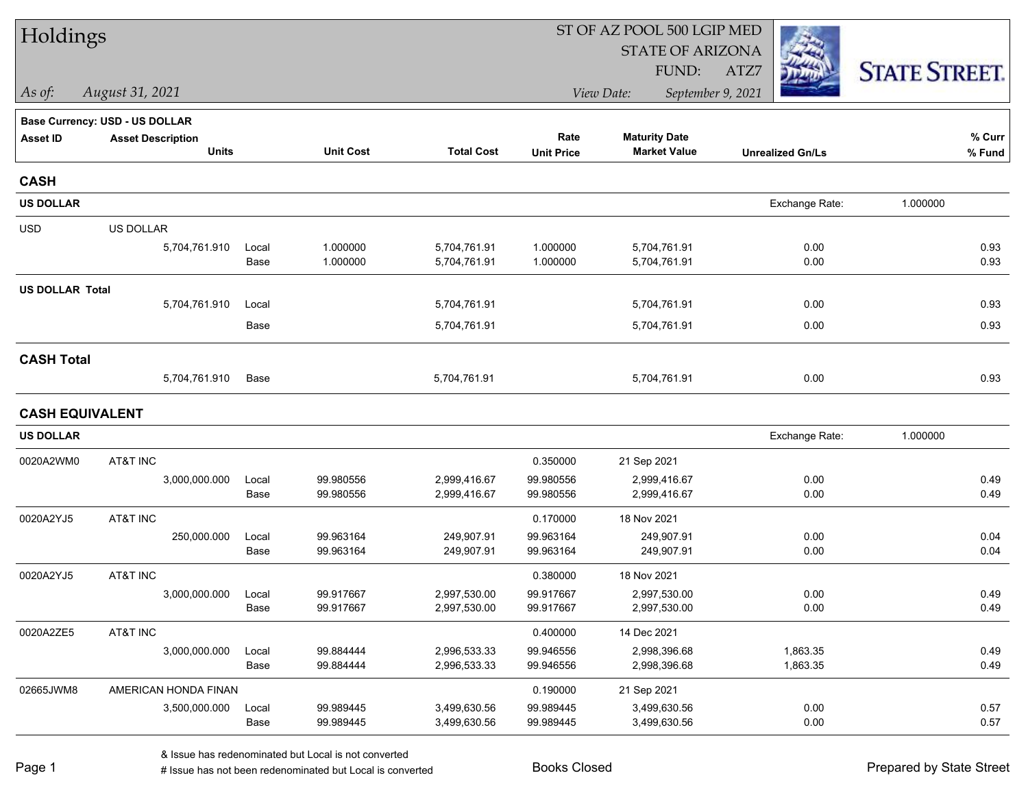| <b>STATE OF ARIZONA</b><br><b>STATE STREET.</b><br>FUND:<br>ATZ7<br>View Date:<br>September 9, 2021<br>As of:<br>August 31, 2021<br><b>Base Currency: USD - US DOLLAR</b><br>% Curr<br>Rate<br><b>Maturity Date</b><br><b>Asset ID</b><br><b>Asset Description</b><br><b>Units</b><br><b>Unit Cost</b><br><b>Total Cost</b><br><b>Market Value</b><br><b>Unit Price</b><br>% Fund<br><b>Unrealized Gn/Ls</b><br><b>CASH</b><br><b>US DOLLAR</b><br>Exchange Rate:<br>1.000000<br><b>USD</b><br>US DOLLAR<br>1.000000<br>5,704,761.91<br>1.000000<br>5,704,761.91<br>0.93<br>5,704,761.910<br>0.00<br>Local<br>1.000000<br>1.000000<br>0.93<br>Base<br>5,704,761.91<br>5,704,761.91<br>0.00<br><b>US DOLLAR Total</b><br>5,704,761.910<br>5,704,761.91<br>5,704,761.91<br>0.00<br>0.93<br>Local<br>0.93<br>Base<br>5,704,761.91<br>5,704,761.91<br>0.00<br><b>CASH Total</b><br>5,704,761.910<br>Base<br>5,704,761.91<br>5,704,761.91<br>0.00<br>0.93<br><b>CASH EQUIVALENT</b><br><b>US DOLLAR</b><br>Exchange Rate:<br>1.000000<br>AT&T INC<br>0020A2WM0<br>0.350000<br>21 Sep 2021<br>99.980556<br>99.980556<br>3,000,000.000<br>2,999,416.67<br>2,999,416.67<br>0.00<br>0.49<br>Local<br>99.980556<br>99.980556<br>2,999,416.67<br>0.00<br>0.49<br>Base<br>2,999,416.67<br>0020A2YJ5<br>AT&T INC<br>0.170000<br>18 Nov 2021<br>250,000.000<br>99.963164<br>249,907.91<br>99.963164<br>249,907.91<br>0.00<br>0.04<br>Local<br>99.963164<br>249,907.91<br>99.963164<br>249,907.91<br>0.00<br>0.04<br>Base<br>AT&T INC<br>0020A2YJ5<br>0.380000<br>18 Nov 2021<br>3,000,000.000<br>99.917667<br>2,997,530.00<br>2,997,530.00<br>0.00<br>0.49<br>99.917667<br>Local<br>0.49<br>Base<br>99.917667<br>2,997,530.00<br>99.917667<br>2,997,530.00<br>0.00<br>0020A2ZE5<br>AT&T INC<br>0.400000<br>14 Dec 2021<br>99.884444<br>1,863.35<br>0.49<br>3,000,000.000<br>Local<br>2,996,533.33<br>99.946556<br>2,998,396.68<br>99.884444<br>2,996,533.33<br>99.946556<br>1,863.35<br>0.49<br>Base<br>2,998,396.68<br>02665JWM8<br>AMERICAN HONDA FINAN<br>0.190000<br>21 Sep 2021<br>3,500,000.000<br>99.989445<br>3,499,630.56<br>99.989445<br>0.00<br>0.57<br>3,499,630.56<br>Local<br>0.57<br>Base<br>99.989445<br>3,499,630.56<br>99.989445<br>3,499,630.56<br>0.00 | Holdings |  |  | ST OF AZ POOL 500 LGIP MED |  |  |  |  |  |
|--------------------------------------------------------------------------------------------------------------------------------------------------------------------------------------------------------------------------------------------------------------------------------------------------------------------------------------------------------------------------------------------------------------------------------------------------------------------------------------------------------------------------------------------------------------------------------------------------------------------------------------------------------------------------------------------------------------------------------------------------------------------------------------------------------------------------------------------------------------------------------------------------------------------------------------------------------------------------------------------------------------------------------------------------------------------------------------------------------------------------------------------------------------------------------------------------------------------------------------------------------------------------------------------------------------------------------------------------------------------------------------------------------------------------------------------------------------------------------------------------------------------------------------------------------------------------------------------------------------------------------------------------------------------------------------------------------------------------------------------------------------------------------------------------------------------------------------------------------------------------------------------------------------------------------------------------------------------------------------------------------------------------------------------------------------------------------------------------------------------------------------------------------------------------------------------------------------------------------------------------------------|----------|--|--|----------------------------|--|--|--|--|--|
|                                                                                                                                                                                                                                                                                                                                                                                                                                                                                                                                                                                                                                                                                                                                                                                                                                                                                                                                                                                                                                                                                                                                                                                                                                                                                                                                                                                                                                                                                                                                                                                                                                                                                                                                                                                                                                                                                                                                                                                                                                                                                                                                                                                                                                                              |          |  |  |                            |  |  |  |  |  |
|                                                                                                                                                                                                                                                                                                                                                                                                                                                                                                                                                                                                                                                                                                                                                                                                                                                                                                                                                                                                                                                                                                                                                                                                                                                                                                                                                                                                                                                                                                                                                                                                                                                                                                                                                                                                                                                                                                                                                                                                                                                                                                                                                                                                                                                              |          |  |  |                            |  |  |  |  |  |
|                                                                                                                                                                                                                                                                                                                                                                                                                                                                                                                                                                                                                                                                                                                                                                                                                                                                                                                                                                                                                                                                                                                                                                                                                                                                                                                                                                                                                                                                                                                                                                                                                                                                                                                                                                                                                                                                                                                                                                                                                                                                                                                                                                                                                                                              |          |  |  |                            |  |  |  |  |  |
|                                                                                                                                                                                                                                                                                                                                                                                                                                                                                                                                                                                                                                                                                                                                                                                                                                                                                                                                                                                                                                                                                                                                                                                                                                                                                                                                                                                                                                                                                                                                                                                                                                                                                                                                                                                                                                                                                                                                                                                                                                                                                                                                                                                                                                                              |          |  |  |                            |  |  |  |  |  |
|                                                                                                                                                                                                                                                                                                                                                                                                                                                                                                                                                                                                                                                                                                                                                                                                                                                                                                                                                                                                                                                                                                                                                                                                                                                                                                                                                                                                                                                                                                                                                                                                                                                                                                                                                                                                                                                                                                                                                                                                                                                                                                                                                                                                                                                              |          |  |  |                            |  |  |  |  |  |
|                                                                                                                                                                                                                                                                                                                                                                                                                                                                                                                                                                                                                                                                                                                                                                                                                                                                                                                                                                                                                                                                                                                                                                                                                                                                                                                                                                                                                                                                                                                                                                                                                                                                                                                                                                                                                                                                                                                                                                                                                                                                                                                                                                                                                                                              |          |  |  |                            |  |  |  |  |  |
|                                                                                                                                                                                                                                                                                                                                                                                                                                                                                                                                                                                                                                                                                                                                                                                                                                                                                                                                                                                                                                                                                                                                                                                                                                                                                                                                                                                                                                                                                                                                                                                                                                                                                                                                                                                                                                                                                                                                                                                                                                                                                                                                                                                                                                                              |          |  |  |                            |  |  |  |  |  |
|                                                                                                                                                                                                                                                                                                                                                                                                                                                                                                                                                                                                                                                                                                                                                                                                                                                                                                                                                                                                                                                                                                                                                                                                                                                                                                                                                                                                                                                                                                                                                                                                                                                                                                                                                                                                                                                                                                                                                                                                                                                                                                                                                                                                                                                              |          |  |  |                            |  |  |  |  |  |
|                                                                                                                                                                                                                                                                                                                                                                                                                                                                                                                                                                                                                                                                                                                                                                                                                                                                                                                                                                                                                                                                                                                                                                                                                                                                                                                                                                                                                                                                                                                                                                                                                                                                                                                                                                                                                                                                                                                                                                                                                                                                                                                                                                                                                                                              |          |  |  |                            |  |  |  |  |  |
|                                                                                                                                                                                                                                                                                                                                                                                                                                                                                                                                                                                                                                                                                                                                                                                                                                                                                                                                                                                                                                                                                                                                                                                                                                                                                                                                                                                                                                                                                                                                                                                                                                                                                                                                                                                                                                                                                                                                                                                                                                                                                                                                                                                                                                                              |          |  |  |                            |  |  |  |  |  |
|                                                                                                                                                                                                                                                                                                                                                                                                                                                                                                                                                                                                                                                                                                                                                                                                                                                                                                                                                                                                                                                                                                                                                                                                                                                                                                                                                                                                                                                                                                                                                                                                                                                                                                                                                                                                                                                                                                                                                                                                                                                                                                                                                                                                                                                              |          |  |  |                            |  |  |  |  |  |
|                                                                                                                                                                                                                                                                                                                                                                                                                                                                                                                                                                                                                                                                                                                                                                                                                                                                                                                                                                                                                                                                                                                                                                                                                                                                                                                                                                                                                                                                                                                                                                                                                                                                                                                                                                                                                                                                                                                                                                                                                                                                                                                                                                                                                                                              |          |  |  |                            |  |  |  |  |  |
|                                                                                                                                                                                                                                                                                                                                                                                                                                                                                                                                                                                                                                                                                                                                                                                                                                                                                                                                                                                                                                                                                                                                                                                                                                                                                                                                                                                                                                                                                                                                                                                                                                                                                                                                                                                                                                                                                                                                                                                                                                                                                                                                                                                                                                                              |          |  |  |                            |  |  |  |  |  |
|                                                                                                                                                                                                                                                                                                                                                                                                                                                                                                                                                                                                                                                                                                                                                                                                                                                                                                                                                                                                                                                                                                                                                                                                                                                                                                                                                                                                                                                                                                                                                                                                                                                                                                                                                                                                                                                                                                                                                                                                                                                                                                                                                                                                                                                              |          |  |  |                            |  |  |  |  |  |
|                                                                                                                                                                                                                                                                                                                                                                                                                                                                                                                                                                                                                                                                                                                                                                                                                                                                                                                                                                                                                                                                                                                                                                                                                                                                                                                                                                                                                                                                                                                                                                                                                                                                                                                                                                                                                                                                                                                                                                                                                                                                                                                                                                                                                                                              |          |  |  |                            |  |  |  |  |  |
|                                                                                                                                                                                                                                                                                                                                                                                                                                                                                                                                                                                                                                                                                                                                                                                                                                                                                                                                                                                                                                                                                                                                                                                                                                                                                                                                                                                                                                                                                                                                                                                                                                                                                                                                                                                                                                                                                                                                                                                                                                                                                                                                                                                                                                                              |          |  |  |                            |  |  |  |  |  |
|                                                                                                                                                                                                                                                                                                                                                                                                                                                                                                                                                                                                                                                                                                                                                                                                                                                                                                                                                                                                                                                                                                                                                                                                                                                                                                                                                                                                                                                                                                                                                                                                                                                                                                                                                                                                                                                                                                                                                                                                                                                                                                                                                                                                                                                              |          |  |  |                            |  |  |  |  |  |
|                                                                                                                                                                                                                                                                                                                                                                                                                                                                                                                                                                                                                                                                                                                                                                                                                                                                                                                                                                                                                                                                                                                                                                                                                                                                                                                                                                                                                                                                                                                                                                                                                                                                                                                                                                                                                                                                                                                                                                                                                                                                                                                                                                                                                                                              |          |  |  |                            |  |  |  |  |  |
|                                                                                                                                                                                                                                                                                                                                                                                                                                                                                                                                                                                                                                                                                                                                                                                                                                                                                                                                                                                                                                                                                                                                                                                                                                                                                                                                                                                                                                                                                                                                                                                                                                                                                                                                                                                                                                                                                                                                                                                                                                                                                                                                                                                                                                                              |          |  |  |                            |  |  |  |  |  |
|                                                                                                                                                                                                                                                                                                                                                                                                                                                                                                                                                                                                                                                                                                                                                                                                                                                                                                                                                                                                                                                                                                                                                                                                                                                                                                                                                                                                                                                                                                                                                                                                                                                                                                                                                                                                                                                                                                                                                                                                                                                                                                                                                                                                                                                              |          |  |  |                            |  |  |  |  |  |
|                                                                                                                                                                                                                                                                                                                                                                                                                                                                                                                                                                                                                                                                                                                                                                                                                                                                                                                                                                                                                                                                                                                                                                                                                                                                                                                                                                                                                                                                                                                                                                                                                                                                                                                                                                                                                                                                                                                                                                                                                                                                                                                                                                                                                                                              |          |  |  |                            |  |  |  |  |  |
|                                                                                                                                                                                                                                                                                                                                                                                                                                                                                                                                                                                                                                                                                                                                                                                                                                                                                                                                                                                                                                                                                                                                                                                                                                                                                                                                                                                                                                                                                                                                                                                                                                                                                                                                                                                                                                                                                                                                                                                                                                                                                                                                                                                                                                                              |          |  |  |                            |  |  |  |  |  |
|                                                                                                                                                                                                                                                                                                                                                                                                                                                                                                                                                                                                                                                                                                                                                                                                                                                                                                                                                                                                                                                                                                                                                                                                                                                                                                                                                                                                                                                                                                                                                                                                                                                                                                                                                                                                                                                                                                                                                                                                                                                                                                                                                                                                                                                              |          |  |  |                            |  |  |  |  |  |
|                                                                                                                                                                                                                                                                                                                                                                                                                                                                                                                                                                                                                                                                                                                                                                                                                                                                                                                                                                                                                                                                                                                                                                                                                                                                                                                                                                                                                                                                                                                                                                                                                                                                                                                                                                                                                                                                                                                                                                                                                                                                                                                                                                                                                                                              |          |  |  |                            |  |  |  |  |  |
|                                                                                                                                                                                                                                                                                                                                                                                                                                                                                                                                                                                                                                                                                                                                                                                                                                                                                                                                                                                                                                                                                                                                                                                                                                                                                                                                                                                                                                                                                                                                                                                                                                                                                                                                                                                                                                                                                                                                                                                                                                                                                                                                                                                                                                                              |          |  |  |                            |  |  |  |  |  |
|                                                                                                                                                                                                                                                                                                                                                                                                                                                                                                                                                                                                                                                                                                                                                                                                                                                                                                                                                                                                                                                                                                                                                                                                                                                                                                                                                                                                                                                                                                                                                                                                                                                                                                                                                                                                                                                                                                                                                                                                                                                                                                                                                                                                                                                              |          |  |  |                            |  |  |  |  |  |
|                                                                                                                                                                                                                                                                                                                                                                                                                                                                                                                                                                                                                                                                                                                                                                                                                                                                                                                                                                                                                                                                                                                                                                                                                                                                                                                                                                                                                                                                                                                                                                                                                                                                                                                                                                                                                                                                                                                                                                                                                                                                                                                                                                                                                                                              |          |  |  |                            |  |  |  |  |  |
|                                                                                                                                                                                                                                                                                                                                                                                                                                                                                                                                                                                                                                                                                                                                                                                                                                                                                                                                                                                                                                                                                                                                                                                                                                                                                                                                                                                                                                                                                                                                                                                                                                                                                                                                                                                                                                                                                                                                                                                                                                                                                                                                                                                                                                                              |          |  |  |                            |  |  |  |  |  |
|                                                                                                                                                                                                                                                                                                                                                                                                                                                                                                                                                                                                                                                                                                                                                                                                                                                                                                                                                                                                                                                                                                                                                                                                                                                                                                                                                                                                                                                                                                                                                                                                                                                                                                                                                                                                                                                                                                                                                                                                                                                                                                                                                                                                                                                              |          |  |  |                            |  |  |  |  |  |
|                                                                                                                                                                                                                                                                                                                                                                                                                                                                                                                                                                                                                                                                                                                                                                                                                                                                                                                                                                                                                                                                                                                                                                                                                                                                                                                                                                                                                                                                                                                                                                                                                                                                                                                                                                                                                                                                                                                                                                                                                                                                                                                                                                                                                                                              |          |  |  |                            |  |  |  |  |  |
|                                                                                                                                                                                                                                                                                                                                                                                                                                                                                                                                                                                                                                                                                                                                                                                                                                                                                                                                                                                                                                                                                                                                                                                                                                                                                                                                                                                                                                                                                                                                                                                                                                                                                                                                                                                                                                                                                                                                                                                                                                                                                                                                                                                                                                                              |          |  |  |                            |  |  |  |  |  |
|                                                                                                                                                                                                                                                                                                                                                                                                                                                                                                                                                                                                                                                                                                                                                                                                                                                                                                                                                                                                                                                                                                                                                                                                                                                                                                                                                                                                                                                                                                                                                                                                                                                                                                                                                                                                                                                                                                                                                                                                                                                                                                                                                                                                                                                              |          |  |  |                            |  |  |  |  |  |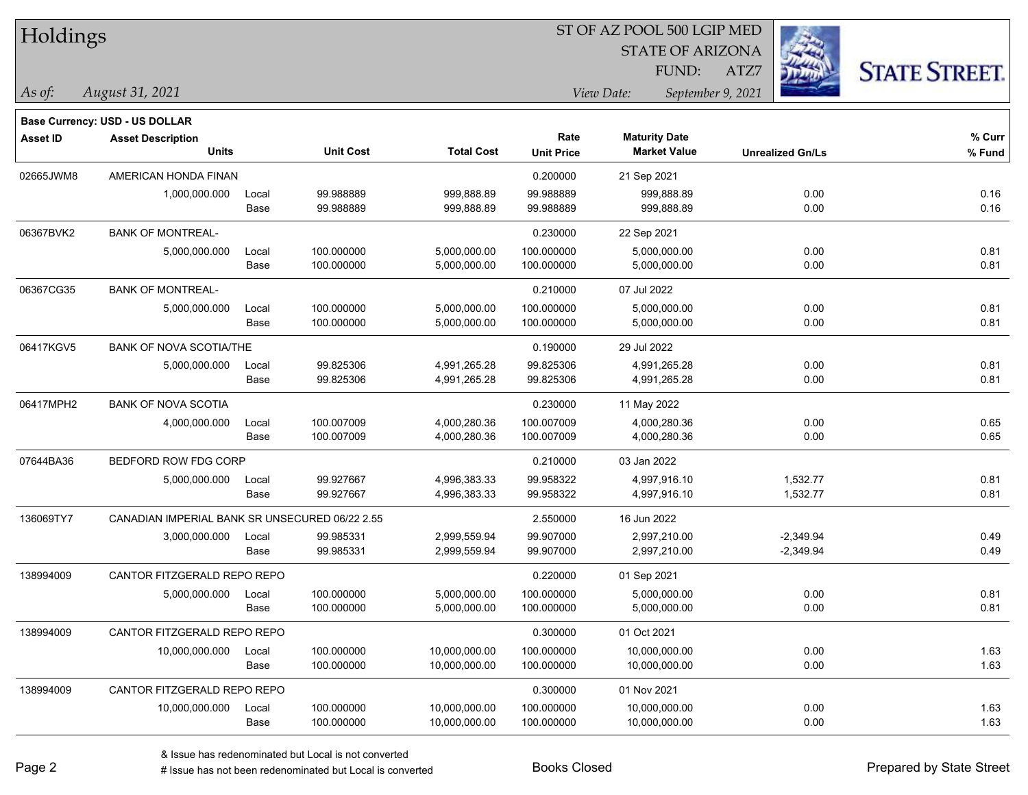| Holdings |
|----------|
|          |

STATE OF ARIZONA FUND:

ATZ7



*As of: View Date: September 9, 2021*

| As of: | August 31, 2021 |
|--------|-----------------|
|        |                 |

|           | Base Currency: USD - US DOLLAR |                                                |                  |                   |                   |                      |                         |        |
|-----------|--------------------------------|------------------------------------------------|------------------|-------------------|-------------------|----------------------|-------------------------|--------|
| Asset ID  | <b>Asset Description</b>       |                                                |                  |                   | Rate              | <b>Maturity Date</b> |                         | % Curr |
|           | Units                          |                                                | <b>Unit Cost</b> | <b>Total Cost</b> | <b>Unit Price</b> | <b>Market Value</b>  | <b>Unrealized Gn/Ls</b> | % Fund |
| 02665JWM8 | AMERICAN HONDA FINAN           |                                                |                  |                   | 0.200000          | 21 Sep 2021          |                         |        |
|           | 1,000,000.000                  | Local                                          | 99.988889        | 999,888.89        | 99.988889         | 999,888.89           | 0.00                    | 0.16   |
|           |                                | Base                                           | 99.988889        | 999,888.89        | 99.988889         | 999,888.89           | 0.00                    | 0.16   |
| 06367BVK2 | <b>BANK OF MONTREAL-</b>       |                                                |                  |                   | 0.230000          | 22 Sep 2021          |                         |        |
|           | 5,000,000.000                  | Local                                          | 100.000000       | 5,000,000.00      | 100.000000        | 5,000,000.00         | 0.00                    | 0.81   |
|           |                                | Base                                           | 100.000000       | 5,000,000.00      | 100.000000        | 5,000,000.00         | 0.00                    | 0.81   |
| 06367CG35 | <b>BANK OF MONTREAL-</b>       |                                                |                  |                   | 0.210000          | 07 Jul 2022          |                         |        |
|           | 5,000,000.000                  | Local                                          | 100.000000       | 5,000,000.00      | 100.000000        | 5,000,000.00         | 0.00                    | 0.81   |
|           |                                | Base                                           | 100.000000       | 5,000,000.00      | 100.000000        | 5,000,000.00         | 0.00                    | 0.81   |
| 06417KGV5 | <b>BANK OF NOVA SCOTIA/THE</b> |                                                |                  |                   | 0.190000          | 29 Jul 2022          |                         |        |
|           | 5,000,000.000                  | Local                                          | 99.825306        | 4,991,265.28      | 99.825306         | 4,991,265.28         | 0.00                    | 0.81   |
|           |                                | Base                                           | 99.825306        | 4,991,265.28      | 99.825306         | 4,991,265.28         | 0.00                    | 0.81   |
| 06417MPH2 | <b>BANK OF NOVA SCOTIA</b>     |                                                |                  |                   | 0.230000          | 11 May 2022          |                         |        |
|           | 4,000,000.000                  | Local                                          | 100.007009       | 4,000,280.36      | 100.007009        | 4,000,280.36         | 0.00                    | 0.65   |
|           |                                | Base                                           | 100.007009       | 4,000,280.36      | 100.007009        | 4,000,280.36         | 0.00                    | 0.65   |
| 07644BA36 | BEDFORD ROW FDG CORP           |                                                |                  |                   | 0.210000          | 03 Jan 2022          |                         |        |
|           | 5,000,000.000                  | Local                                          | 99.927667        | 4,996,383.33      | 99.958322         | 4,997,916.10         | 1,532.77                | 0.81   |
|           |                                | Base                                           | 99.927667        | 4,996,383.33      | 99.958322         | 4,997,916.10         | 1,532.77                | 0.81   |
| 136069TY7 |                                | CANADIAN IMPERIAL BANK SR UNSECURED 06/22 2.55 |                  |                   | 2.550000          | 16 Jun 2022          |                         |        |
|           | 3,000,000.000                  | Local                                          | 99.985331        | 2,999,559.94      | 99.907000         | 2,997,210.00         | $-2,349.94$             | 0.49   |
|           |                                | Base                                           | 99.985331        | 2,999,559.94      | 99.907000         | 2,997,210.00         | $-2,349.94$             | 0.49   |
| 138994009 | CANTOR FITZGERALD REPO REPO    |                                                |                  |                   | 0.220000          | 01 Sep 2021          |                         |        |
|           | 5,000,000.000                  | Local                                          | 100.000000       | 5,000,000.00      | 100.000000        | 5,000,000.00         | 0.00                    | 0.81   |
|           |                                | Base                                           | 100.000000       | 5,000,000.00      | 100.000000        | 5,000,000.00         | 0.00                    | 0.81   |
| 138994009 | CANTOR FITZGERALD REPO REPO    |                                                |                  |                   | 0.300000          | 01 Oct 2021          |                         |        |
|           | 10,000,000.000                 | Local                                          | 100.000000       | 10,000,000.00     | 100.000000        | 10,000,000.00        | 0.00                    | 1.63   |
|           |                                | Base                                           | 100.000000       | 10,000,000.00     | 100.000000        | 10,000,000.00        | 0.00                    | 1.63   |
| 138994009 | CANTOR FITZGERALD REPO REPO    |                                                |                  |                   | 0.300000          | 01 Nov 2021          |                         |        |
|           | 10,000,000.000                 | Local                                          | 100.000000       | 10,000,000.00     | 100.000000        | 10,000,000.00        | 0.00                    | 1.63   |
|           |                                | Base                                           | 100.000000       | 10,000,000.00     | 100.000000        | 10,000,000.00        | 0.00                    | 1.63   |
|           |                                |                                                |                  |                   |                   |                      |                         |        |

# Issue has not been redenominated but Local is converted Books Closed Prepared by State Street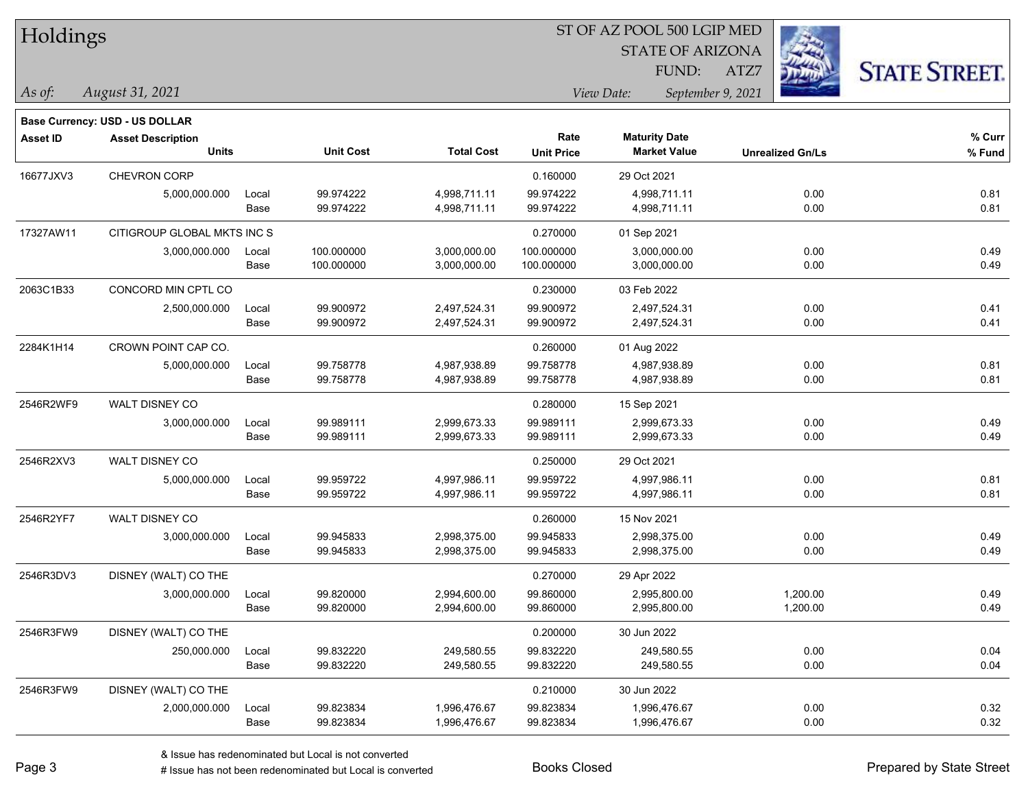| Holdings        |                                                                   |       |                  | ST OF AZ POOL 500 LGIP MED |                   |                         |                         |                      |  |  |  |
|-----------------|-------------------------------------------------------------------|-------|------------------|----------------------------|-------------------|-------------------------|-------------------------|----------------------|--|--|--|
|                 |                                                                   |       |                  |                            |                   | <b>STATE OF ARIZONA</b> |                         |                      |  |  |  |
|                 |                                                                   |       |                  |                            |                   | FUND:                   | ATZ7                    | <b>STATE STREET.</b> |  |  |  |
| $\vert$ As of:  | August 31, 2021                                                   |       |                  |                            |                   | View Date:              | September 9, 2021       |                      |  |  |  |
|                 |                                                                   |       |                  |                            |                   |                         |                         |                      |  |  |  |
| <b>Asset ID</b> | <b>Base Currency: USD - US DOLLAR</b><br><b>Asset Description</b> |       |                  |                            | Rate              | <b>Maturity Date</b>    |                         | % Curr               |  |  |  |
|                 | <b>Units</b>                                                      |       | <b>Unit Cost</b> | <b>Total Cost</b>          | <b>Unit Price</b> | <b>Market Value</b>     | <b>Unrealized Gn/Ls</b> | % Fund               |  |  |  |
| 16677JXV3       | CHEVRON CORP                                                      |       |                  |                            | 0.160000          | 29 Oct 2021             |                         |                      |  |  |  |
|                 | 5,000,000.000                                                     | Local | 99.974222        | 4,998,711.11               | 99.974222         | 4,998,711.11            | 0.00                    | 0.81                 |  |  |  |
|                 |                                                                   | Base  | 99.974222        | 4,998,711.11               | 99.974222         | 4,998,711.11            | 0.00                    | 0.81                 |  |  |  |
| 17327AW11       | CITIGROUP GLOBAL MKTS INC S                                       |       |                  |                            | 0.270000          | 01 Sep 2021             |                         |                      |  |  |  |
|                 | 3,000,000.000                                                     | Local | 100.000000       | 3,000,000.00               | 100.000000        | 3,000,000.00            | 0.00                    | 0.49                 |  |  |  |
|                 |                                                                   | Base  | 100.000000       | 3,000,000.00               | 100.000000        | 3,000,000.00            | 0.00                    | 0.49                 |  |  |  |
| 2063C1B33       | CONCORD MIN CPTL CO                                               |       |                  |                            | 0.230000          | 03 Feb 2022             |                         |                      |  |  |  |
|                 | 2,500,000.000                                                     | Local | 99.900972        | 2,497,524.31               | 99.900972         | 2,497,524.31            | 0.00                    | 0.41                 |  |  |  |
|                 |                                                                   | Base  | 99.900972        | 2,497,524.31               | 99.900972         | 2,497,524.31            | 0.00                    | 0.41                 |  |  |  |
| 2284K1H14       | CROWN POINT CAP CO.                                               |       |                  |                            | 0.260000          | 01 Aug 2022             |                         |                      |  |  |  |
|                 | 5,000,000.000                                                     | Local | 99.758778        | 4,987,938.89               | 99.758778         | 4,987,938.89            | 0.00                    | 0.81                 |  |  |  |
|                 |                                                                   | Base  | 99.758778        | 4,987,938.89               | 99.758778         | 4,987,938.89            | 0.00                    | 0.81                 |  |  |  |
| 2546R2WF9       | WALT DISNEY CO                                                    |       |                  |                            | 0.280000          | 15 Sep 2021             |                         |                      |  |  |  |
|                 | 3,000,000.000                                                     | Local | 99.989111        | 2,999,673.33               | 99.989111         | 2,999,673.33            | 0.00                    | 0.49                 |  |  |  |
|                 |                                                                   | Base  | 99.989111        | 2,999,673.33               | 99.989111         | 2,999,673.33            | 0.00                    | 0.49                 |  |  |  |
| 2546R2XV3       | WALT DISNEY CO                                                    |       |                  |                            | 0.250000          | 29 Oct 2021             |                         |                      |  |  |  |
|                 | 5,000,000.000                                                     | Local | 99.959722        | 4,997,986.11               | 99.959722         | 4,997,986.11            | 0.00                    | 0.81                 |  |  |  |
|                 |                                                                   | Base  | 99.959722        | 4,997,986.11               | 99.959722         | 4,997,986.11            | 0.00                    | 0.81                 |  |  |  |
| 2546R2YF7       | WALT DISNEY CO                                                    |       |                  |                            | 0.260000          | 15 Nov 2021             |                         |                      |  |  |  |
|                 | 3,000,000.000                                                     | Local | 99.945833        | 2,998,375.00               | 99.945833         | 2,998,375.00            | 0.00                    | 0.49                 |  |  |  |
|                 |                                                                   | Base  | 99.945833        | 2,998,375.00               | 99.945833         | 2,998,375.00            | 0.00                    | 0.49                 |  |  |  |
| 2546R3DV3       | DISNEY (WALT) CO THE                                              |       |                  |                            | 0.270000          | 29 Apr 2022             |                         |                      |  |  |  |
|                 | 3,000,000.000                                                     | Local | 99.820000        | 2,994,600.00               | 99.860000         | 2,995,800.00            | 1,200.00                | 0.49                 |  |  |  |
|                 |                                                                   | Base  | 99.820000        | 2,994,600.00               | 99.860000         | 2,995,800.00            | 1,200.00                | 0.49                 |  |  |  |
| 2546R3FW9       | DISNEY (WALT) CO THE                                              |       |                  |                            | 0.200000          | 30 Jun 2022             |                         |                      |  |  |  |
|                 | 250,000.000                                                       | Local | 99.832220        | 249,580.55                 | 99.832220         | 249,580.55              | 0.00                    | 0.04                 |  |  |  |
|                 |                                                                   | Base  | 99.832220        | 249,580.55                 | 99.832220         | 249,580.55              | 0.00                    | 0.04                 |  |  |  |
| 2546R3FW9       | DISNEY (WALT) CO THE                                              |       |                  |                            | 0.210000          | 30 Jun 2022             |                         |                      |  |  |  |
|                 | 2,000,000.000                                                     | Local | 99.823834        | 1,996,476.67               | 99.823834         | 1,996,476.67            | 0.00                    | 0.32                 |  |  |  |
|                 |                                                                   | Base  | 99.823834        | 1,996,476.67               | 99.823834         | 1,996,476.67            | 0.00                    | 0.32                 |  |  |  |

# Issue has not been redenominated but Local is converted Books Closed Prepared by State Street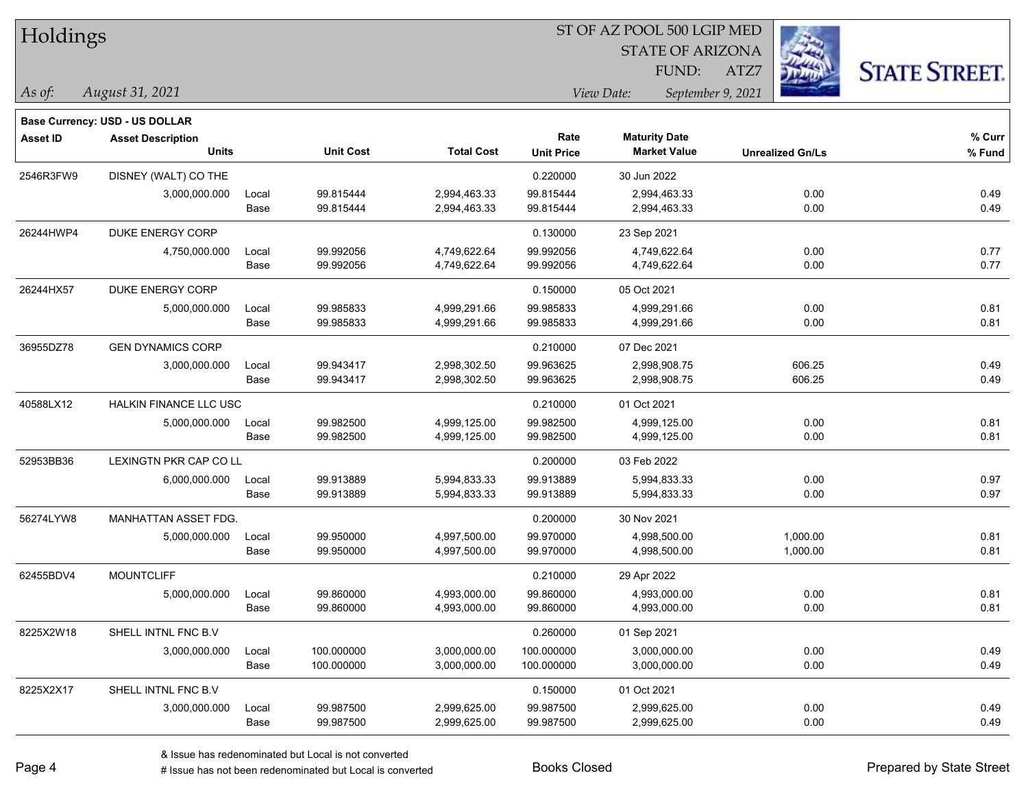| Holdings        |                                       |       |                  |                   |                                 | ST OF AZ POOL 500 LGIP MED |                              |                      |  |
|-----------------|---------------------------------------|-------|------------------|-------------------|---------------------------------|----------------------------|------------------------------|----------------------|--|
|                 |                                       |       |                  |                   |                                 | <b>STATE OF ARIZONA</b>    |                              |                      |  |
|                 |                                       |       |                  |                   |                                 | FUND:                      | <b>RANCH CONTROL</b><br>ATZ7 | <b>STATE STREET.</b> |  |
| As of:          | August 31, 2021                       |       |                  |                   | View Date:<br>September 9, 2021 |                            |                              |                      |  |
|                 | <b>Base Currency: USD - US DOLLAR</b> |       |                  |                   |                                 |                            |                              |                      |  |
| <b>Asset ID</b> | <b>Asset Description</b>              |       |                  |                   | Rate                            | <b>Maturity Date</b>       |                              | % Curr               |  |
|                 | <b>Units</b>                          |       | <b>Unit Cost</b> | <b>Total Cost</b> | <b>Unit Price</b>               | <b>Market Value</b>        | <b>Unrealized Gn/Ls</b>      | % Fund               |  |
| 2546R3FW9       | DISNEY (WALT) CO THE                  |       |                  |                   | 0.220000                        | 30 Jun 2022                |                              |                      |  |
|                 | 3,000,000.000                         | Local | 99.815444        | 2,994,463.33      | 99.815444                       | 2,994,463.33               | 0.00                         | 0.49                 |  |
|                 |                                       | Base  | 99.815444        | 2,994,463.33      | 99.815444                       | 2,994,463.33               | 0.00                         | 0.49                 |  |
| 26244HWP4       | DUKE ENERGY CORP                      |       |                  |                   | 0.130000                        | 23 Sep 2021                |                              |                      |  |
|                 | 4,750,000.000                         | Local | 99.992056        | 4,749,622.64      | 99.992056                       | 4,749,622.64               | 0.00                         | 0.77                 |  |
|                 |                                       | Base  | 99.992056        | 4,749,622.64      | 99.992056                       | 4,749,622.64               | 0.00                         | 0.77                 |  |
| 26244HX57       | DUKE ENERGY CORP                      |       |                  |                   | 0.150000                        | 05 Oct 2021                |                              |                      |  |
|                 | 5,000,000.000                         | Local | 99.985833        | 4,999,291.66      | 99.985833                       | 4,999,291.66               | 0.00                         | 0.81                 |  |
|                 |                                       | Base  | 99.985833        | 4,999,291.66      | 99.985833                       | 4,999,291.66               | 0.00                         | 0.81                 |  |
| 36955DZ78       | <b>GEN DYNAMICS CORP</b>              |       |                  |                   | 0.210000                        | 07 Dec 2021                |                              |                      |  |
|                 | 3,000,000.000                         | Local | 99.943417        | 2,998,302.50      | 99.963625                       | 2,998,908.75               | 606.25                       | 0.49                 |  |
|                 |                                       | Base  | 99.943417        | 2,998,302.50      | 99.963625                       | 2,998,908.75               | 606.25                       | 0.49                 |  |
| 40588LX12       | <b>HALKIN FINANCE LLC USC</b>         |       |                  |                   | 0.210000                        | 01 Oct 2021                |                              |                      |  |
|                 | 5,000,000.000                         | Local | 99.982500        | 4,999,125.00      | 99.982500                       | 4,999,125.00               | 0.00                         | 0.81                 |  |
|                 |                                       | Base  | 99.982500        | 4,999,125.00      | 99.982500                       | 4,999,125.00               | 0.00                         | 0.81                 |  |
| 52953BB36       | LEXINGTN PKR CAP CO LL                |       |                  |                   | 0.200000                        | 03 Feb 2022                |                              |                      |  |
|                 | 6,000,000.000                         | Local | 99.913889        | 5,994,833.33      | 99.913889                       | 5,994,833.33               | 0.00                         | 0.97                 |  |
|                 |                                       | Base  | 99.913889        | 5,994,833.33      | 99.913889                       | 5,994,833.33               | 0.00                         | 0.97                 |  |
| 56274LYW8       | MANHATTAN ASSET FDG.                  |       |                  |                   | 0.200000                        | 30 Nov 2021                |                              |                      |  |
|                 | 5,000,000.000                         | Local | 99.950000        | 4,997,500.00      | 99.970000                       | 4,998,500.00               | 1,000.00                     | 0.81                 |  |
|                 |                                       | Base  | 99.950000        | 4,997,500.00      | 99.970000                       | 4,998,500.00               | 1,000.00                     | 0.81                 |  |
| 62455BDV4       | <b>MOUNTCLIFF</b>                     |       |                  |                   | 0.210000                        | 29 Apr 2022                |                              |                      |  |
|                 | 5,000,000.000                         | Local | 99.860000        | 4,993,000.00      | 99.860000                       | 4,993,000.00               | 0.00                         | 0.81                 |  |
|                 |                                       | Base  | 99.860000        | 4,993,000.00      | 99.860000                       | 4,993,000.00               | 0.00                         | 0.81                 |  |
| 8225X2W18       | SHELL INTNL FNC B.V                   |       |                  |                   | 0.260000                        | 01 Sep 2021                |                              |                      |  |
|                 | 3,000,000.000                         | Local | 100.000000       | 3,000,000.00      | 100.000000                      | 3,000,000.00               | 0.00                         | 0.49                 |  |
|                 |                                       | Base  | 100.000000       | 3,000,000.00      | 100.000000                      | 3,000,000.00               | 0.00                         | 0.49                 |  |
| 8225X2X17       | SHELL INTNL FNC B.V                   |       |                  |                   | 0.150000                        | 01 Oct 2021                |                              |                      |  |
|                 | 3,000,000.000                         | Local | 99.987500        | 2,999,625.00      | 99.987500                       | 2,999,625.00               | 0.00                         | 0.49                 |  |
|                 |                                       | Base  | 99.987500        | 2,999,625.00      | 99.987500                       | 2,999,625.00               | 0.00                         | 0.49                 |  |

ST OF AZ POOL 500 LGIP MED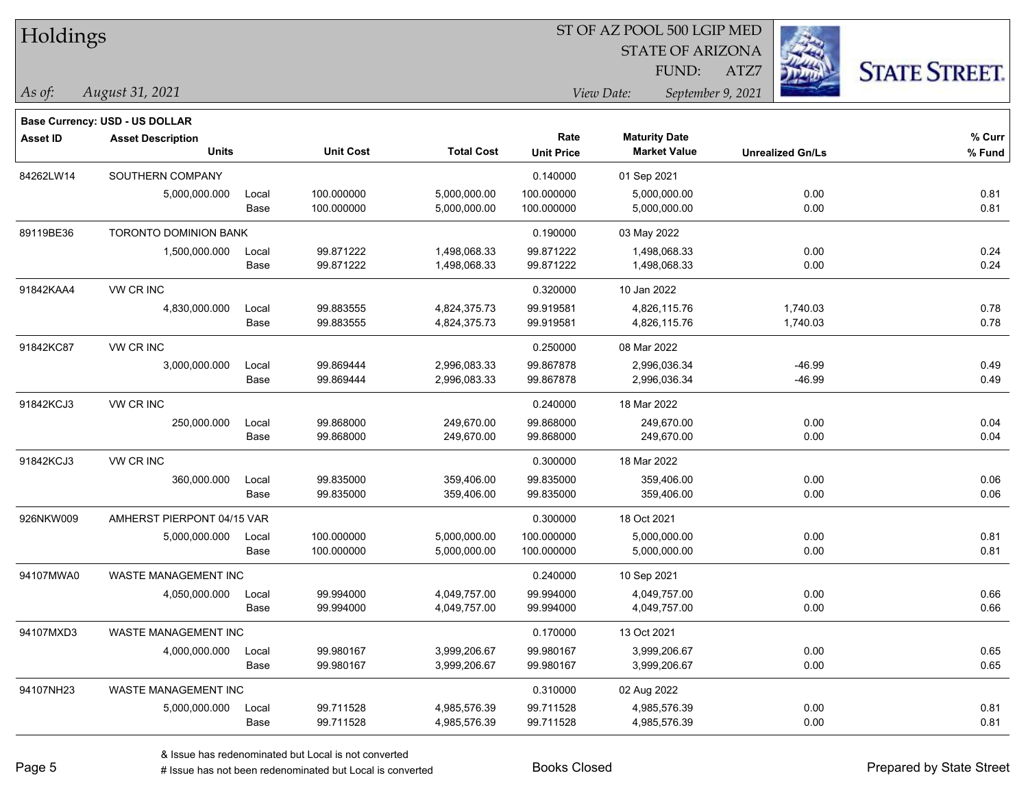| Holdings |  |
|----------|--|
|----------|--|

STATE OF ARIZONA FUND:

ATZ7



*August 31, 2021 As of: View Date: September 9, 2021*

|                 | Base Currency: USD - US DOLLAR |       |                  |                   |                   |                      |                         |        |
|-----------------|--------------------------------|-------|------------------|-------------------|-------------------|----------------------|-------------------------|--------|
| <b>Asset ID</b> | <b>Asset Description</b>       |       |                  |                   | Rate              | <b>Maturity Date</b> |                         | % Curr |
|                 | <b>Units</b>                   |       | <b>Unit Cost</b> | <b>Total Cost</b> | <b>Unit Price</b> | <b>Market Value</b>  | <b>Unrealized Gn/Ls</b> | % Fund |
| 84262LW14       | SOUTHERN COMPANY               |       |                  |                   | 0.140000          | 01 Sep 2021          |                         |        |
|                 | 5,000,000.000                  | Local | 100.000000       | 5,000,000.00      | 100.000000        | 5,000,000.00         | 0.00                    | 0.81   |
|                 |                                | Base  | 100.000000       | 5,000,000.00      | 100.000000        | 5,000,000.00         | 0.00                    | 0.81   |
| 89119BE36       | <b>TORONTO DOMINION BANK</b>   |       |                  |                   | 0.190000          | 03 May 2022          |                         |        |
|                 | 1,500,000.000                  | Local | 99.871222        | 1,498,068.33      | 99.871222         | 1,498,068.33         | 0.00                    | 0.24   |
|                 |                                | Base  | 99.871222        | 1,498,068.33      | 99.871222         | 1,498,068.33         | 0.00                    | 0.24   |
| 91842KAA4       | VW CR INC                      |       |                  |                   | 0.320000          | 10 Jan 2022          |                         |        |
|                 | 4,830,000.000                  | Local | 99.883555        | 4,824,375.73      | 99.919581         | 4,826,115.76         | 1,740.03                | 0.78   |
|                 |                                | Base  | 99.883555        | 4,824,375.73      | 99.919581         | 4,826,115.76         | 1,740.03                | 0.78   |
| 91842KC87       | <b>VW CR INC</b>               |       |                  |                   | 0.250000          | 08 Mar 2022          |                         |        |
|                 | 3,000,000.000                  | Local | 99.869444        | 2,996,083.33      | 99.867878         | 2,996,036.34         | $-46.99$                | 0.49   |
|                 |                                | Base  | 99.869444        | 2,996,083.33      | 99.867878         | 2,996,036.34         | $-46.99$                | 0.49   |
| 91842KCJ3       | VW CR INC                      |       |                  |                   | 0.240000          | 18 Mar 2022          |                         |        |
|                 | 250,000.000                    | Local | 99.868000        | 249,670.00        | 99.868000         | 249,670.00           | 0.00                    | 0.04   |
|                 |                                | Base  | 99.868000        | 249,670.00        | 99.868000         | 249,670.00           | 0.00                    | 0.04   |
| 91842KCJ3       | VW CR INC                      |       |                  |                   | 0.300000          | 18 Mar 2022          |                         |        |
|                 | 360,000.000                    | Local | 99.835000        | 359,406.00        | 99.835000         | 359,406.00           | 0.00                    | 0.06   |
|                 |                                | Base  | 99.835000        | 359,406.00        | 99.835000         | 359,406.00           | 0.00                    | 0.06   |
| 926NKW009       | AMHERST PIERPONT 04/15 VAR     |       |                  |                   | 0.300000          | 18 Oct 2021          |                         |        |
|                 | 5,000,000.000                  | Local | 100.000000       | 5,000,000.00      | 100.000000        | 5,000,000.00         | 0.00                    | 0.81   |
|                 |                                | Base  | 100.000000       | 5,000,000.00      | 100.000000        | 5,000,000.00         | 0.00                    | 0.81   |
| 94107MWA0       | <b>WASTE MANAGEMENT INC</b>    |       |                  |                   | 0.240000          | 10 Sep 2021          |                         |        |
|                 | 4,050,000.000                  | Local | 99.994000        | 4,049,757.00      | 99.994000         | 4,049,757.00         | 0.00                    | 0.66   |
|                 |                                | Base  | 99.994000        | 4,049,757.00      | 99.994000         | 4,049,757.00         | 0.00                    | 0.66   |
| 94107MXD3       | <b>WASTE MANAGEMENT INC</b>    |       |                  |                   | 0.170000          | 13 Oct 2021          |                         |        |
|                 | 4,000,000.000                  | Local | 99.980167        | 3,999,206.67      | 99.980167         | 3,999,206.67         | 0.00                    | 0.65   |
|                 |                                | Base  | 99.980167        | 3,999,206.67      | 99.980167         | 3,999,206.67         | 0.00                    | 0.65   |
| 94107NH23       | <b>WASTE MANAGEMENT INC</b>    |       |                  |                   | 0.310000          | 02 Aug 2022          |                         |        |
|                 | 5,000,000.000                  | Local | 99.711528        | 4,985,576.39      | 99.711528         | 4,985,576.39         | 0.00                    | 0.81   |
|                 |                                | Base  | 99.711528        | 4,985,576.39      | 99.711528         | 4,985,576.39         | 0.00                    | 0.81   |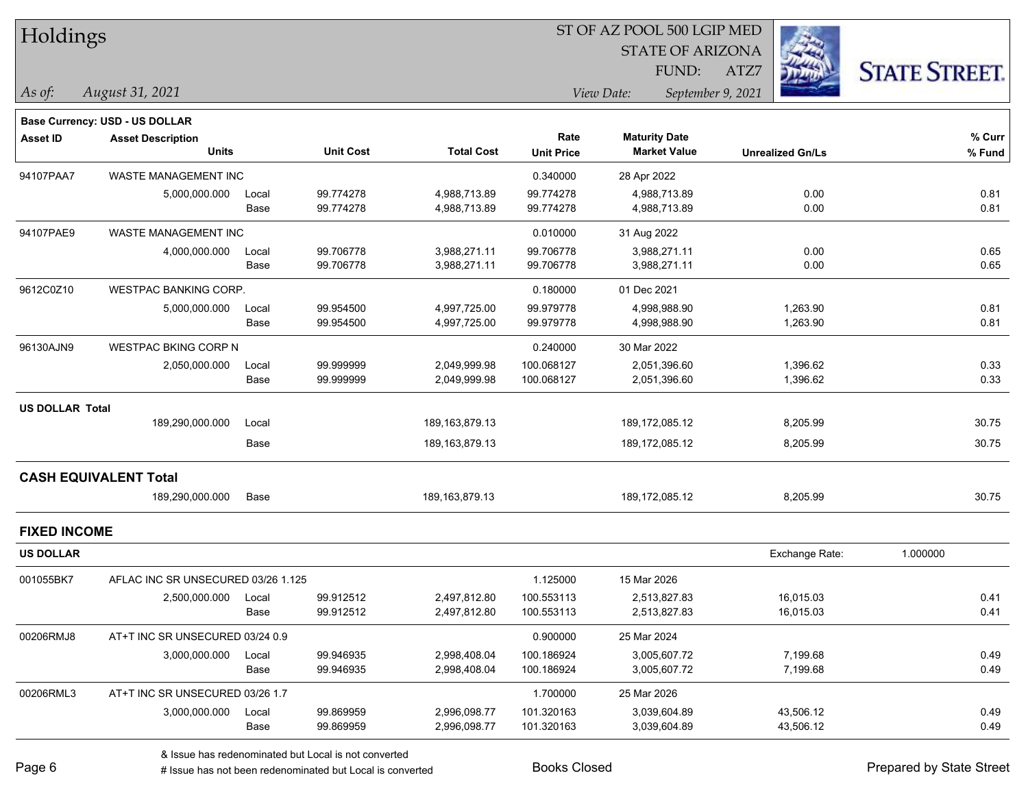| Holdings               |                                    |       |                  |                   | ST OF AZ POOL 500 LGIP MED |                                 |                         |                      |  |  |
|------------------------|------------------------------------|-------|------------------|-------------------|----------------------------|---------------------------------|-------------------------|----------------------|--|--|
|                        |                                    |       |                  |                   |                            | <b>STATE OF ARIZONA</b>         |                         |                      |  |  |
|                        |                                    |       |                  |                   |                            | FUND:                           | ATZ7                    | <b>STATE STREET.</b> |  |  |
| As of:                 | August 31, 2021                    |       |                  |                   |                            | View Date:<br>September 9, 2021 |                         |                      |  |  |
|                        | Base Currency: USD - US DOLLAR     |       |                  |                   |                            |                                 |                         |                      |  |  |
| <b>Asset ID</b>        | <b>Asset Description</b>           |       |                  |                   | Rate                       | <b>Maturity Date</b>            |                         | % Curr               |  |  |
|                        | <b>Units</b>                       |       | <b>Unit Cost</b> | <b>Total Cost</b> | <b>Unit Price</b>          | <b>Market Value</b>             | <b>Unrealized Gn/Ls</b> | % Fund               |  |  |
| 94107PAA7              | WASTE MANAGEMENT INC               |       |                  |                   | 0.340000                   | 28 Apr 2022                     |                         |                      |  |  |
|                        | 5,000,000.000                      | Local | 99.774278        | 4,988,713.89      | 99.774278                  | 4,988,713.89                    | 0.00                    | 0.81                 |  |  |
|                        |                                    | Base  | 99.774278        | 4,988,713.89      | 99.774278                  | 4,988,713.89                    | 0.00                    | 0.81                 |  |  |
| 94107PAE9              | WASTE MANAGEMENT INC               |       |                  |                   | 0.010000                   | 31 Aug 2022                     |                         |                      |  |  |
|                        | 4,000,000.000                      | Local | 99.706778        | 3,988,271.11      | 99.706778                  | 3,988,271.11                    | 0.00                    | 0.65                 |  |  |
|                        |                                    | Base  | 99.706778        | 3,988,271.11      | 99.706778                  | 3,988,271.11                    | 0.00                    | 0.65                 |  |  |
| 9612C0Z10              | <b>WESTPAC BANKING CORP.</b>       |       |                  |                   | 0.180000                   | 01 Dec 2021                     |                         |                      |  |  |
|                        | 5,000,000.000                      | Local | 99.954500        | 4,997,725.00      | 99.979778                  | 4,998,988.90                    | 1,263.90                | 0.81                 |  |  |
|                        |                                    | Base  | 99.954500        | 4,997,725.00      | 99.979778                  | 4,998,988.90                    | 1,263.90                | 0.81                 |  |  |
| 96130AJN9              | <b>WESTPAC BKING CORP N</b>        |       |                  |                   | 0.240000                   | 30 Mar 2022                     |                         |                      |  |  |
|                        | 2,050,000.000                      | Local | 99.999999        | 2,049,999.98      | 100.068127                 | 2,051,396.60                    | 1,396.62                | 0.33                 |  |  |
|                        |                                    | Base  | 99.999999        | 2,049,999.98      | 100.068127                 | 2,051,396.60                    | 1,396.62                | 0.33                 |  |  |
| <b>US DOLLAR Total</b> |                                    |       |                  |                   |                            |                                 |                         |                      |  |  |
|                        | 189,290,000.000                    | Local |                  | 189, 163, 879. 13 |                            | 189,172,085.12                  | 8,205.99                | 30.75                |  |  |
|                        |                                    | Base  |                  | 189, 163, 879. 13 |                            | 189,172,085.12                  | 8,205.99                | 30.75                |  |  |
|                        | <b>CASH EQUIVALENT Total</b>       |       |                  |                   |                            |                                 |                         |                      |  |  |
|                        | 189,290,000.000                    | Base  |                  | 189, 163, 879. 13 |                            | 189,172,085.12                  | 8,205.99                | 30.75                |  |  |
| <b>FIXED INCOME</b>    |                                    |       |                  |                   |                            |                                 |                         |                      |  |  |
| <b>US DOLLAR</b>       |                                    |       |                  |                   |                            |                                 | Exchange Rate:          | 1.000000             |  |  |
| 001055BK7              | AFLAC INC SR UNSECURED 03/26 1.125 |       |                  |                   | 1.125000                   | 15 Mar 2026                     |                         |                      |  |  |
|                        | 2,500,000.000 Local                |       | 99.912512        | 2,497,812.80      | 100.553113                 | 2,513,827.83                    | 16,015.03               | 0.41                 |  |  |
|                        |                                    | Base  | 99.912512        | 2,497,812.80      | 100.553113                 | 2,513,827.83                    | 16,015.03               | 0.41                 |  |  |
| 00206RMJ8              | AT+T INC SR UNSECURED 03/24 0.9    |       |                  |                   | 0.900000                   | 25 Mar 2024                     |                         |                      |  |  |
|                        | 3,000,000.000                      | Local | 99.946935        | 2,998,408.04      | 100.186924                 | 3,005,607.72                    | 7,199.68                | 0.49                 |  |  |
|                        |                                    | Base  | 99.946935        | 2,998,408.04      | 100.186924                 | 3,005,607.72                    | 7,199.68                | 0.49                 |  |  |
| 00206RML3              | AT+T INC SR UNSECURED 03/26 1.7    |       |                  |                   | 1.700000                   | 25 Mar 2026                     |                         |                      |  |  |
|                        | 3,000,000.000                      | Local | 99.869959        | 2,996,098.77      | 101.320163                 | 3,039,604.89                    | 43,506.12               | 0.49                 |  |  |
|                        |                                    | Base  | 99.869959        | 2,996,098.77      | 101.320163                 | 3,039,604.89                    | 43,506.12               | 0.49                 |  |  |

# Issue has not been redenominated but Local is converted Books Closed Prepared by State Street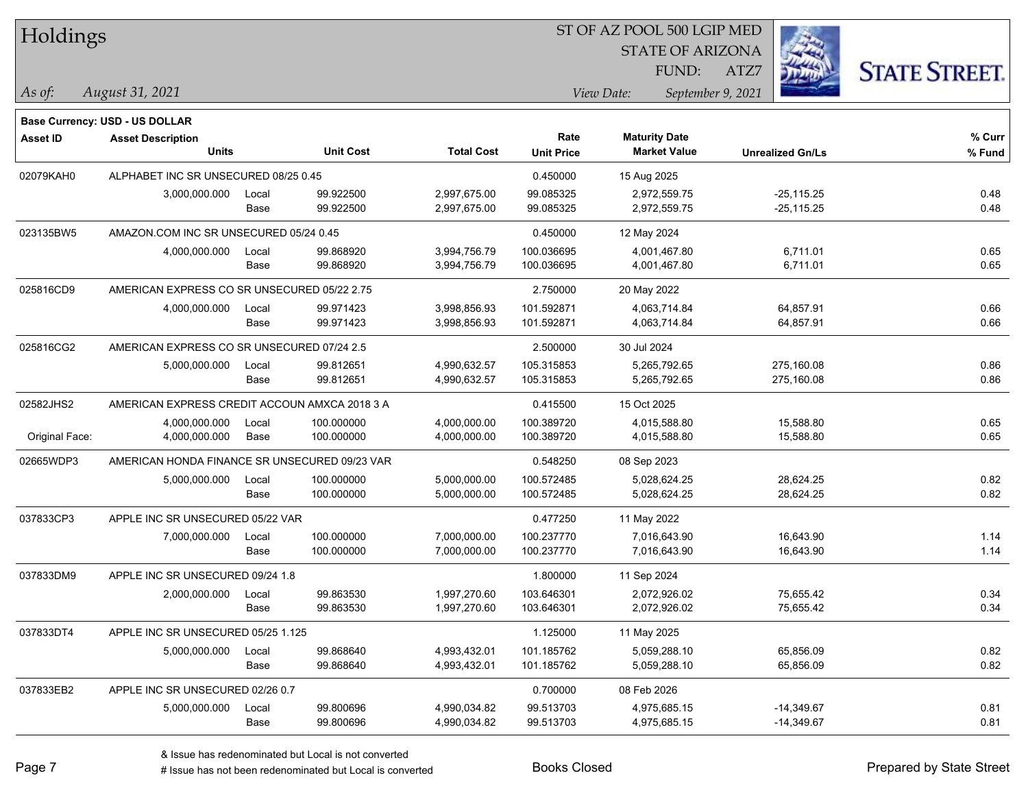| Holdings        |                                               |       |                  |                   | ST OF AZ POOL 500 LGIP MED |                      |                         |                         |                      |
|-----------------|-----------------------------------------------|-------|------------------|-------------------|----------------------------|----------------------|-------------------------|-------------------------|----------------------|
|                 |                                               |       |                  |                   |                            |                      | <b>STATE OF ARIZONA</b> |                         |                      |
|                 |                                               |       |                  |                   |                            |                      | FUND:                   | ATZ7                    | <b>STATE STREET.</b> |
| As of:          | August 31, 2021                               |       |                  |                   |                            | View Date:           | September 9, 2021       |                         |                      |
|                 | <b>Base Currency: USD - US DOLLAR</b>         |       |                  |                   |                            |                      |                         |                         |                      |
| <b>Asset ID</b> | <b>Asset Description</b>                      |       |                  |                   | Rate                       | <b>Maturity Date</b> |                         |                         | % Curr               |
|                 | <b>Units</b>                                  |       | <b>Unit Cost</b> | <b>Total Cost</b> | <b>Unit Price</b>          | <b>Market Value</b>  |                         | <b>Unrealized Gn/Ls</b> | % Fund               |
| 02079KAH0       | ALPHABET INC SR UNSECURED 08/25 0.45          |       |                  |                   | 0.450000                   | 15 Aug 2025          |                         |                         |                      |
|                 | 3,000,000.000                                 | Local | 99.922500        | 2,997,675.00      | 99.085325                  | 2.972.559.75         |                         | $-25, 115.25$           | 0.48                 |
|                 |                                               | Base  | 99.922500        | 2,997,675.00      | 99.085325                  | 2,972,559.75         |                         | $-25,115.25$            | 0.48                 |
| 023135BW5       | AMAZON.COM INC SR UNSECURED 05/24 0.45        |       |                  |                   | 0.450000                   | 12 May 2024          |                         |                         |                      |
|                 | 4,000,000.000                                 | Local | 99.868920        | 3,994,756.79      | 100.036695                 | 4,001,467.80         |                         | 6,711.01                | 0.65                 |
|                 |                                               | Base  | 99.868920        | 3,994,756.79      | 100.036695                 | 4,001,467.80         |                         | 6,711.01                | 0.65                 |
| 025816CD9       | AMERICAN EXPRESS CO SR UNSECURED 05/22 2.75   |       |                  |                   | 2.750000                   | 20 May 2022          |                         |                         |                      |
|                 | 4,000,000.000                                 | Local | 99.971423        | 3,998,856.93      | 101.592871                 | 4,063,714.84         |                         | 64,857.91               | 0.66                 |
|                 |                                               | Base  | 99.971423        | 3,998,856.93      | 101.592871                 | 4,063,714.84         |                         | 64,857.91               | 0.66                 |
| 025816CG2       | AMERICAN EXPRESS CO SR UNSECURED 07/24 2.5    |       |                  |                   | 2.500000                   | 30 Jul 2024          |                         |                         |                      |
|                 | 5,000,000.000                                 | Local | 99.812651        | 4,990,632.57      | 105.315853                 | 5,265,792.65         |                         | 275,160.08              | 0.86                 |
|                 |                                               | Base  | 99.812651        | 4,990,632.57      | 105.315853                 | 5,265,792.65         |                         | 275,160.08              | 0.86                 |
| 02582JHS2       | AMERICAN EXPRESS CREDIT ACCOUN AMXCA 2018 3 A |       |                  |                   | 0.415500                   | 15 Oct 2025          |                         |                         |                      |
|                 | 4,000,000.000                                 | Local | 100.000000       | 4,000,000.00      | 100.389720                 | 4,015,588.80         |                         | 15,588.80               | 0.65                 |
| Original Face:  | 4,000,000.000                                 | Base  | 100.000000       | 4,000,000.00      | 100.389720                 | 4,015,588.80         |                         | 15,588.80               | 0.65                 |
| 02665WDP3       | AMERICAN HONDA FINANCE SR UNSECURED 09/23 VAR |       |                  |                   | 0.548250                   | 08 Sep 2023          |                         |                         |                      |
|                 | 5,000,000.000                                 | Local | 100.000000       | 5,000,000.00      | 100.572485                 | 5,028,624.25         |                         | 28,624.25               | 0.82                 |
|                 |                                               | Base  | 100.000000       | 5,000,000.00      | 100.572485                 | 5,028,624.25         |                         | 28,624.25               | 0.82                 |
| 037833CP3       | APPLE INC SR UNSECURED 05/22 VAR              |       |                  |                   | 0.477250                   | 11 May 2022          |                         |                         |                      |
|                 | 7,000,000.000                                 | Local | 100.000000       | 7,000,000.00      | 100.237770                 | 7,016,643.90         |                         | 16,643.90               | 1.14                 |
|                 |                                               | Base  | 100.000000       | 7,000,000.00      | 100.237770                 | 7,016,643.90         |                         | 16,643.90               | 1.14                 |
| 037833DM9       | APPLE INC SR UNSECURED 09/24 1.8              |       |                  |                   | 1.800000                   | 11 Sep 2024          |                         |                         |                      |
|                 | 2,000,000.000                                 | Local | 99.863530        | 1,997,270.60      | 103.646301                 | 2,072,926.02         |                         | 75,655.42               | 0.34                 |
|                 |                                               | Base  | 99.863530        | 1,997,270.60      | 103.646301                 | 2,072,926.02         |                         | 75,655.42               | 0.34                 |
| 037833DT4       | APPLE INC SR UNSECURED 05/25 1.125            |       |                  |                   | 1.125000                   | 11 May 2025          |                         |                         |                      |
|                 | 5,000,000.000                                 | Local | 99.868640        | 4,993,432.01      | 101.185762                 | 5,059,288.10         |                         | 65,856.09               | 0.82                 |
|                 |                                               | Base  | 99.868640        | 4,993,432.01      | 101.185762                 | 5,059,288.10         |                         | 65,856.09               | 0.82                 |
| 037833EB2       | APPLE INC SR UNSECURED 02/26 0.7              |       |                  |                   | 0.700000                   | 08 Feb 2026          |                         |                         |                      |
|                 | 5,000,000.000                                 | Local | 99.800696        | 4,990,034.82      | 99.513703                  | 4,975,685.15         |                         | $-14,349.67$            | 0.81                 |
|                 |                                               | Base  | 99.800696        | 4,990,034.82      | 99.513703                  | 4,975,685.15         |                         | $-14,349.67$            | 0.81                 |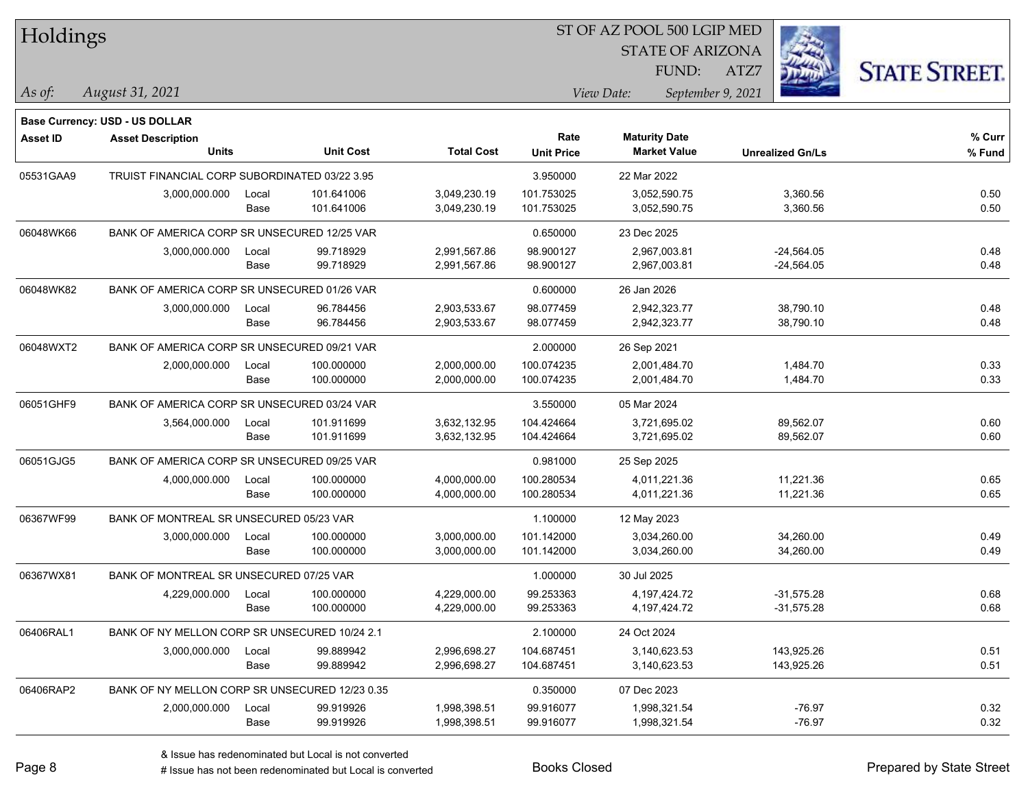| Holdings        |                                                |       |                  |                   |                           | ST OF AZ POOL 500 LGIP MED                  |                         |                      |
|-----------------|------------------------------------------------|-------|------------------|-------------------|---------------------------|---------------------------------------------|-------------------------|----------------------|
|                 |                                                |       |                  |                   |                           | <b>STATE OF ARIZONA</b>                     |                         |                      |
|                 |                                                |       |                  |                   |                           | FUND:                                       | ATZ7                    | <b>STATE STREET.</b> |
| As of:          | August 31, 2021                                |       |                  |                   |                           | View Date:                                  | September 9, 2021       |                      |
|                 |                                                |       |                  |                   |                           |                                             |                         |                      |
|                 | <b>Base Currency: USD - US DOLLAR</b>          |       |                  |                   |                           |                                             |                         |                      |
| <b>Asset ID</b> | <b>Asset Description</b><br><b>Units</b>       |       | <b>Unit Cost</b> | <b>Total Cost</b> | Rate<br><b>Unit Price</b> | <b>Maturity Date</b><br><b>Market Value</b> | <b>Unrealized Gn/Ls</b> | % Curr<br>% Fund     |
| 05531GAA9       | TRUIST FINANCIAL CORP SUBORDINATED 03/22 3.95  |       |                  |                   | 3.950000                  | 22 Mar 2022                                 |                         |                      |
|                 | 3,000,000.000                                  | Local | 101.641006       | 3,049,230.19      | 101.753025                | 3,052,590.75                                | 3,360.56                | 0.50                 |
|                 |                                                | Base  | 101.641006       | 3,049,230.19      | 101.753025                | 3,052,590.75                                | 3,360.56                | 0.50                 |
| 06048WK66       | BANK OF AMERICA CORP SR UNSECURED 12/25 VAR    |       |                  |                   | 0.650000                  | 23 Dec 2025                                 |                         |                      |
|                 | 3,000,000.000                                  | Local | 99.718929        | 2,991,567.86      | 98.900127                 | 2,967,003.81                                | $-24,564.05$            | 0.48                 |
|                 |                                                | Base  | 99.718929        | 2,991,567.86      | 98.900127                 | 2,967,003.81                                | $-24,564.05$            | 0.48                 |
| 06048WK82       | BANK OF AMERICA CORP SR UNSECURED 01/26 VAR    |       |                  |                   | 0.600000                  | 26 Jan 2026                                 |                         |                      |
|                 | 3,000,000.000                                  | Local | 96.784456        | 2,903,533.67      | 98.077459                 | 2,942,323.77                                | 38,790.10               | 0.48                 |
|                 |                                                | Base  | 96.784456        | 2,903,533.67      | 98.077459                 | 2,942,323.77                                | 38,790.10               | 0.48                 |
| 06048WXT2       | BANK OF AMERICA CORP SR UNSECURED 09/21 VAR    |       |                  |                   | 2.000000                  | 26 Sep 2021                                 |                         |                      |
|                 | 2,000,000.000                                  | Local | 100.000000       | 2,000,000.00      | 100.074235                | 2,001,484.70                                | 1,484.70                | 0.33                 |
|                 |                                                | Base  | 100.000000       | 2,000,000.00      | 100.074235                | 2,001,484.70                                | 1,484.70                | 0.33                 |
| 06051GHF9       | BANK OF AMERICA CORP SR UNSECURED 03/24 VAR    |       |                  |                   | 3.550000                  | 05 Mar 2024                                 |                         |                      |
|                 | 3,564,000.000                                  | Local | 101.911699       | 3,632,132.95      | 104.424664                | 3,721,695.02                                | 89,562.07               | 0.60                 |
|                 |                                                | Base  | 101.911699       | 3,632,132.95      | 104.424664                | 3,721,695.02                                | 89,562.07               | 0.60                 |
| 06051GJG5       | BANK OF AMERICA CORP SR UNSECURED 09/25 VAR    |       |                  |                   | 0.981000                  | 25 Sep 2025                                 |                         |                      |
|                 | 4,000,000.000                                  | Local | 100.000000       | 4,000,000.00      | 100.280534                | 4,011,221.36                                | 11,221.36               | 0.65                 |
|                 |                                                | Base  | 100.000000       | 4,000,000.00      | 100.280534                | 4,011,221.36                                | 11,221.36               | 0.65                 |
| 06367WF99       | BANK OF MONTREAL SR UNSECURED 05/23 VAR        |       |                  |                   | 1.100000                  | 12 May 2023                                 |                         |                      |
|                 | 3,000,000.000                                  | Local | 100.000000       | 3,000,000.00      | 101.142000                | 3,034,260.00                                | 34,260.00               | 0.49                 |
|                 |                                                | Base  | 100.000000       | 3,000,000.00      | 101.142000                | 3,034,260.00                                | 34,260.00               | 0.49                 |
| 06367WX81       | BANK OF MONTREAL SR UNSECURED 07/25 VAR        |       |                  |                   | 1.000000                  | 30 Jul 2025                                 |                         |                      |
|                 | 4,229,000.000                                  | Local | 100.000000       | 4,229,000.00      | 99.253363                 | 4,197,424.72                                | $-31,575.28$            | 0.68                 |
|                 |                                                | Base  | 100.000000       | 4,229,000.00      | 99.253363                 | 4,197,424.72                                | $-31,575.28$            | 0.68                 |
| 06406RAL1       | BANK OF NY MELLON CORP SR UNSECURED 10/24 2.1  |       |                  |                   | 2.100000                  | 24 Oct 2024                                 |                         |                      |
|                 | 3,000,000.000                                  | Local | 99.889942        | 2,996,698.27      | 104.687451                | 3,140,623.53                                | 143,925.26              | 0.51                 |
|                 |                                                | Base  | 99.889942        | 2,996,698.27      | 104.687451                | 3,140,623.53                                | 143,925.26              | 0.51                 |
| 06406RAP2       | BANK OF NY MELLON CORP SR UNSECURED 12/23 0.35 |       |                  |                   | 0.350000                  | 07 Dec 2023                                 |                         |                      |
|                 | 2,000,000.000                                  | Local | 99.919926        | 1,998,398.51      | 99.916077                 | 1,998,321.54                                | $-76.97$                | 0.32                 |
|                 |                                                | Base  | 99.919926        | 1,998,398.51      | 99.916077                 | 1,998,321.54                                | $-76.97$                | 0.32                 |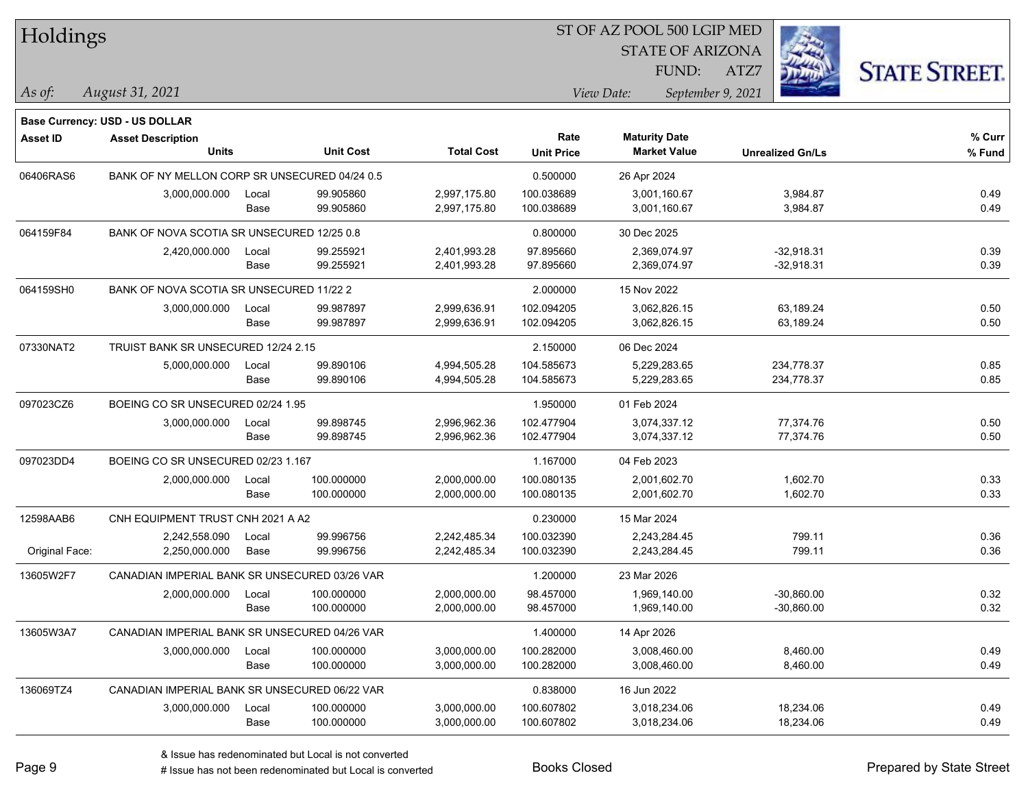| Holdings        |                                               |       |                  | ST OF AZ POOL 500 LGIP MED |                   |                      |                         |                      |  |  |
|-----------------|-----------------------------------------------|-------|------------------|----------------------------|-------------------|----------------------|-------------------------|----------------------|--|--|
|                 |                                               |       |                  |                            |                   |                      | <b>STATE OF ARIZONA</b> |                      |  |  |
|                 |                                               |       |                  |                            |                   | FUND:                | ATZ7                    | <b>STATE STREET.</b> |  |  |
| As of:          | August 31, 2021                               |       |                  |                            |                   | View Date:           | September 9, 2021       |                      |  |  |
|                 | <b>Base Currency: USD - US DOLLAR</b>         |       |                  |                            |                   |                      |                         |                      |  |  |
| <b>Asset ID</b> | <b>Asset Description</b>                      |       |                  |                            | Rate              | <b>Maturity Date</b> |                         | % Curr               |  |  |
|                 | <b>Units</b>                                  |       | <b>Unit Cost</b> | <b>Total Cost</b>          | <b>Unit Price</b> | <b>Market Value</b>  | <b>Unrealized Gn/Ls</b> | % Fund               |  |  |
| 06406RAS6       | BANK OF NY MELLON CORP SR UNSECURED 04/24 0.5 |       |                  |                            | 0.500000          | 26 Apr 2024          |                         |                      |  |  |
|                 | 3,000,000.000                                 | Local | 99.905860        | 2,997,175.80               | 100.038689        | 3,001,160.67         | 3,984.87                | 0.49                 |  |  |
|                 |                                               | Base  | 99.905860        | 2,997,175.80               | 100.038689        | 3,001,160.67         | 3,984.87                | 0.49                 |  |  |
| 064159F84       | BANK OF NOVA SCOTIA SR UNSECURED 12/25 0.8    |       |                  |                            | 0.800000          | 30 Dec 2025          |                         |                      |  |  |
|                 | 2,420,000.000                                 | Local | 99.255921        | 2,401,993.28               | 97.895660         | 2,369,074.97         | $-32,918.31$            | 0.39                 |  |  |
|                 |                                               | Base  | 99.255921        | 2,401,993.28               | 97.895660         | 2,369,074.97         | $-32,918.31$            | 0.39                 |  |  |
| 064159SH0       | BANK OF NOVA SCOTIA SR UNSECURED 11/22 2      |       |                  |                            | 2.000000          | 15 Nov 2022          |                         |                      |  |  |
|                 | 3,000,000.000                                 | Local | 99.987897        | 2,999,636.91               | 102.094205        | 3,062,826.15         | 63,189.24               | 0.50                 |  |  |
|                 |                                               | Base  | 99.987897        | 2,999,636.91               | 102.094205        | 3,062,826.15         | 63,189.24               | 0.50                 |  |  |
| 07330NAT2       | TRUIST BANK SR UNSECURED 12/24 2.15           |       |                  |                            | 2.150000          | 06 Dec 2024          |                         |                      |  |  |
|                 | 5,000,000.000                                 | Local | 99.890106        | 4,994,505.28               | 104.585673        | 5,229,283.65         | 234,778.37              | 0.85                 |  |  |
|                 |                                               | Base  | 99.890106        | 4,994,505.28               | 104.585673        | 5,229,283.65         | 234,778.37              | 0.85                 |  |  |
| 097023CZ6       | BOEING CO SR UNSECURED 02/24 1.95             |       |                  |                            | 1.950000          | 01 Feb 2024          |                         |                      |  |  |
|                 | 3,000,000.000                                 | Local | 99.898745        | 2,996,962.36               | 102.477904        | 3,074,337.12         | 77,374.76               | 0.50                 |  |  |
|                 |                                               | Base  | 99.898745        | 2,996,962.36               | 102.477904        | 3,074,337.12         | 77,374.76               | 0.50                 |  |  |
| 097023DD4       | BOEING CO SR UNSECURED 02/23 1.167            |       |                  |                            | 1.167000          | 04 Feb 2023          |                         |                      |  |  |
|                 | 2,000,000.000                                 | Local | 100.000000       | 2,000,000.00               | 100.080135        | 2,001,602.70         | 1,602.70                | 0.33                 |  |  |
|                 |                                               | Base  | 100.000000       | 2,000,000.00               | 100.080135        | 2,001,602.70         | 1,602.70                | 0.33                 |  |  |
| 12598AAB6       | CNH EQUIPMENT TRUST CNH 2021 A A2             |       |                  |                            | 0.230000          | 15 Mar 2024          |                         |                      |  |  |
|                 | 2,242,558.090                                 | Local | 99.996756        | 2,242,485.34               | 100.032390        | 2,243,284.45         | 799.11                  | 0.36                 |  |  |
| Original Face:  | 2,250,000.000                                 | Base  | 99.996756        | 2,242,485.34               | 100.032390        | 2,243,284.45         | 799.11                  | 0.36                 |  |  |
| 13605W2F7       | CANADIAN IMPERIAL BANK SR UNSECURED 03/26 VAR |       |                  |                            | 1.200000          | 23 Mar 2026          |                         |                      |  |  |
|                 | 2,000,000.000                                 | Local | 100.000000       | 2,000,000.00               | 98.457000         | 1,969,140.00         | $-30,860.00$            | 0.32                 |  |  |
|                 |                                               | Base  | 100.000000       | 2,000,000.00               | 98.457000         | 1,969,140.00         | $-30,860.00$            | 0.32                 |  |  |
| 13605W3A7       | CANADIAN IMPERIAL BANK SR UNSECURED 04/26 VAR |       |                  |                            | 1.400000          | 14 Apr 2026          |                         |                      |  |  |
|                 | 3,000,000.000                                 | Local | 100.000000       | 3,000,000.00               | 100.282000        | 3,008,460.00         | 8,460.00                | 0.49                 |  |  |
|                 |                                               | Base  | 100.000000       | 3,000,000.00               | 100.282000        | 3,008,460.00         | 8,460.00                | 0.49                 |  |  |
| 136069TZ4       | CANADIAN IMPERIAL BANK SR UNSECURED 06/22 VAR |       |                  |                            | 0.838000          | 16 Jun 2022          |                         |                      |  |  |
|                 | 3,000,000.000                                 | Local | 100.000000       | 3,000,000.00               | 100.607802        | 3,018,234.06         | 18,234.06               | 0.49                 |  |  |
|                 |                                               | Base  | 100.000000       | 3,000,000.00               | 100.607802        | 3,018,234.06         | 18,234.06               | 0.49                 |  |  |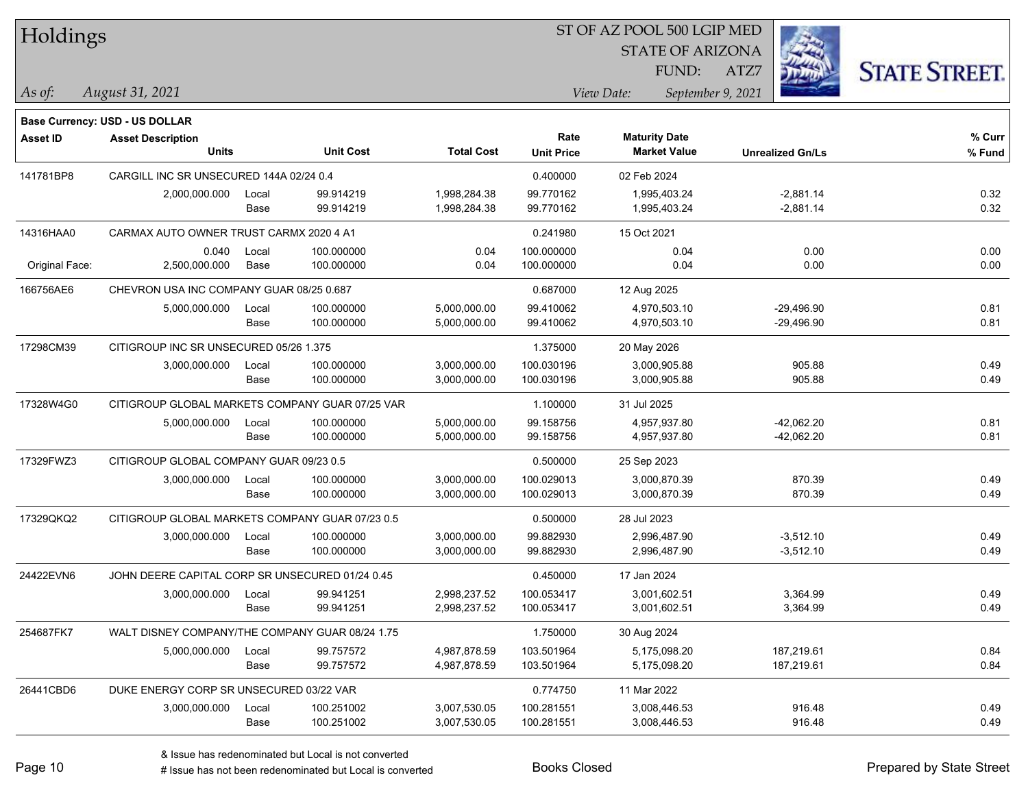| Holdings        |                                                            |       |                  | ST OF AZ POOL 500 LGIP MED |                   |                      |                         |                         |                      |
|-----------------|------------------------------------------------------------|-------|------------------|----------------------------|-------------------|----------------------|-------------------------|-------------------------|----------------------|
|                 |                                                            |       |                  |                            |                   |                      | <b>STATE OF ARIZONA</b> |                         |                      |
|                 |                                                            |       |                  |                            |                   | FUND:                | ATZ7                    |                         | <b>STATE STREET.</b> |
| $\vert$ As of:  | August 31, 2021                                            |       |                  |                            |                   | View Date:           | September 9, 2021       |                         |                      |
|                 |                                                            |       |                  |                            |                   |                      |                         |                         |                      |
| <b>Asset ID</b> | Base Currency: USD - US DOLLAR<br><b>Asset Description</b> |       |                  |                            | Rate              | <b>Maturity Date</b> |                         |                         | % Curr               |
|                 | <b>Units</b>                                               |       | <b>Unit Cost</b> | <b>Total Cost</b>          | <b>Unit Price</b> | <b>Market Value</b>  |                         | <b>Unrealized Gn/Ls</b> | % Fund               |
| 141781BP8       | CARGILL INC SR UNSECURED 144A 02/24 0.4                    |       |                  |                            | 0.400000          | 02 Feb 2024          |                         |                         |                      |
|                 | 2,000,000.000                                              | Local | 99.914219        | 1,998,284.38               | 99.770162         | 1,995,403.24         |                         | $-2,881.14$             | 0.32                 |
|                 |                                                            | Base  | 99.914219        | 1,998,284.38               | 99.770162         | 1,995,403.24         |                         | $-2,881.14$             | 0.32                 |
| 14316HAA0       | CARMAX AUTO OWNER TRUST CARMX 2020 4 A1                    |       |                  |                            | 0.241980          | 15 Oct 2021          |                         |                         |                      |
|                 | 0.040                                                      | Local | 100.000000       | 0.04                       | 100.000000        | 0.04                 |                         | 0.00                    | 0.00                 |
| Original Face:  | 2,500,000.000                                              | Base  | 100.000000       | 0.04                       | 100.000000        | 0.04                 |                         | 0.00                    | 0.00                 |
| 166756AE6       | CHEVRON USA INC COMPANY GUAR 08/25 0.687                   |       |                  |                            | 0.687000          | 12 Aug 2025          |                         |                         |                      |
|                 | 5,000,000.000                                              | Local | 100.000000       | 5,000,000.00               | 99.410062         | 4,970,503.10         |                         | $-29,496.90$            | 0.81                 |
|                 |                                                            | Base  | 100.000000       | 5,000,000.00               | 99.410062         | 4,970,503.10         |                         | $-29,496.90$            | 0.81                 |
| 17298CM39       | CITIGROUP INC SR UNSECURED 05/26 1.375                     |       |                  |                            | 1.375000          | 20 May 2026          |                         |                         |                      |
|                 | 3,000,000.000                                              | Local | 100.000000       | 3,000,000.00               | 100.030196        | 3,000,905.88         |                         | 905.88                  | 0.49                 |
|                 |                                                            | Base  | 100.000000       | 3,000,000.00               | 100.030196        | 3,000,905.88         |                         | 905.88                  | 0.49                 |
| 17328W4G0       | CITIGROUP GLOBAL MARKETS COMPANY GUAR 07/25 VAR            |       |                  |                            | 1.100000          | 31 Jul 2025          |                         |                         |                      |
|                 | 5,000,000.000                                              | Local | 100.000000       | 5,000,000.00               | 99.158756         | 4,957,937.80         |                         | $-42,062.20$            | 0.81                 |
|                 |                                                            | Base  | 100.000000       | 5,000,000.00               | 99.158756         | 4,957,937.80         |                         | $-42,062.20$            | 0.81                 |
| 17329FWZ3       | CITIGROUP GLOBAL COMPANY GUAR 09/23 0.5                    |       |                  |                            | 0.500000          | 25 Sep 2023          |                         |                         |                      |
|                 | 3,000,000.000                                              | Local | 100.000000       | 3,000,000.00               | 100.029013        | 3,000,870.39         |                         | 870.39                  | 0.49                 |
|                 |                                                            | Base  | 100.000000       | 3,000,000.00               | 100.029013        | 3,000,870.39         |                         | 870.39                  | 0.49                 |
| 17329QKQ2       | CITIGROUP GLOBAL MARKETS COMPANY GUAR 07/23 0.5            |       |                  |                            | 0.500000          | 28 Jul 2023          |                         |                         |                      |
|                 | 3,000,000.000                                              | Local | 100.000000       | 3,000,000.00               | 99.882930         | 2,996,487.90         |                         | $-3,512.10$             | 0.49                 |
|                 |                                                            | Base  | 100.000000       | 3,000,000.00               | 99.882930         | 2,996,487.90         |                         | $-3,512.10$             | 0.49                 |
| 24422EVN6       | JOHN DEERE CAPITAL CORP SR UNSECURED 01/24 0.45            |       |                  |                            | 0.450000          | 17 Jan 2024          |                         |                         |                      |
|                 | 3,000,000.000                                              | Local | 99.941251        | 2,998,237.52               | 100.053417        | 3,001,602.51         |                         | 3,364.99                | 0.49                 |
|                 |                                                            | Base  | 99.941251        | 2,998,237.52               | 100.053417        | 3,001,602.51         |                         | 3,364.99                | 0.49                 |
| 254687FK7       | WALT DISNEY COMPANY/THE COMPANY GUAR 08/24 1.75            |       |                  |                            | 1.750000          | 30 Aug 2024          |                         |                         |                      |
|                 | 5,000,000.000                                              | Local | 99.757572        | 4,987,878.59               | 103.501964        | 5,175,098.20         |                         | 187,219.61              | 0.84                 |
|                 |                                                            | Base  | 99.757572        | 4,987,878.59               | 103.501964        | 5,175,098.20         |                         | 187,219.61              | 0.84                 |
| 26441CBD6       | DUKE ENERGY CORP SR UNSECURED 03/22 VAR                    |       |                  |                            | 0.774750          | 11 Mar 2022          |                         |                         |                      |
|                 | 3,000,000.000                                              | Local | 100.251002       | 3,007,530.05               | 100.281551        | 3,008,446.53         |                         | 916.48                  | 0.49                 |
|                 |                                                            | Base  | 100.251002       | 3,007,530.05               | 100.281551        | 3,008,446.53         |                         | 916.48                  | 0.49                 |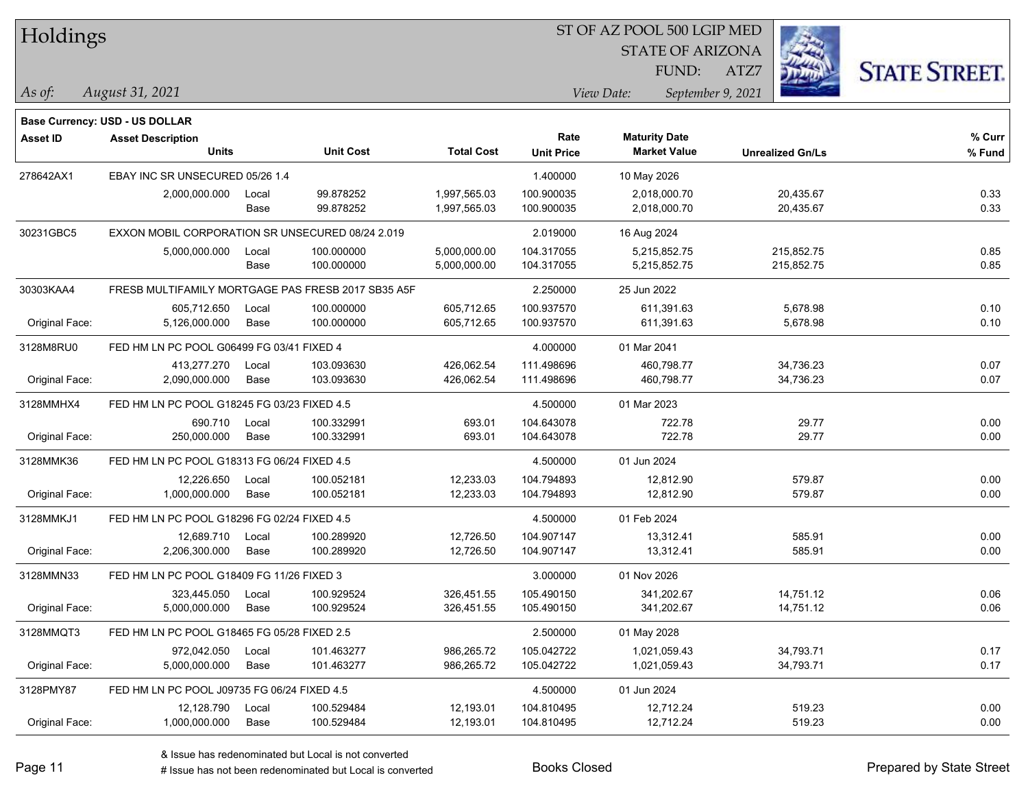| Holdings |
|----------|
|----------|

STATE OF ARIZONA FUND:

ATZ7



*As of: View Date: September 9, 2021*

| As of: | August 31, 2021 |
|--------|-----------------|
|        |                 |

|                 | <b>Base Currency: USD - US DOLLAR</b>            |       |                                                    |                   |                   |                      |                         |        |
|-----------------|--------------------------------------------------|-------|----------------------------------------------------|-------------------|-------------------|----------------------|-------------------------|--------|
| <b>Asset ID</b> | <b>Asset Description</b>                         |       |                                                    |                   | Rate              | <b>Maturity Date</b> |                         | % Curr |
|                 | <b>Units</b>                                     |       | <b>Unit Cost</b>                                   | <b>Total Cost</b> | <b>Unit Price</b> | <b>Market Value</b>  | <b>Unrealized Gn/Ls</b> | % Fund |
| 278642AX1       | EBAY INC SR UNSECURED 05/26 1.4                  |       |                                                    |                   | 1.400000          | 10 May 2026          |                         |        |
|                 | 2,000,000.000                                    | Local | 99.878252                                          | 1,997,565.03      | 100.900035        | 2,018,000.70         | 20,435.67               | 0.33   |
|                 |                                                  | Base  | 99.878252                                          | 1,997,565.03      | 100.900035        | 2,018,000.70         | 20,435.67               | 0.33   |
| 30231GBC5       | EXXON MOBIL CORPORATION SR UNSECURED 08/24 2.019 |       |                                                    |                   | 2.019000          | 16 Aug 2024          |                         |        |
|                 | 5,000,000.000                                    | Local | 100.000000                                         | 5,000,000.00      | 104.317055        | 5,215,852.75         | 215,852.75              | 0.85   |
|                 |                                                  | Base  | 100.000000                                         | 5,000,000.00      | 104.317055        | 5,215,852.75         | 215,852.75              | 0.85   |
| 30303KAA4       |                                                  |       | FRESB MULTIFAMILY MORTGAGE PAS FRESB 2017 SB35 A5F |                   | 2.250000          | 25 Jun 2022          |                         |        |
|                 | 605,712.650                                      | Local | 100.000000                                         | 605,712.65        | 100.937570        | 611,391.63           | 5,678.98                | 0.10   |
| Original Face:  | 5,126,000.000                                    | Base  | 100.000000                                         | 605,712.65        | 100.937570        | 611,391.63           | 5,678.98                | 0.10   |
| 3128M8RU0       | FED HM LN PC POOL G06499 FG 03/41 FIXED 4        |       |                                                    |                   | 4.000000          | 01 Mar 2041          |                         |        |
|                 | 413,277.270                                      | Local | 103.093630                                         | 426,062.54        | 111.498696        | 460,798.77           | 34,736.23               | 0.07   |
| Original Face:  | 2,090,000.000                                    | Base  | 103.093630                                         | 426,062.54        | 111.498696        | 460,798.77           | 34,736.23               | 0.07   |
| 3128MMHX4       | FED HM LN PC POOL G18245 FG 03/23 FIXED 4.5      |       |                                                    | 4.500000          | 01 Mar 2023       |                      |                         |        |
|                 | 690.710                                          | Local | 100.332991                                         | 693.01            | 104.643078        | 722.78               | 29.77                   | 0.00   |
| Original Face:  | 250,000.000                                      | Base  | 100.332991                                         | 693.01            | 104.643078        | 722.78               | 29.77                   | 0.00   |
| 3128MMK36       | FED HM LN PC POOL G18313 FG 06/24 FIXED 4.5      |       |                                                    |                   | 4.500000          | 01 Jun 2024          |                         |        |
|                 | 12,226.650                                       | Local | 100.052181                                         | 12,233.03         | 104.794893        | 12,812.90            | 579.87                  | 0.00   |
| Original Face:  | 1,000,000.000                                    | Base  | 100.052181                                         | 12,233.03         | 104.794893        | 12,812.90            | 579.87                  | 0.00   |
| 3128MMKJ1       | FED HM LN PC POOL G18296 FG 02/24 FIXED 4.5      |       |                                                    |                   | 4.500000          | 01 Feb 2024          |                         |        |
|                 | 12,689.710                                       | Local | 100.289920                                         | 12,726.50         | 104.907147        | 13,312.41            | 585.91                  | 0.00   |
| Original Face:  | 2,206,300.000                                    | Base  | 100.289920                                         | 12,726.50         | 104.907147        | 13,312.41            | 585.91                  | 0.00   |
| 3128MMN33       | FED HM LN PC POOL G18409 FG 11/26 FIXED 3        |       |                                                    |                   | 3.000000          | 01 Nov 2026          |                         |        |
|                 | 323,445.050                                      | Local | 100.929524                                         | 326,451.55        | 105.490150        | 341,202.67           | 14,751.12               | 0.06   |
| Original Face:  | 5,000,000.000                                    | Base  | 100.929524                                         | 326,451.55        | 105.490150        | 341,202.67           | 14,751.12               | 0.06   |
| 3128MMQT3       | FED HM LN PC POOL G18465 FG 05/28 FIXED 2.5      |       |                                                    |                   | 2.500000          | 01 May 2028          |                         |        |
|                 | 972,042.050                                      | Local | 101.463277                                         | 986,265.72        | 105.042722        | 1,021,059.43         | 34,793.71               | 0.17   |
| Original Face:  | 5,000,000.000                                    | Base  | 101.463277                                         | 986,265.72        | 105.042722        | 1,021,059.43         | 34,793.71               | 0.17   |
| 3128PMY87       | FED HM LN PC POOL J09735 FG 06/24 FIXED 4.5      |       |                                                    |                   | 4.500000          | 01 Jun 2024          |                         |        |
|                 | 12,128.790                                       | Local | 100.529484                                         | 12,193.01         | 104.810495        | 12,712.24            | 519.23                  | 0.00   |
| Original Face:  | 1,000,000.000                                    | Base  | 100.529484                                         | 12,193.01         | 104.810495        | 12,712.24            | 519.23                  | 0.00   |
|                 |                                                  |       |                                                    |                   |                   |                      |                         |        |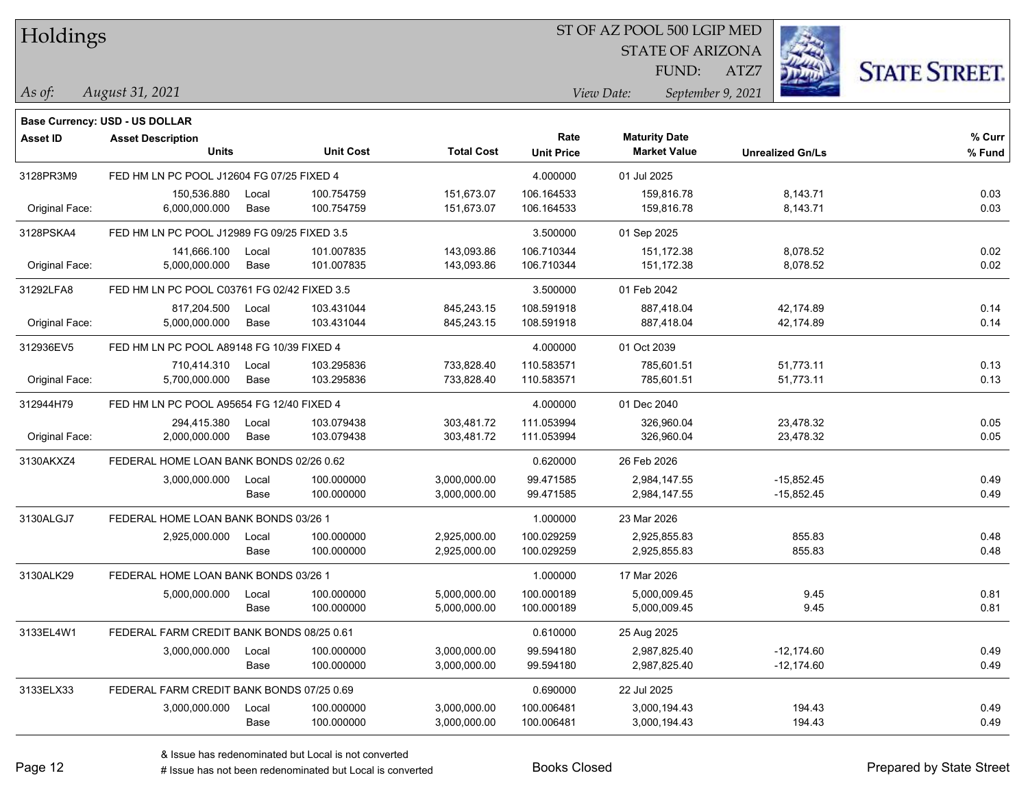| Holdings |
|----------|
|          |

STATE OF ARIZONA FUND:

ATZ7



*As of: View Date: September 9, 2021*

| As of: | August 31, 2021 |
|--------|-----------------|
|        |                 |

|                | Base Currency: USD - US DOLLAR              |       |                  |                   |                   |                      |                         |        |
|----------------|---------------------------------------------|-------|------------------|-------------------|-------------------|----------------------|-------------------------|--------|
| Asset ID       | <b>Asset Description</b>                    |       |                  |                   | Rate              | <b>Maturity Date</b> |                         | % Curr |
|                | <b>Units</b>                                |       | <b>Unit Cost</b> | <b>Total Cost</b> | <b>Unit Price</b> | <b>Market Value</b>  | <b>Unrealized Gn/Ls</b> | % Fund |
| 3128PR3M9      | FED HM LN PC POOL J12604 FG 07/25 FIXED 4   |       |                  |                   | 4.000000          | 01 Jul 2025          |                         |        |
|                | 150,536.880                                 | Local | 100.754759       | 151,673.07        | 106.164533        | 159,816.78           | 8,143.71                | 0.03   |
| Original Face: | 6,000,000.000                               | Base  | 100.754759       | 151,673.07        | 106.164533        | 159,816.78           | 8,143.71                | 0.03   |
| 3128PSKA4      | FED HM LN PC POOL J12989 FG 09/25 FIXED 3.5 |       |                  |                   | 3.500000          | 01 Sep 2025          |                         |        |
|                | 141,666.100                                 | Local | 101.007835       | 143,093.86        | 106.710344        | 151,172.38           | 8,078.52                | 0.02   |
| Original Face: | 5,000,000.000                               | Base  | 101.007835       | 143,093.86        | 106.710344        | 151,172.38           | 8,078.52                | 0.02   |
| 31292LFA8      | FED HM LN PC POOL C03761 FG 02/42 FIXED 3.5 |       |                  |                   | 3.500000          | 01 Feb 2042          |                         |        |
|                | 817,204.500                                 | Local | 103.431044       | 845,243.15        | 108.591918        | 887,418.04           | 42,174.89               | 0.14   |
| Original Face: | 5,000,000.000                               | Base  | 103.431044       | 845,243.15        | 108.591918        | 887,418.04           | 42,174.89               | 0.14   |
| 312936EV5      | FED HM LN PC POOL A89148 FG 10/39 FIXED 4   |       |                  |                   | 4.000000          | 01 Oct 2039          |                         |        |
|                | 710,414.310                                 | Local | 103.295836       | 733,828.40        | 110.583571        | 785,601.51           | 51,773.11               | 0.13   |
| Original Face: | 5,700,000.000                               | Base  | 103.295836       | 733,828.40        | 110.583571        | 785,601.51           | 51,773.11               | 0.13   |
| 312944H79      | FED HM LN PC POOL A95654 FG 12/40 FIXED 4   |       |                  | 4.000000          | 01 Dec 2040       |                      |                         |        |
|                | 294,415.380                                 | Local | 103.079438       | 303,481.72        | 111.053994        | 326,960.04           | 23,478.32               | 0.05   |
| Original Face: | 2,000,000.000                               | Base  | 103.079438       | 303,481.72        | 111.053994        | 326,960.04           | 23,478.32               | 0.05   |
| 3130AKXZ4      | FEDERAL HOME LOAN BANK BONDS 02/26 0.62     |       |                  |                   | 0.620000          | 26 Feb 2026          |                         |        |
|                | 3,000,000.000                               | Local | 100.000000       | 3,000,000.00      | 99.471585         | 2,984,147.55         | $-15.852.45$            | 0.49   |
|                |                                             | Base  | 100.000000       | 3,000,000.00      | 99.471585         | 2,984,147.55         | $-15,852.45$            | 0.49   |
| 3130ALGJ7      | FEDERAL HOME LOAN BANK BONDS 03/26 1        |       |                  |                   | 1.000000          | 23 Mar 2026          |                         |        |
|                | 2,925,000.000                               | Local | 100.000000       | 2,925,000.00      | 100.029259        | 2.925.855.83         | 855.83                  | 0.48   |
|                |                                             | Base  | 100.000000       | 2,925,000.00      | 100.029259        | 2,925,855.83         | 855.83                  | 0.48   |
| 3130ALK29      | FEDERAL HOME LOAN BANK BONDS 03/26 1        |       |                  |                   | 1.000000          | 17 Mar 2026          |                         |        |
|                | 5,000,000.000                               | Local | 100.000000       | 5,000,000.00      | 100.000189        | 5,000,009.45         | 9.45                    | 0.81   |
|                |                                             | Base  | 100.000000       | 5,000,000.00      | 100.000189        | 5,000,009.45         | 9.45                    | 0.81   |
| 3133EL4W1      | FEDERAL FARM CREDIT BANK BONDS 08/25 0.61   |       |                  |                   | 0.610000          | 25 Aug 2025          |                         |        |
|                | 3,000,000.000                               | Local | 100.000000       | 3,000,000.00      | 99.594180         | 2,987,825.40         | $-12,174.60$            | 0.49   |
|                |                                             | Base  | 100.000000       | 3,000,000.00      | 99.594180         | 2,987,825.40         | $-12,174.60$            | 0.49   |
| 3133ELX33      | FEDERAL FARM CREDIT BANK BONDS 07/25 0.69   |       |                  |                   | 0.690000          | 22 Jul 2025          |                         |        |
|                | 3,000,000.000                               | Local | 100.000000       | 3,000,000.00      | 100.006481        | 3,000,194.43         | 194.43                  | 0.49   |
|                |                                             | Base  | 100.000000       | 3,000,000.00      | 100.006481        | 3,000,194.43         | 194.43                  | 0.49   |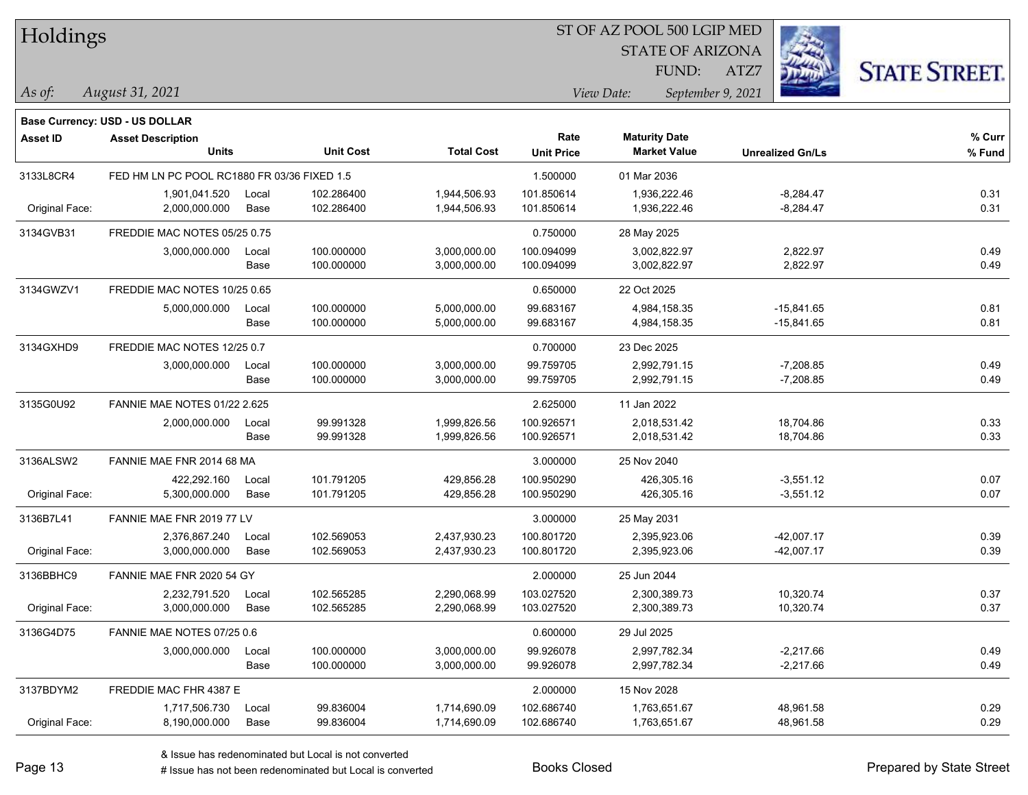| Holdings        |                                                                   |       |                  |                   |                   | ST OF AZ POOL 500 LGIP MED |                         |                      |  |
|-----------------|-------------------------------------------------------------------|-------|------------------|-------------------|-------------------|----------------------------|-------------------------|----------------------|--|
|                 |                                                                   |       |                  |                   |                   | <b>STATE OF ARIZONA</b>    |                         |                      |  |
|                 |                                                                   |       |                  |                   |                   | FUND:                      | ATZ7                    | <b>STATE STREET.</b> |  |
| $\vert$ As of:  | August 31, 2021                                                   |       |                  |                   |                   | View Date:                 | September 9, 2021       |                      |  |
|                 |                                                                   |       |                  |                   |                   |                            |                         |                      |  |
| <b>Asset ID</b> | <b>Base Currency: USD - US DOLLAR</b><br><b>Asset Description</b> |       |                  |                   | Rate              | <b>Maturity Date</b>       |                         | % Curr               |  |
|                 | <b>Units</b>                                                      |       | <b>Unit Cost</b> | <b>Total Cost</b> | <b>Unit Price</b> | <b>Market Value</b>        | <b>Unrealized Gn/Ls</b> | % Fund               |  |
| 3133L8CR4       | FED HM LN PC POOL RC1880 FR 03/36 FIXED 1.5                       |       |                  |                   | 1.500000          | 01 Mar 2036                |                         |                      |  |
|                 | 1,901,041.520                                                     | Local | 102.286400       | 1,944,506.93      | 101.850614        | 1,936,222.46               | $-8,284.47$             | 0.31                 |  |
| Original Face:  | 2,000,000.000                                                     | Base  | 102.286400       | 1,944,506.93      | 101.850614        | 1,936,222.46               | $-8,284.47$             | 0.31                 |  |
| 3134GVB31       | FREDDIE MAC NOTES 05/25 0.75                                      |       |                  |                   | 0.750000          | 28 May 2025                |                         |                      |  |
|                 | 3,000,000.000                                                     | Local | 100.000000       | 3,000,000.00      | 100.094099        | 3,002,822.97               | 2,822.97                | 0.49                 |  |
|                 |                                                                   | Base  | 100.000000       | 3,000,000.00      | 100.094099        | 3,002,822.97               | 2,822.97                | 0.49                 |  |
| 3134GWZV1       | FREDDIE MAC NOTES 10/25 0.65                                      |       |                  |                   | 0.650000          | 22 Oct 2025                |                         |                      |  |
|                 | 5,000,000.000                                                     | Local | 100.000000       | 5,000,000.00      | 99.683167         | 4,984,158.35               | $-15,841.65$            | 0.81                 |  |
|                 |                                                                   | Base  | 100.000000       | 5,000,000.00      | 99.683167         | 4,984,158.35               | $-15,841.65$            | 0.81                 |  |
| 3134GXHD9       | FREDDIE MAC NOTES 12/25 0.7                                       |       |                  |                   | 0.700000          | 23 Dec 2025                |                         |                      |  |
|                 | 3,000,000.000                                                     | Local | 100.000000       | 3,000,000.00      | 99.759705         | 2,992,791.15               | $-7,208.85$             | 0.49                 |  |
|                 |                                                                   | Base  | 100.000000       | 3,000,000.00      | 99.759705         | 2,992,791.15               | $-7,208.85$             | 0.49                 |  |
| 3135G0U92       | FANNIE MAE NOTES 01/22 2.625                                      |       |                  |                   | 2.625000          | 11 Jan 2022                |                         |                      |  |
|                 | 2,000,000.000                                                     | Local | 99.991328        | 1,999,826.56      | 100.926571        | 2,018,531.42               | 18,704.86               | 0.33                 |  |
|                 |                                                                   | Base  | 99.991328        | 1,999,826.56      | 100.926571        | 2,018,531.42               | 18,704.86               | 0.33                 |  |
| 3136ALSW2       | FANNIE MAE FNR 2014 68 MA                                         |       |                  |                   | 3.000000          | 25 Nov 2040                |                         |                      |  |
|                 | 422,292.160                                                       | Local | 101.791205       | 429,856.28        | 100.950290        | 426,305.16                 | $-3,551.12$             | 0.07                 |  |
| Original Face:  | 5,300,000.000                                                     | Base  | 101.791205       | 429,856.28        | 100.950290        | 426,305.16                 | $-3,551.12$             | 0.07                 |  |
| 3136B7L41       | FANNIE MAE FNR 2019 77 LV                                         |       |                  |                   | 3.000000          | 25 May 2031                |                         |                      |  |
|                 | 2,376,867.240                                                     | Local | 102.569053       | 2,437,930.23      | 100.801720        | 2,395,923.06               | $-42,007.17$            | 0.39                 |  |
| Original Face:  | 3,000,000.000                                                     | Base  | 102.569053       | 2,437,930.23      | 100.801720        | 2,395,923.06               | $-42,007.17$            | 0.39                 |  |
| 3136BBHC9       | FANNIE MAE FNR 2020 54 GY                                         |       |                  |                   | 2.000000          | 25 Jun 2044                |                         |                      |  |
|                 | 2,232,791.520                                                     | Local | 102.565285       | 2.290.068.99      | 103.027520        | 2,300,389.73               | 10,320.74               | 0.37                 |  |
| Original Face:  | 3,000,000.000                                                     | Base  | 102.565285       | 2,290,068.99      | 103.027520        | 2,300,389.73               | 10,320.74               | 0.37                 |  |
| 3136G4D75       | FANNIE MAE NOTES 07/25 0.6                                        |       |                  |                   | 0.600000          | 29 Jul 2025                |                         |                      |  |
|                 | 3,000,000.000                                                     | Local | 100.000000       | 3,000,000.00      | 99.926078         | 2,997,782.34               | $-2,217.66$             | 0.49                 |  |
|                 |                                                                   | Base  | 100.000000       | 3,000,000.00      | 99.926078         | 2,997,782.34               | $-2,217.66$             | 0.49                 |  |
| 3137BDYM2       | FREDDIE MAC FHR 4387 E                                            |       |                  |                   | 2.000000          | 15 Nov 2028                |                         |                      |  |
|                 | 1,717,506.730                                                     | Local | 99.836004        | 1,714,690.09      | 102.686740        | 1,763,651.67               | 48,961.58               | 0.29                 |  |
| Original Face:  | 8,190,000.000                                                     | Base  | 99.836004        | 1,714,690.09      | 102.686740        | 1,763,651.67               | 48,961.58               | 0.29                 |  |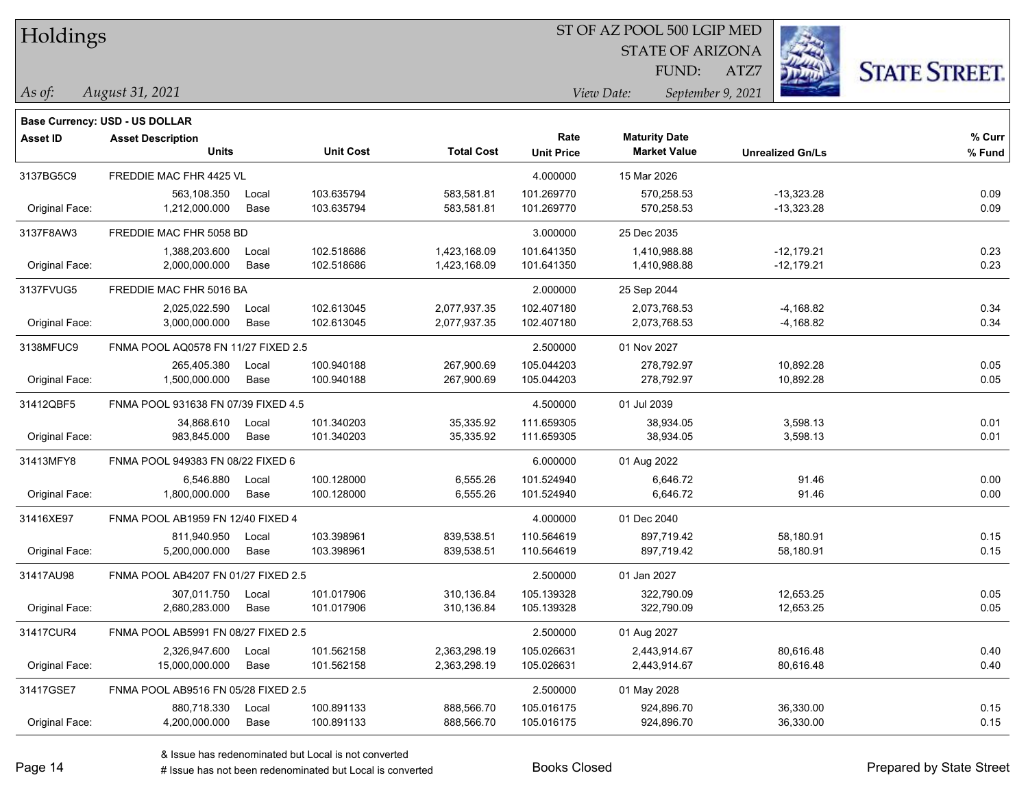| Holdings |
|----------|
|          |

STATE OF ARIZONA FUND:

ATZ7



*August 31, 2021 As of: View Date: September 9, 2021*

|                 | <b>Base Currency: USD - US DOLLAR</b> |       |                  |                   |                   |                      |                         |        |
|-----------------|---------------------------------------|-------|------------------|-------------------|-------------------|----------------------|-------------------------|--------|
| <b>Asset ID</b> | <b>Asset Description</b>              |       |                  |                   | Rate              | <b>Maturity Date</b> |                         | % Curr |
|                 | <b>Units</b>                          |       | <b>Unit Cost</b> | <b>Total Cost</b> | <b>Unit Price</b> | <b>Market Value</b>  | <b>Unrealized Gn/Ls</b> | % Fund |
| 3137BG5C9       | FREDDIE MAC FHR 4425 VL               |       |                  |                   | 4.000000          | 15 Mar 2026          |                         |        |
|                 | 563,108.350                           | Local | 103.635794       | 583,581.81        | 101.269770        | 570,258.53           | -13,323.28              | 0.09   |
| Original Face:  | 1,212,000.000                         | Base  | 103.635794       | 583,581.81        | 101.269770        | 570,258.53           | $-13,323.28$            | 0.09   |
| 3137F8AW3       | FREDDIE MAC FHR 5058 BD               |       |                  |                   | 3.000000          | 25 Dec 2035          |                         |        |
|                 | 1,388,203.600                         | Local | 102.518686       | 1,423,168.09      | 101.641350        | 1,410,988.88         | -12,179.21              | 0.23   |
| Original Face:  | 2,000,000.000                         | Base  | 102.518686       | 1,423,168.09      | 101.641350        | 1,410,988.88         | $-12,179.21$            | 0.23   |
| 3137FVUG5       | FREDDIE MAC FHR 5016 BA               |       |                  |                   | 2.000000          | 25 Sep 2044          |                         |        |
|                 | 2,025,022.590                         | Local | 102.613045       | 2,077,937.35      | 102.407180        | 2,073,768.53         | $-4,168.82$             | 0.34   |
| Original Face:  | 3,000,000.000                         | Base  | 102.613045       | 2,077,937.35      | 102.407180        | 2,073,768.53         | $-4,168.82$             | 0.34   |
| 3138MFUC9       | FNMA POOL AQ0578 FN 11/27 FIXED 2.5   |       |                  |                   | 2.500000          | 01 Nov 2027          |                         |        |
|                 | 265,405.380                           | Local | 100.940188       | 267,900.69        | 105.044203        | 278,792.97           | 10,892.28               | 0.05   |
| Original Face:  | 1,500,000.000                         | Base  | 100.940188       | 267,900.69        | 105.044203        | 278,792.97           | 10,892.28               | 0.05   |
| 31412QBF5       | FNMA POOL 931638 FN 07/39 FIXED 4.5   |       |                  |                   | 4.500000          | 01 Jul 2039          |                         |        |
|                 | 34,868.610                            | Local | 101.340203       | 35,335.92         | 111.659305        | 38,934.05            | 3,598.13                | 0.01   |
| Original Face:  | 983,845.000                           | Base  | 101.340203       | 35,335.92         | 111.659305        | 38,934.05            | 3,598.13                | 0.01   |
| 31413MFY8       | FNMA POOL 949383 FN 08/22 FIXED 6     |       |                  |                   | 6.000000          | 01 Aug 2022          |                         |        |
|                 | 6,546.880                             | Local | 100.128000       | 6,555.26          | 101.524940        | 6,646.72             | 91.46                   | 0.00   |
| Original Face:  | 1,800,000.000                         | Base  | 100.128000       | 6,555.26          | 101.524940        | 6,646.72             | 91.46                   | 0.00   |
| 31416XE97       | FNMA POOL AB1959 FN 12/40 FIXED 4     |       |                  |                   | 4.000000          | 01 Dec 2040          |                         |        |
|                 | 811,940.950                           | Local | 103.398961       | 839,538.51        | 110.564619        | 897,719.42           | 58,180.91               | 0.15   |
| Original Face:  | 5,200,000.000                         | Base  | 103.398961       | 839,538.51        | 110.564619        | 897,719.42           | 58,180.91               | 0.15   |
| 31417AU98       | FNMA POOL AB4207 FN 01/27 FIXED 2.5   |       |                  |                   | 2.500000          | 01 Jan 2027          |                         |        |
|                 | 307,011.750                           | Local | 101.017906       | 310,136.84        | 105.139328        | 322,790.09           | 12,653.25               | 0.05   |
| Original Face:  | 2,680,283.000                         | Base  | 101.017906       | 310,136.84        | 105.139328        | 322,790.09           | 12,653.25               | 0.05   |
| 31417CUR4       | FNMA POOL AB5991 FN 08/27 FIXED 2.5   |       |                  |                   | 2.500000          | 01 Aug 2027          |                         |        |
|                 | 2,326,947.600                         | Local | 101.562158       | 2,363,298.19      | 105.026631        | 2,443,914.67         | 80,616.48               | 0.40   |
| Original Face:  | 15,000,000.000                        | Base  | 101.562158       | 2,363,298.19      | 105.026631        | 2,443,914.67         | 80,616.48               | 0.40   |
| 31417GSE7       | FNMA POOL AB9516 FN 05/28 FIXED 2.5   |       |                  |                   | 2.500000          | 01 May 2028          |                         |        |
|                 | 880,718.330                           | Local | 100.891133       | 888,566.70        | 105.016175        | 924,896.70           | 36,330.00               | 0.15   |
| Original Face:  | 4,200,000.000                         | Base  | 100.891133       | 888,566.70        | 105.016175        | 924,896.70           | 36,330.00               | 0.15   |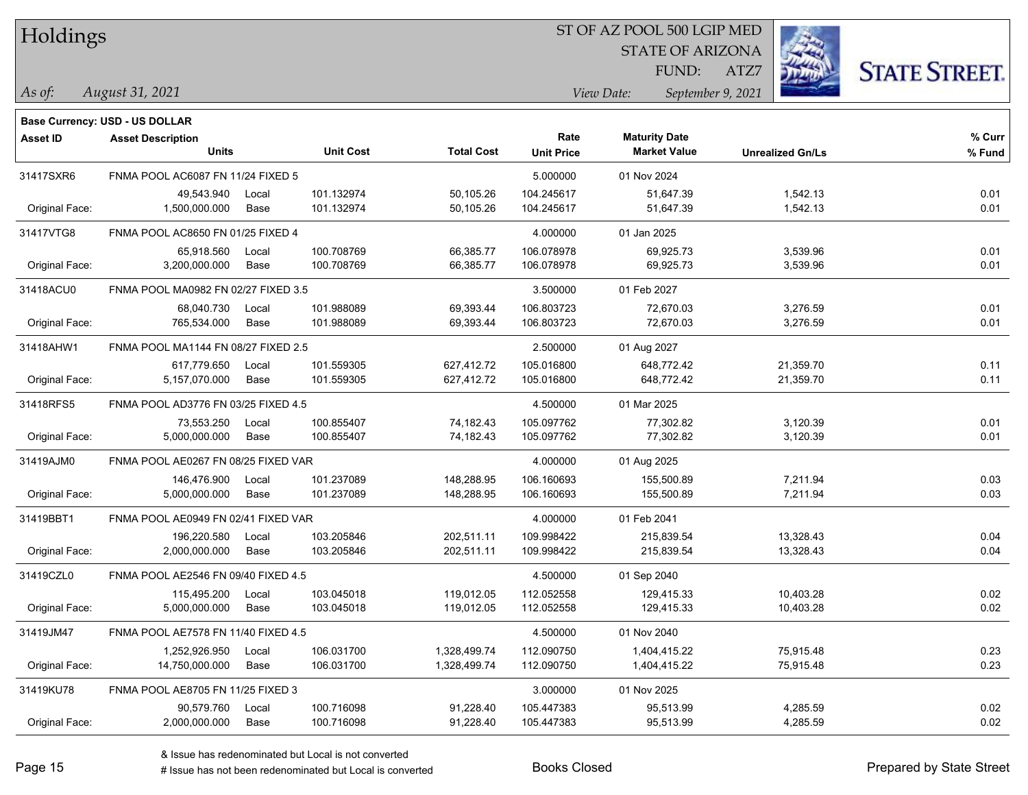| Holdings |
|----------|
|          |

STATE OF ARIZONA

ATZ7



**Base Currency: USD - US DOLLAR**

*August 31, 2021 As of: View Date: September 9, 2021* FUND:

| Asset ID       | <b>Asset Description</b>            |       |                  |                   | Rate              | <b>Maturity Date</b> |                         | % Curr |
|----------------|-------------------------------------|-------|------------------|-------------------|-------------------|----------------------|-------------------------|--------|
|                | <b>Units</b>                        |       | <b>Unit Cost</b> | <b>Total Cost</b> | <b>Unit Price</b> | <b>Market Value</b>  | <b>Unrealized Gn/Ls</b> | % Fund |
| 31417SXR6      | FNMA POOL AC6087 FN 11/24 FIXED 5   |       |                  |                   | 5.000000          | 01 Nov 2024          |                         |        |
|                | 49,543.940                          | Local | 101.132974       | 50,105.26         | 104.245617        | 51,647.39            | 1,542.13                | 0.01   |
| Original Face: | 1,500,000.000                       | Base  | 101.132974       | 50,105.26         | 104.245617        | 51,647.39            | 1,542.13                | 0.01   |
| 31417VTG8      | FNMA POOL AC8650 FN 01/25 FIXED 4   |       |                  |                   | 4.000000          | 01 Jan 2025          |                         |        |
|                | 65,918.560                          | Local | 100.708769       | 66,385.77         | 106.078978        | 69,925.73            | 3,539.96                | 0.01   |
| Original Face: | 3,200,000.000                       | Base  | 100.708769       | 66,385.77         | 106.078978        | 69,925.73            | 3,539.96                | 0.01   |
| 31418ACU0      | FNMA POOL MA0982 FN 02/27 FIXED 3.5 |       |                  |                   | 3.500000          | 01 Feb 2027          |                         |        |
|                | 68,040.730                          | Local | 101.988089       | 69,393.44         | 106.803723        | 72,670.03            | 3,276.59                | 0.01   |
| Original Face: | 765,534.000                         | Base  | 101.988089       | 69,393.44         | 106.803723        | 72,670.03            | 3,276.59                | 0.01   |
| 31418AHW1      | FNMA POOL MA1144 FN 08/27 FIXED 2.5 |       |                  |                   | 2.500000          | 01 Aug 2027          |                         |        |
|                | 617,779.650                         | Local | 101.559305       | 627,412.72        | 105.016800        | 648,772.42           | 21,359.70               | 0.11   |
| Original Face: | 5,157,070.000                       | Base  | 101.559305       | 627,412.72        | 105.016800        | 648,772.42           | 21,359.70               | 0.11   |
| 31418RFS5      | FNMA POOL AD3776 FN 03/25 FIXED 4.5 |       |                  |                   | 4.500000          | 01 Mar 2025          |                         |        |
|                | 73,553.250                          | Local | 100.855407       | 74,182.43         | 105.097762        | 77,302.82            | 3,120.39                | 0.01   |
| Original Face: | 5,000,000.000                       | Base  | 100.855407       | 74,182.43         | 105.097762        | 77,302.82            | 3,120.39                | 0.01   |
| 31419AJM0      | FNMA POOL AE0267 FN 08/25 FIXED VAR |       |                  |                   | 4.000000          | 01 Aug 2025          |                         |        |
|                | 146,476.900                         | Local | 101.237089       | 148,288.95        | 106.160693        | 155,500.89           | 7,211.94                | 0.03   |
| Original Face: | 5,000,000.000                       | Base  | 101.237089       | 148,288.95        | 106.160693        | 155,500.89           | 7,211.94                | 0.03   |
| 31419BBT1      | FNMA POOL AE0949 FN 02/41 FIXED VAR |       |                  |                   | 4.000000          | 01 Feb 2041          |                         |        |
|                | 196,220.580                         | Local | 103.205846       | 202,511.11        | 109.998422        | 215,839.54           | 13,328.43               | 0.04   |
| Original Face: | 2,000,000.000                       | Base  | 103.205846       | 202,511.11        | 109.998422        | 215,839.54           | 13,328.43               | 0.04   |
| 31419CZL0      | FNMA POOL AE2546 FN 09/40 FIXED 4.5 |       |                  |                   | 4.500000          | 01 Sep 2040          |                         |        |
|                | 115,495.200                         | Local | 103.045018       | 119,012.05        | 112.052558        | 129,415.33           | 10,403.28               | 0.02   |
| Original Face: | 5,000,000.000                       | Base  | 103.045018       | 119,012.05        | 112.052558        | 129,415.33           | 10,403.28               | 0.02   |
| 31419JM47      | FNMA POOL AE7578 FN 11/40 FIXED 4.5 |       |                  |                   | 4.500000          | 01 Nov 2040          |                         |        |
|                | 1,252,926.950                       | Local | 106.031700       | 1,328,499.74      | 112.090750        | 1,404,415.22         | 75,915.48               | 0.23   |
| Original Face: | 14,750,000.000                      | Base  | 106.031700       | 1,328,499.74      | 112.090750        | 1,404,415.22         | 75,915.48               | 0.23   |
| 31419KU78      | FNMA POOL AE8705 FN 11/25 FIXED 3   |       |                  |                   | 3.000000          | 01 Nov 2025          |                         |        |
|                | 90,579.760                          | Local | 100.716098       | 91,228.40         | 105.447383        | 95,513.99            | 4,285.59                | 0.02   |
| Original Face: | 2,000,000.000                       | Base  | 100.716098       | 91,228.40         | 105.447383        | 95,513.99            | 4,285.59                | 0.02   |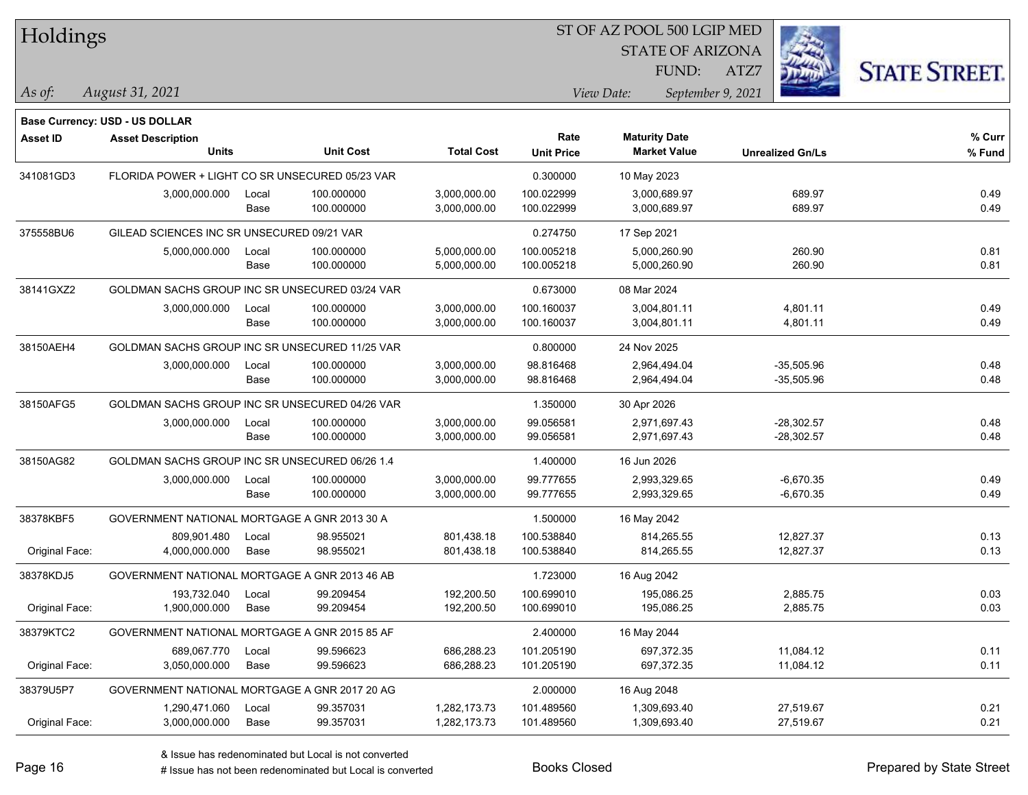| Holdings        |                                                 |       |                  |                   | ST OF AZ POOL 500 LGIP MED |             |                                             |      |                         |                      |
|-----------------|-------------------------------------------------|-------|------------------|-------------------|----------------------------|-------------|---------------------------------------------|------|-------------------------|----------------------|
|                 |                                                 |       |                  |                   |                            |             | <b>STATE OF ARIZONA</b>                     |      |                         |                      |
|                 |                                                 |       |                  |                   |                            |             | FUND:                                       | ATZ7 |                         | <b>STATE STREET.</b> |
| $ $ As of:      | August 31, 2021                                 |       |                  |                   |                            | View Date:  | September 9, 2021                           |      |                         |                      |
|                 |                                                 |       |                  |                   |                            |             |                                             |      |                         |                      |
|                 | <b>Base Currency: USD - US DOLLAR</b>           |       |                  |                   |                            |             |                                             |      |                         |                      |
| <b>Asset ID</b> | <b>Asset Description</b><br><b>Units</b>        |       | <b>Unit Cost</b> | <b>Total Cost</b> | Rate<br><b>Unit Price</b>  |             | <b>Maturity Date</b><br><b>Market Value</b> |      | <b>Unrealized Gn/Ls</b> | % Curr<br>% Fund     |
|                 |                                                 |       |                  |                   |                            |             |                                             |      |                         |                      |
| 341081GD3       | FLORIDA POWER + LIGHT CO SR UNSECURED 05/23 VAR |       |                  |                   | 0.300000                   | 10 May 2023 |                                             |      |                         |                      |
|                 | 3,000,000.000                                   | Local | 100.000000       | 3,000,000.00      | 100.022999                 |             | 3,000,689.97                                |      | 689.97                  | 0.49                 |
|                 |                                                 | Base  | 100.000000       | 3,000,000.00      | 100.022999                 |             | 3,000,689.97                                |      | 689.97                  | 0.49                 |
| 375558BU6       | GILEAD SCIENCES INC SR UNSECURED 09/21 VAR      |       |                  |                   | 0.274750                   | 17 Sep 2021 |                                             |      |                         |                      |
|                 | 5,000,000.000                                   | Local | 100.000000       | 5,000,000.00      | 100.005218                 |             | 5,000,260.90                                |      | 260.90                  | 0.81                 |
|                 |                                                 | Base  | 100.000000       | 5,000,000.00      | 100.005218                 |             | 5,000,260.90                                |      | 260.90                  | 0.81                 |
| 38141GXZ2       | GOLDMAN SACHS GROUP INC SR UNSECURED 03/24 VAR  |       |                  |                   | 0.673000                   | 08 Mar 2024 |                                             |      |                         |                      |
|                 | 3,000,000.000                                   | Local | 100.000000       | 3,000,000.00      | 100.160037                 |             | 3,004,801.11                                |      | 4,801.11                | 0.49                 |
|                 |                                                 | Base  | 100.000000       | 3,000,000.00      | 100.160037                 |             | 3,004,801.11                                |      | 4,801.11                | 0.49                 |
| 38150AEH4       | GOLDMAN SACHS GROUP INC SR UNSECURED 11/25 VAR  |       |                  |                   | 0.800000                   | 24 Nov 2025 |                                             |      |                         |                      |
|                 | 3,000,000.000                                   | Local | 100.000000       | 3,000,000.00      | 98.816468                  |             | 2,964,494.04                                |      | $-35,505.96$            | 0.48                 |
|                 |                                                 | Base  | 100.000000       | 3,000,000.00      | 98.816468                  |             | 2,964,494.04                                |      | $-35,505.96$            | 0.48                 |
| 38150AFG5       | GOLDMAN SACHS GROUP INC SR UNSECURED 04/26 VAR  |       |                  |                   | 1.350000                   | 30 Apr 2026 |                                             |      |                         |                      |
|                 | 3,000,000.000                                   | Local | 100.000000       | 3,000,000.00      | 99.056581                  |             | 2,971,697.43                                |      | $-28,302.57$            | 0.48                 |
|                 |                                                 | Base  | 100.000000       | 3,000,000.00      | 99.056581                  |             | 2,971,697.43                                |      | $-28,302.57$            | 0.48                 |
| 38150AG82       | GOLDMAN SACHS GROUP INC SR UNSECURED 06/26 1.4  |       |                  |                   | 1.400000                   | 16 Jun 2026 |                                             |      |                         |                      |
|                 | 3,000,000.000                                   | Local | 100.000000       | 3,000,000.00      | 99.777655                  |             | 2,993,329.65                                |      | $-6,670.35$             | 0.49                 |
|                 |                                                 | Base  | 100.000000       | 3,000,000.00      | 99.777655                  |             | 2,993,329.65                                |      | $-6,670.35$             | 0.49                 |
| 38378KBF5       | GOVERNMENT NATIONAL MORTGAGE A GNR 2013 30 A    |       |                  |                   | 1.500000                   | 16 May 2042 |                                             |      |                         |                      |
|                 | 809,901.480                                     | Local | 98.955021        | 801,438.18        | 100.538840                 |             | 814,265.55                                  |      | 12,827.37               | 0.13                 |
| Original Face:  | 4,000,000.000                                   | Base  | 98.955021        | 801,438.18        | 100.538840                 |             | 814,265.55                                  |      | 12,827.37               | 0.13                 |
| 38378KDJ5       | GOVERNMENT NATIONAL MORTGAGE A GNR 2013 46 AB   |       |                  |                   | 1.723000                   | 16 Aug 2042 |                                             |      |                         |                      |
|                 | 193,732.040                                     | Local | 99.209454        | 192,200.50        | 100.699010                 |             | 195,086.25                                  |      | 2,885.75                | 0.03                 |
| Original Face:  | 1,900,000.000                                   | Base  | 99.209454        | 192,200.50        | 100.699010                 |             | 195,086.25                                  |      | 2,885.75                | 0.03                 |
| 38379KTC2       | GOVERNMENT NATIONAL MORTGAGE A GNR 2015 85 AF   |       |                  |                   | 2.400000                   | 16 May 2044 |                                             |      |                         |                      |
|                 | 689,067.770                                     | Local | 99.596623        | 686,288.23        | 101.205190                 |             | 697,372.35                                  |      | 11,084.12               | 0.11                 |
| Original Face:  | 3,050,000.000                                   | Base  | 99.596623        | 686,288.23        | 101.205190                 |             | 697,372.35                                  |      | 11,084.12               | 0.11                 |
| 38379U5P7       | GOVERNMENT NATIONAL MORTGAGE A GNR 2017 20 AG   |       |                  |                   | 2.000000                   | 16 Aug 2048 |                                             |      |                         |                      |
|                 | 1,290,471.060                                   | Local | 99.357031        | 1,282,173.73      | 101.489560                 |             | 1,309,693.40                                |      | 27,519.67               | 0.21                 |
| Original Face:  | 3,000,000.000                                   | Base  | 99.357031        | 1,282,173.73      | 101.489560                 |             | 1,309,693.40                                |      | 27,519.67               | 0.21                 |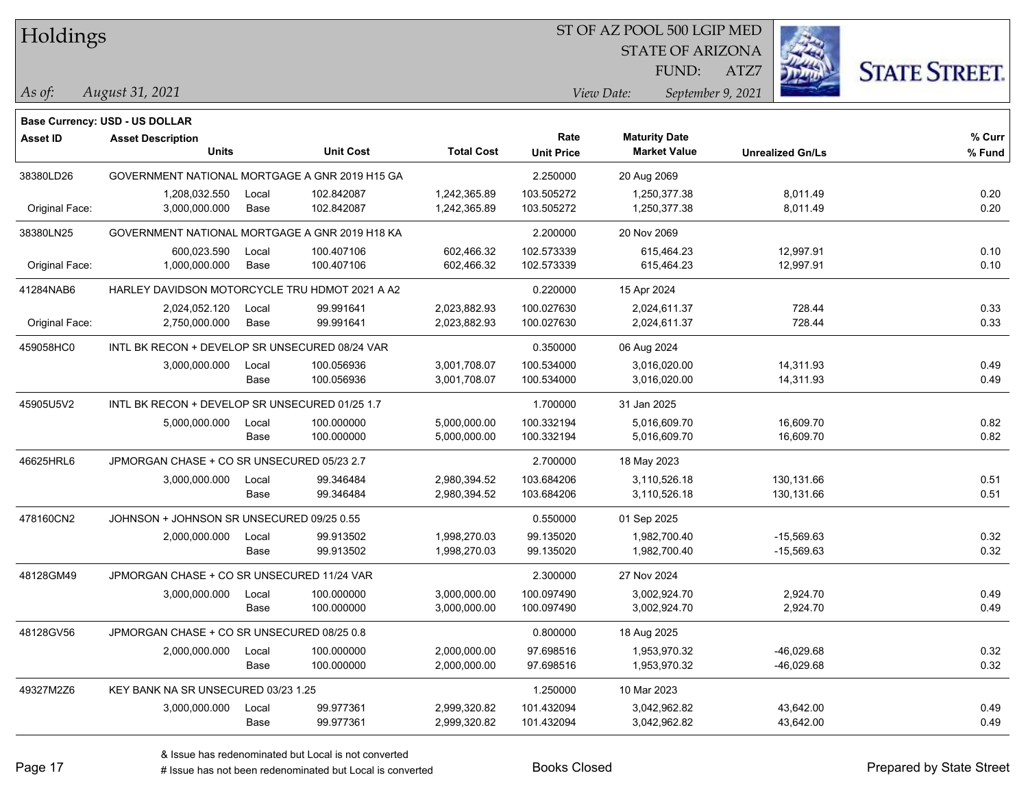| Holdings |
|----------|
|----------|

STATE OF ARIZONA FUND:

ATZ7



*August 31, 2021 As of: View Date: September 9, 2021*

**Base Currency: USD - US DOLLAR**

| Asset ID       | <b>Asset Description</b>                       |       |                  |                   | Rate              | <b>Maturity Date</b> |                         | % Curr |
|----------------|------------------------------------------------|-------|------------------|-------------------|-------------------|----------------------|-------------------------|--------|
|                | <b>Units</b>                                   |       | <b>Unit Cost</b> | <b>Total Cost</b> | <b>Unit Price</b> | <b>Market Value</b>  | <b>Unrealized Gn/Ls</b> | % Fund |
| 38380LD26      | GOVERNMENT NATIONAL MORTGAGE A GNR 2019 H15 GA |       |                  |                   | 2.250000          | 20 Aug 2069          |                         |        |
|                | 1,208,032.550                                  | Local | 102.842087       | 1,242,365.89      | 103.505272        | 1,250,377.38         | 8,011.49                | 0.20   |
| Original Face: | 3,000,000.000                                  | Base  | 102.842087       | 1,242,365.89      | 103.505272        | 1,250,377.38         | 8,011.49                | 0.20   |
| 38380LN25      | GOVERNMENT NATIONAL MORTGAGE A GNR 2019 H18 KA |       |                  |                   | 2.200000          | 20 Nov 2069          |                         |        |
|                | 600,023.590                                    | Local | 100.407106       | 602,466.32        | 102.573339        | 615,464.23           | 12,997.91               | 0.10   |
| Original Face: | 1,000,000.000                                  | Base  | 100.407106       | 602,466.32        | 102.573339        | 615,464.23           | 12,997.91               | 0.10   |
| 41284NAB6      | HARLEY DAVIDSON MOTORCYCLE TRU HDMOT 2021 A A2 |       |                  |                   | 0.220000          | 15 Apr 2024          |                         |        |
|                | 2,024,052.120                                  | Local | 99.991641        | 2,023,882.93      | 100.027630        | 2,024,611.37         | 728.44                  | 0.33   |
| Original Face: | 2,750,000.000                                  | Base  | 99.991641        | 2,023,882.93      | 100.027630        | 2,024,611.37         | 728.44                  | 0.33   |
| 459058HC0      | INTL BK RECON + DEVELOP SR UNSECURED 08/24 VAR |       |                  |                   | 0.350000          | 06 Aug 2024          |                         |        |
|                | 3,000,000.000                                  | Local | 100.056936       | 3,001,708.07      | 100.534000        | 3,016,020.00         | 14,311.93               | 0.49   |
|                |                                                | Base  | 100.056936       | 3,001,708.07      | 100.534000        | 3,016,020.00         | 14,311.93               | 0.49   |
| 45905U5V2      | INTL BK RECON + DEVELOP SR UNSECURED 01/25 1.7 |       |                  |                   | 1.700000          | 31 Jan 2025          |                         |        |
|                | 5,000,000.000                                  | Local | 100.000000       | 5,000,000.00      | 100.332194        | 5,016,609.70         | 16,609.70               | 0.82   |
|                |                                                | Base  | 100.000000       | 5,000,000.00      | 100.332194        | 5,016,609.70         | 16,609.70               | 0.82   |
| 46625HRL6      | JPMORGAN CHASE + CO SR UNSECURED 05/23 2.7     |       |                  |                   | 2.700000          | 18 May 2023          |                         |        |
|                | 3,000,000.000                                  | Local | 99.346484        | 2,980,394.52      | 103.684206        | 3,110,526.18         | 130,131.66              | 0.51   |
|                |                                                | Base  | 99.346484        | 2,980,394.52      | 103.684206        | 3,110,526.18         | 130,131.66              | 0.51   |
| 478160CN2      | JOHNSON + JOHNSON SR UNSECURED 09/25 0.55      |       |                  |                   | 0.550000          | 01 Sep 2025          |                         |        |
|                | 2,000,000.000                                  | Local | 99.913502        | 1,998,270.03      | 99.135020         | 1,982,700.40         | $-15,569.63$            | 0.32   |
|                |                                                | Base  | 99.913502        | 1,998,270.03      | 99.135020         | 1,982,700.40         | $-15,569.63$            | 0.32   |
| 48128GM49      | JPMORGAN CHASE + CO SR UNSECURED 11/24 VAR     |       |                  |                   | 2.300000          | 27 Nov 2024          |                         |        |
|                | 3,000,000.000                                  | Local | 100.000000       | 3,000,000.00      | 100.097490        | 3,002,924.70         | 2,924.70                | 0.49   |
|                |                                                | Base  | 100.000000       | 3,000,000.00      | 100.097490        | 3,002,924.70         | 2,924.70                | 0.49   |
| 48128GV56      | JPMORGAN CHASE + CO SR UNSECURED 08/25 0.8     |       |                  |                   | 0.800000          | 18 Aug 2025          |                         |        |
|                | 2,000,000.000                                  | Local | 100.000000       | 2,000,000.00      | 97.698516         | 1,953,970.32         | $-46,029.68$            | 0.32   |
|                |                                                | Base  | 100.000000       | 2,000,000.00      | 97.698516         | 1,953,970.32         | $-46,029.68$            | 0.32   |
| 49327M2Z6      | KEY BANK NA SR UNSECURED 03/23 1.25            |       |                  |                   | 1.250000          | 10 Mar 2023          |                         |        |
|                | 3,000,000.000                                  | Local | 99.977361        | 2,999,320.82      | 101.432094        | 3,042,962.82         | 43,642.00               | 0.49   |
|                |                                                | Base  | 99.977361        | 2,999,320.82      | 101.432094        | 3,042,962.82         | 43,642.00               | 0.49   |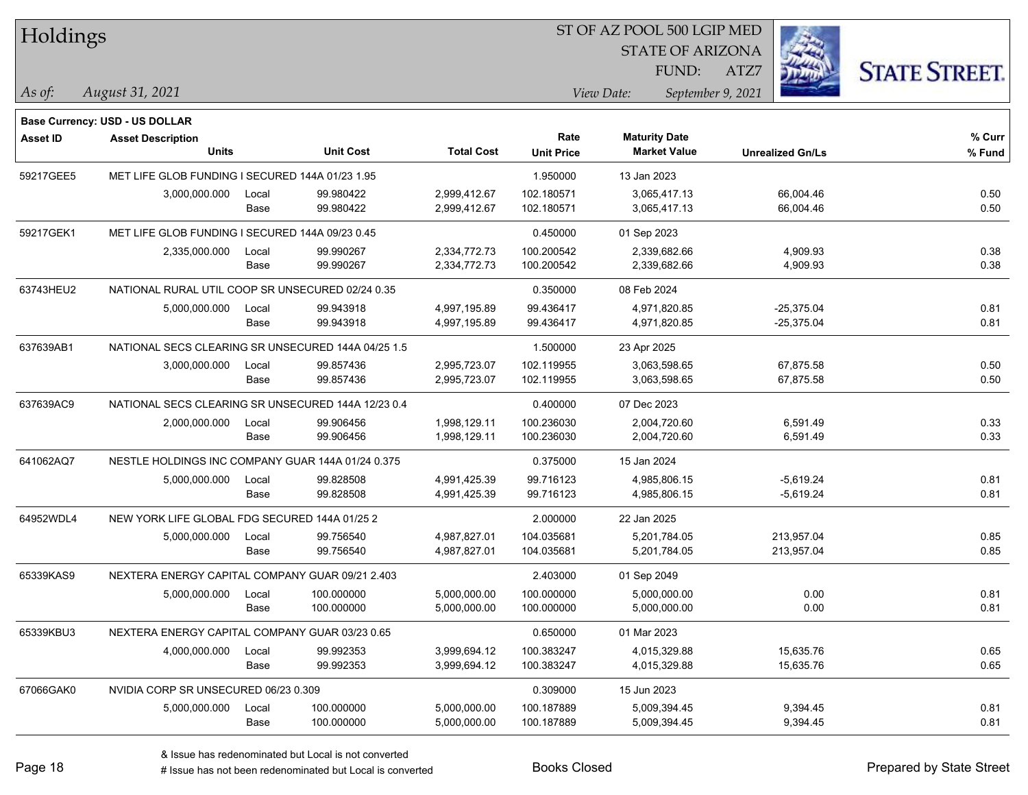| Holdings        |                                                    |       |                  |                   | ST OF AZ POOL 500 LGIP MED |                                             |                         |                      |  |  |  |
|-----------------|----------------------------------------------------|-------|------------------|-------------------|----------------------------|---------------------------------------------|-------------------------|----------------------|--|--|--|
|                 |                                                    |       |                  |                   |                            | <b>STATE OF ARIZONA</b>                     |                         |                      |  |  |  |
|                 |                                                    |       |                  |                   |                            | FUND:                                       | ATZ7                    | <b>STATE STREET.</b> |  |  |  |
| As of:          | August 31, 2021                                    |       |                  |                   |                            | View Date:<br>September 9, 2021             |                         |                      |  |  |  |
|                 |                                                    |       |                  |                   |                            |                                             |                         |                      |  |  |  |
|                 | <b>Base Currency: USD - US DOLLAR</b>              |       |                  |                   |                            |                                             |                         |                      |  |  |  |
| <b>Asset ID</b> | <b>Asset Description</b><br><b>Units</b>           |       | <b>Unit Cost</b> | <b>Total Cost</b> | Rate<br><b>Unit Price</b>  | <b>Maturity Date</b><br><b>Market Value</b> | <b>Unrealized Gn/Ls</b> | % Curr<br>% Fund     |  |  |  |
| 59217GEE5       | MET LIFE GLOB FUNDING I SECURED 144A 01/23 1.95    |       |                  |                   | 1.950000                   | 13 Jan 2023                                 |                         |                      |  |  |  |
|                 | 3,000,000.000                                      | Local | 99.980422        | 2,999,412.67      | 102.180571                 | 3,065,417.13                                | 66,004.46               | 0.50                 |  |  |  |
|                 |                                                    | Base  | 99.980422        | 2,999,412.67      | 102.180571                 | 3,065,417.13                                | 66,004.46               | 0.50                 |  |  |  |
| 59217GEK1       | MET LIFE GLOB FUNDING I SECURED 144A 09/23 0.45    |       |                  |                   | 0.450000                   | 01 Sep 2023                                 |                         |                      |  |  |  |
|                 | 2,335,000.000                                      | Local | 99.990267        | 2,334,772.73      | 100.200542                 | 2,339,682.66                                | 4,909.93                | 0.38                 |  |  |  |
|                 |                                                    | Base  | 99.990267        | 2,334,772.73      | 100.200542                 | 2,339,682.66                                | 4,909.93                | 0.38                 |  |  |  |
| 63743HEU2       | NATIONAL RURAL UTIL COOP SR UNSECURED 02/24 0.35   |       |                  |                   | 0.350000                   | 08 Feb 2024                                 |                         |                      |  |  |  |
|                 | 5,000,000.000                                      | Local | 99.943918        | 4,997,195.89      | 99.436417                  | 4,971,820.85                                | $-25,375.04$            | 0.81                 |  |  |  |
|                 |                                                    | Base  | 99.943918        | 4,997,195.89      | 99.436417                  | 4,971,820.85                                | $-25,375.04$            | 0.81                 |  |  |  |
| 637639AB1       | NATIONAL SECS CLEARING SR UNSECURED 144A 04/25 1.5 |       |                  |                   | 1.500000                   | 23 Apr 2025                                 |                         |                      |  |  |  |
|                 | 3,000,000.000                                      | Local | 99.857436        | 2,995,723.07      | 102.119955                 | 3,063,598.65                                | 67,875.58               | 0.50                 |  |  |  |
|                 |                                                    | Base  | 99.857436        | 2,995,723.07      | 102.119955                 | 3,063,598.65                                | 67,875.58               | 0.50                 |  |  |  |
| 637639AC9       | NATIONAL SECS CLEARING SR UNSECURED 144A 12/23 0.4 |       |                  |                   | 0.400000                   | 07 Dec 2023                                 |                         |                      |  |  |  |
|                 | 2,000,000.000                                      | Local | 99.906456        | 1,998,129.11      | 100.236030                 | 2,004,720.60                                | 6,591.49                | 0.33                 |  |  |  |
|                 |                                                    | Base  | 99.906456        | 1,998,129.11      | 100.236030                 | 2,004,720.60                                | 6,591.49                | 0.33                 |  |  |  |
| 641062AQ7       | NESTLE HOLDINGS INC COMPANY GUAR 144A 01/24 0.375  |       |                  |                   | 0.375000                   | 15 Jan 2024                                 |                         |                      |  |  |  |
|                 | 5,000,000.000                                      | Local | 99.828508        | 4,991,425.39      | 99.716123                  | 4,985,806.15                                | $-5,619.24$             | 0.81                 |  |  |  |
|                 |                                                    | Base  | 99.828508        | 4,991,425.39      | 99.716123                  | 4,985,806.15                                | $-5,619.24$             | 0.81                 |  |  |  |
| 64952WDL4       | NEW YORK LIFE GLOBAL FDG SECURED 144A 01/25 2      |       |                  |                   | 2.000000                   | 22 Jan 2025                                 |                         |                      |  |  |  |
|                 | 5,000,000.000                                      | Local | 99.756540        | 4,987,827.01      | 104.035681                 | 5,201,784.05                                | 213,957.04              | 0.85                 |  |  |  |
|                 |                                                    | Base  | 99.756540        | 4,987,827.01      | 104.035681                 | 5,201,784.05                                | 213,957.04              | 0.85                 |  |  |  |
| 65339KAS9       | NEXTERA ENERGY CAPITAL COMPANY GUAR 09/21 2.403    |       |                  |                   | 2.403000                   | 01 Sep 2049                                 |                         |                      |  |  |  |
|                 | 5,000,000.000                                      | Local | 100.000000       | 5,000,000.00      | 100.000000                 | 5,000,000.00                                | 0.00                    | 0.81                 |  |  |  |
|                 |                                                    | Base  | 100.000000       | 5,000,000.00      | 100.000000                 | 5,000,000.00                                | 0.00                    | 0.81                 |  |  |  |
| 65339KBU3       | NEXTERA ENERGY CAPITAL COMPANY GUAR 03/23 0.65     |       |                  |                   | 0.650000                   | 01 Mar 2023                                 |                         |                      |  |  |  |
|                 | 4,000,000.000                                      | Local | 99.992353        | 3,999,694.12      | 100.383247                 | 4,015,329.88                                | 15,635.76               | 0.65                 |  |  |  |
|                 |                                                    | Base  | 99.992353        | 3,999,694.12      | 100.383247                 | 4,015,329.88                                | 15,635.76               | 0.65                 |  |  |  |
| 67066GAK0       | NVIDIA CORP SR UNSECURED 06/23 0.309               |       |                  |                   | 0.309000                   | 15 Jun 2023                                 |                         |                      |  |  |  |
|                 | 5,000,000.000                                      | Local | 100.000000       | 5,000,000.00      | 100.187889                 | 5,009,394.45                                | 9,394.45                | 0.81                 |  |  |  |
|                 |                                                    | Base  | 100.000000       | 5,000,000.00      | 100.187889                 | 5,009,394.45                                | 9,394.45                | 0.81                 |  |  |  |

L

 $\overline{\phantom{a}}$ 

 $\overline{\phantom{a}}$ 

 $\overline{\phantom{0}}$ 

 $\overline{\phantom{0}}$ 

 $\overline{\phantom{0}}$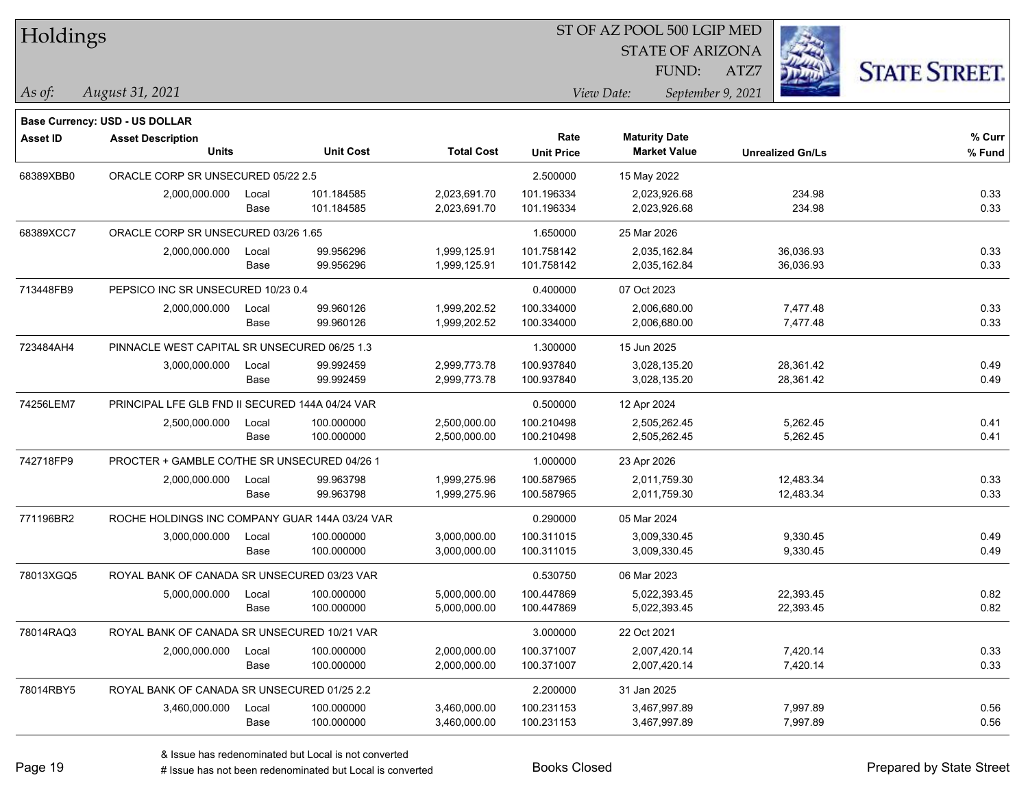| Holdings        |                                                 |       |                  |                   | ST OF AZ POOL 500 LGIP MED |            |                         |                         |                      |
|-----------------|-------------------------------------------------|-------|------------------|-------------------|----------------------------|------------|-------------------------|-------------------------|----------------------|
|                 |                                                 |       |                  |                   |                            |            | <b>STATE OF ARIZONA</b> |                         |                      |
|                 |                                                 |       |                  |                   |                            |            | FUND:                   | ATZ7                    | <b>STATE STREET.</b> |
| As of:          | August 31, 2021                                 |       |                  |                   |                            | View Date: | September 9, 2021       |                         |                      |
|                 | <b>Base Currency: USD - US DOLLAR</b>           |       |                  |                   |                            |            |                         |                         |                      |
| <b>Asset ID</b> | <b>Asset Description</b>                        |       |                  |                   | Rate                       |            | <b>Maturity Date</b>    |                         | % Curr               |
|                 | <b>Units</b>                                    |       | <b>Unit Cost</b> | <b>Total Cost</b> | <b>Unit Price</b>          |            | <b>Market Value</b>     | <b>Unrealized Gn/Ls</b> | % Fund               |
| 68389XBB0       | ORACLE CORP SR UNSECURED 05/22 2.5              |       |                  |                   | 2.500000                   |            | 15 May 2022             |                         |                      |
|                 | 2,000,000.000                                   | Local | 101.184585       | 2,023,691.70      | 101.196334                 |            | 2,023,926.68            | 234.98                  | 0.33                 |
|                 |                                                 | Base  | 101.184585       | 2,023,691.70      | 101.196334                 |            | 2,023,926.68            | 234.98                  | 0.33                 |
| 68389XCC7       | ORACLE CORP SR UNSECURED 03/26 1.65             |       |                  |                   | 1.650000                   |            | 25 Mar 2026             |                         |                      |
|                 | 2,000,000.000                                   | Local | 99.956296        | 1,999,125.91      | 101.758142                 |            | 2,035,162.84            | 36,036.93               | 0.33                 |
|                 |                                                 | Base  | 99.956296        | 1,999,125.91      | 101.758142                 |            | 2,035,162.84            | 36,036.93               | 0.33                 |
| 713448FB9       | PEPSICO INC SR UNSECURED 10/23 0.4              |       |                  |                   | 0.400000                   |            | 07 Oct 2023             |                         |                      |
|                 | 2,000,000.000                                   | Local | 99.960126        | 1,999,202.52      | 100.334000                 |            | 2,006,680.00            | 7,477.48                | 0.33                 |
|                 |                                                 | Base  | 99.960126        | 1,999,202.52      | 100.334000                 |            | 2,006,680.00            | 7,477.48                | 0.33                 |
| 723484AH4       | PINNACLE WEST CAPITAL SR UNSECURED 06/25 1.3    |       |                  |                   | 1.300000                   |            | 15 Jun 2025             |                         |                      |
|                 | 3,000,000.000                                   | Local | 99.992459        | 2,999,773.78      | 100.937840                 |            | 3,028,135.20            | 28,361.42               | 0.49                 |
|                 |                                                 | Base  | 99.992459        | 2,999,773.78      | 100.937840                 |            | 3,028,135.20            | 28,361.42               | 0.49                 |
| 74256LEM7       | PRINCIPAL LFE GLB FND II SECURED 144A 04/24 VAR |       |                  |                   | 0.500000                   |            | 12 Apr 2024             |                         |                      |
|                 | 2,500,000.000                                   | Local | 100.000000       | 2,500,000.00      | 100.210498                 |            | 2,505,262.45            | 5,262.45                | 0.41                 |
|                 |                                                 | Base  | 100.000000       | 2,500,000.00      | 100.210498                 |            | 2,505,262.45            | 5,262.45                | 0.41                 |
| 742718FP9       | PROCTER + GAMBLE CO/THE SR UNSECURED 04/26 1    |       |                  |                   | 1.000000                   |            | 23 Apr 2026             |                         |                      |
|                 | 2,000,000.000                                   | Local | 99.963798        | 1,999,275.96      | 100.587965                 |            | 2,011,759.30            | 12,483.34               | 0.33                 |
|                 |                                                 | Base  | 99.963798        | 1,999,275.96      | 100.587965                 |            | 2,011,759.30            | 12,483.34               | 0.33                 |
| 771196BR2       | ROCHE HOLDINGS INC COMPANY GUAR 144A 03/24 VAR  |       |                  |                   | 0.290000                   |            | 05 Mar 2024             |                         |                      |
|                 | 3,000,000.000                                   | Local | 100.000000       | 3,000,000.00      | 100.311015                 |            | 3,009,330.45            | 9,330.45                | 0.49                 |
|                 |                                                 | Base  | 100.000000       | 3,000,000.00      | 100.311015                 |            | 3,009,330.45            | 9,330.45                | 0.49                 |
| 78013XGQ5       | ROYAL BANK OF CANADA SR UNSECURED 03/23 VAR     |       |                  |                   | 0.530750                   |            | 06 Mar 2023             |                         |                      |
|                 | 5,000,000.000                                   | Local | 100.000000       | 5,000,000.00      | 100.447869                 |            | 5,022,393.45            | 22,393.45               | 0.82                 |
|                 |                                                 | Base  | 100.000000       | 5,000,000.00      | 100.447869                 |            | 5,022,393.45            | 22,393.45               | 0.82                 |
| 78014RAQ3       | ROYAL BANK OF CANADA SR UNSECURED 10/21 VAR     |       |                  |                   | 3.000000                   |            | 22 Oct 2021             |                         |                      |
|                 | 2,000,000.000                                   | Local | 100.000000       | 2,000,000.00      | 100.371007                 |            | 2,007,420.14            | 7,420.14                | 0.33                 |
|                 |                                                 | Base  | 100.000000       | 2,000,000.00      | 100.371007                 |            | 2,007,420.14            | 7,420.14                | 0.33                 |
| 78014RBY5       | ROYAL BANK OF CANADA SR UNSECURED 01/25 2.2     |       |                  |                   | 2.200000                   |            | 31 Jan 2025             |                         |                      |
|                 | 3,460,000.000                                   | Local | 100.000000       | 3,460,000.00      | 100.231153                 |            | 3,467,997.89            | 7,997.89                | 0.56                 |
|                 |                                                 | Base  | 100.000000       | 3,460,000.00      | 100.231153                 |            | 3,467,997.89            | 7,997.89                | 0.56                 |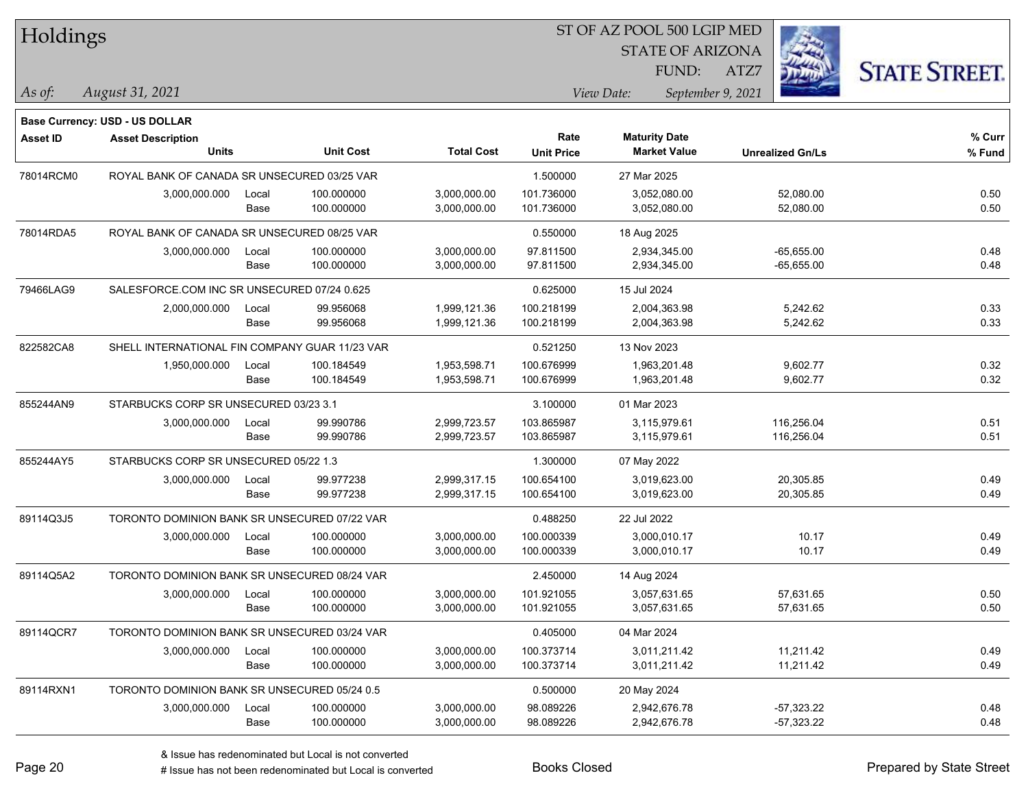| Holdings        |                                                |       |                  |                   |                   | ST OF AZ POOL 500 LGIP MED      |                         |                      |
|-----------------|------------------------------------------------|-------|------------------|-------------------|-------------------|---------------------------------|-------------------------|----------------------|
|                 |                                                |       |                  |                   |                   | <b>STATE OF ARIZONA</b>         |                         |                      |
|                 |                                                |       |                  |                   |                   | FUND:                           | ATZ7                    | <b>STATE STREET.</b> |
| $As$ of:        | August 31, 2021                                |       |                  |                   |                   | View Date:<br>September 9, 2021 |                         |                      |
|                 | <b>Base Currency: USD - US DOLLAR</b>          |       |                  |                   |                   |                                 |                         |                      |
| <b>Asset ID</b> | <b>Asset Description</b>                       |       |                  |                   | Rate              | <b>Maturity Date</b>            |                         | % Curr               |
|                 | <b>Units</b>                                   |       | <b>Unit Cost</b> | <b>Total Cost</b> | <b>Unit Price</b> | <b>Market Value</b>             | <b>Unrealized Gn/Ls</b> | % Fund               |
| 78014RCM0       | ROYAL BANK OF CANADA SR UNSECURED 03/25 VAR    |       |                  |                   | 1.500000          | 27 Mar 2025                     |                         |                      |
|                 | 3,000,000.000                                  | Local | 100.000000       | 3,000,000.00      | 101.736000        | 3,052,080.00                    | 52,080.00               | 0.50                 |
|                 |                                                | Base  | 100.000000       | 3,000,000.00      | 101.736000        | 3,052,080.00                    | 52,080.00               | 0.50                 |
| 78014RDA5       | ROYAL BANK OF CANADA SR UNSECURED 08/25 VAR    |       |                  |                   | 0.550000          | 18 Aug 2025                     |                         |                      |
|                 | 3,000,000.000                                  | Local | 100.000000       | 3,000,000.00      | 97.811500         | 2,934,345.00                    | $-65,655.00$            | 0.48                 |
|                 |                                                | Base  | 100.000000       | 3,000,000.00      | 97.811500         | 2,934,345.00                    | $-65,655.00$            | 0.48                 |
| 79466LAG9       | SALESFORCE.COM INC SR UNSECURED 07/24 0.625    |       |                  |                   | 0.625000          | 15 Jul 2024                     |                         |                      |
|                 | 2,000,000.000                                  | Local | 99.956068        | 1,999,121.36      | 100.218199        | 2,004,363.98                    | 5,242.62                | 0.33                 |
|                 |                                                | Base  | 99.956068        | 1,999,121.36      | 100.218199        | 2,004,363.98                    | 5,242.62                | 0.33                 |
| 822582CA8       | SHELL INTERNATIONAL FIN COMPANY GUAR 11/23 VAR |       |                  |                   | 0.521250          | 13 Nov 2023                     |                         |                      |
|                 | 1,950,000.000                                  | Local | 100.184549       | 1,953,598.71      | 100.676999        | 1,963,201.48                    | 9,602.77                | 0.32                 |
|                 |                                                | Base  | 100.184549       | 1,953,598.71      | 100.676999        | 1,963,201.48                    | 9,602.77                | 0.32                 |
| 855244AN9       | STARBUCKS CORP SR UNSECURED 03/23 3.1          |       |                  |                   | 3.100000          | 01 Mar 2023                     |                         |                      |
|                 | 3,000,000.000                                  | Local | 99.990786        | 2,999,723.57      | 103.865987        | 3,115,979.61                    | 116,256.04              | 0.51                 |
|                 |                                                | Base  | 99.990786        | 2,999,723.57      | 103.865987        | 3,115,979.61                    | 116,256.04              | 0.51                 |
| 855244AY5       | STARBUCKS CORP SR UNSECURED 05/22 1.3          |       |                  |                   | 1.300000          | 07 May 2022                     |                         |                      |
|                 | 3,000,000.000                                  | Local | 99.977238        | 2,999,317.15      | 100.654100        | 3,019,623.00                    | 20,305.85               | 0.49                 |
|                 |                                                | Base  | 99.977238        | 2,999,317.15      | 100.654100        | 3,019,623.00                    | 20,305.85               | 0.49                 |
| 89114Q3J5       | TORONTO DOMINION BANK SR UNSECURED 07/22 VAR   |       |                  |                   | 0.488250          | 22 Jul 2022                     |                         |                      |
|                 | 3,000,000.000                                  | Local | 100.000000       | 3,000,000.00      | 100.000339        | 3,000,010.17                    | 10.17                   | 0.49                 |
|                 |                                                | Base  | 100.000000       | 3,000,000.00      | 100.000339        | 3,000,010.17                    | 10.17                   | 0.49                 |
| 89114Q5A2       | TORONTO DOMINION BANK SR UNSECURED 08/24 VAR   |       |                  |                   | 2.450000          | 14 Aug 2024                     |                         |                      |
|                 | 3,000,000.000                                  | Local | 100.000000       | 3,000,000.00      | 101.921055        | 3,057,631.65                    | 57,631.65               | 0.50                 |
|                 |                                                | Base  | 100.000000       | 3,000,000.00      | 101.921055        | 3,057,631.65                    | 57,631.65               | $0.50\,$             |
| 89114QCR7       | TORONTO DOMINION BANK SR UNSECURED 03/24 VAR   |       |                  |                   | 0.405000          | 04 Mar 2024                     |                         |                      |
|                 | 3,000,000.000                                  | Local | 100.000000       | 3,000,000.00      | 100.373714        | 3,011,211.42                    | 11,211.42               | 0.49                 |
|                 |                                                | Base  | 100.000000       | 3,000,000.00      | 100.373714        | 3,011,211.42                    | 11,211.42               | 0.49                 |
| 89114RXN1       | TORONTO DOMINION BANK SR UNSECURED 05/24 0.5   |       |                  |                   | 0.500000          | 20 May 2024                     |                         |                      |
|                 | 3,000,000.000                                  | Local | 100.000000       | 3,000,000.00      | 98.089226         | 2,942,676.78                    | -57,323.22              | 0.48                 |
|                 |                                                | Base  | 100.000000       | 3,000,000.00      | 98.089226         | 2,942,676.78                    | -57,323.22              | 0.48                 |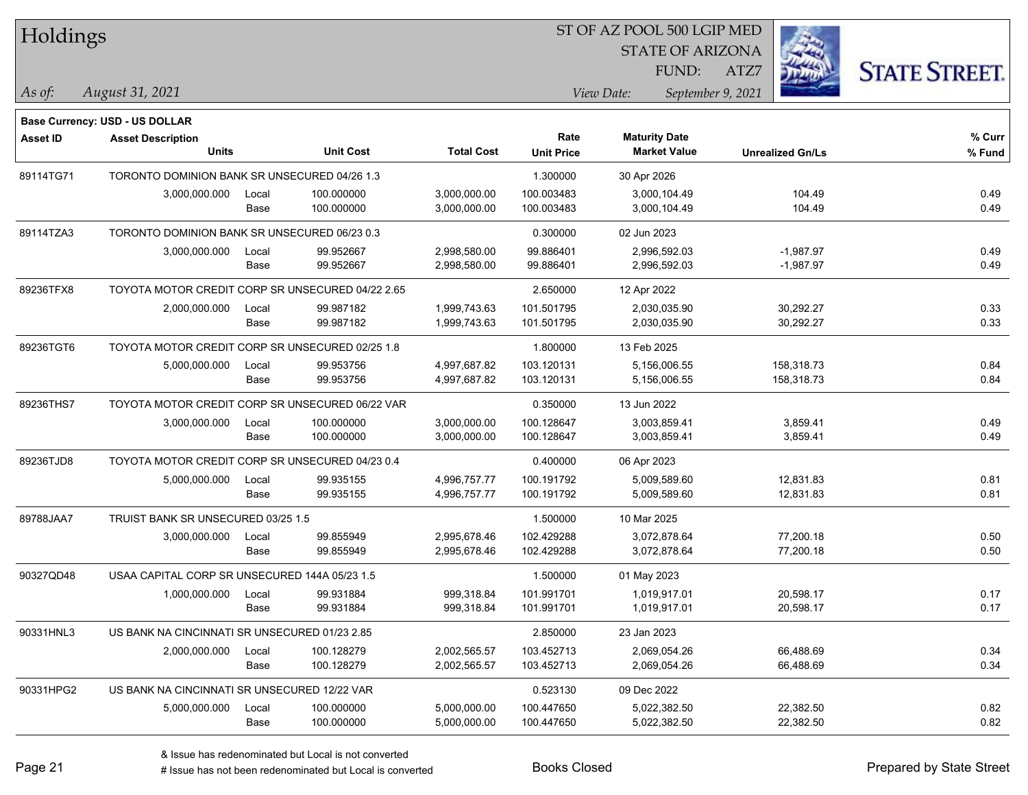| Holdings        |                                                  |               |                          |                              |                           | ST OF AZ POOL 500 LGIP MED                  |                         |                      |  |
|-----------------|--------------------------------------------------|---------------|--------------------------|------------------------------|---------------------------|---------------------------------------------|-------------------------|----------------------|--|
|                 |                                                  |               |                          |                              |                           | <b>STATE OF ARIZONA</b>                     |                         |                      |  |
|                 |                                                  |               |                          |                              |                           | FUND:                                       | ATZ7                    | <b>STATE STREET.</b> |  |
| $\vert$ As of:  | August 31, 2021                                  |               |                          |                              |                           | View Date:                                  | September 9, 2021       |                      |  |
|                 |                                                  |               |                          |                              |                           |                                             |                         |                      |  |
|                 | <b>Base Currency: USD - US DOLLAR</b>            |               |                          |                              |                           |                                             |                         |                      |  |
| <b>Asset ID</b> | <b>Asset Description</b><br>Units                |               | <b>Unit Cost</b>         | <b>Total Cost</b>            | Rate<br><b>Unit Price</b> | <b>Maturity Date</b><br><b>Market Value</b> | <b>Unrealized Gn/Ls</b> | % Curr<br>% Fund     |  |
|                 |                                                  |               |                          |                              |                           |                                             |                         |                      |  |
| 89114TG71       | TORONTO DOMINION BANK SR UNSECURED 04/26 1.3     |               |                          |                              | 1.300000                  | 30 Apr 2026                                 |                         |                      |  |
|                 | 3,000,000.000                                    | Local<br>Base | 100.000000<br>100.000000 | 3,000,000.00<br>3,000,000.00 | 100.003483<br>100.003483  | 3,000,104.49<br>3,000,104.49                | 104.49<br>104.49        | 0.49<br>0.49         |  |
|                 |                                                  |               |                          |                              |                           |                                             |                         |                      |  |
| 89114TZA3       | TORONTO DOMINION BANK SR UNSECURED 06/23 0.3     |               |                          |                              | 0.300000                  | 02 Jun 2023                                 |                         |                      |  |
|                 | 3,000,000.000                                    | Local         | 99.952667                | 2,998,580.00                 | 99.886401                 | 2,996,592.03                                | $-1,987.97$             | 0.49                 |  |
|                 |                                                  | Base          | 99.952667                | 2,998,580.00                 | 99.886401                 | 2,996,592.03                                | $-1,987.97$             | 0.49                 |  |
| 89236TFX8       | TOYOTA MOTOR CREDIT CORP SR UNSECURED 04/22 2.65 |               |                          |                              | 2.650000                  | 12 Apr 2022                                 |                         |                      |  |
|                 | 2,000,000.000                                    | Local         | 99.987182                | 1,999,743.63                 | 101.501795                | 2,030,035.90                                | 30,292.27               | 0.33                 |  |
|                 |                                                  | Base          | 99.987182                | 1,999,743.63                 | 101.501795                | 2,030,035.90                                | 30,292.27               | 0.33                 |  |
| 89236TGT6       | TOYOTA MOTOR CREDIT CORP SR UNSECURED 02/25 1.8  |               |                          |                              | 1.800000                  | 13 Feb 2025                                 |                         |                      |  |
|                 | 5,000,000.000                                    | Local         | 99.953756                | 4,997,687.82                 | 103.120131                | 5,156,006.55                                | 158,318.73              | 0.84                 |  |
|                 |                                                  | Base          | 99.953756                | 4,997,687.82                 | 103.120131                | 5,156,006.55                                | 158,318.73              | 0.84                 |  |
| 89236THS7       | TOYOTA MOTOR CREDIT CORP SR UNSECURED 06/22 VAR  |               |                          |                              | 0.350000                  | 13 Jun 2022                                 |                         |                      |  |
|                 | 3,000,000.000                                    | Local         | 100.000000               | 3,000,000.00                 | 100.128647                | 3,003,859.41                                | 3,859.41                | 0.49                 |  |
|                 |                                                  | Base          | 100.000000               | 3,000,000.00                 | 100.128647                | 3,003,859.41                                | 3,859.41                | 0.49                 |  |
| 89236TJD8       | TOYOTA MOTOR CREDIT CORP SR UNSECURED 04/23 0.4  |               |                          |                              | 0.400000                  | 06 Apr 2023                                 |                         |                      |  |
|                 | 5,000,000.000                                    | Local         | 99.935155                | 4,996,757.77                 | 100.191792                | 5,009,589.60                                | 12,831.83               | 0.81                 |  |
|                 |                                                  | Base          | 99.935155                | 4,996,757.77                 | 100.191792                | 5,009,589.60                                | 12,831.83               | 0.81                 |  |
| 89788JAA7       | TRUIST BANK SR UNSECURED 03/25 1.5               |               |                          |                              | 1.500000                  | 10 Mar 2025                                 |                         |                      |  |
|                 | 3,000,000.000                                    | Local         | 99.855949                | 2,995,678.46                 | 102.429288                | 3,072,878.64                                | 77,200.18               | 0.50                 |  |
|                 |                                                  | Base          | 99.855949                | 2,995,678.46                 | 102.429288                | 3,072,878.64                                | 77,200.18               | 0.50                 |  |
| 90327QD48       | USAA CAPITAL CORP SR UNSECURED 144A 05/23 1.5    |               |                          |                              | 1.500000                  | 01 May 2023                                 |                         |                      |  |
|                 | 1,000,000.000                                    | Local         | 99.931884                | 999,318.84                   | 101.991701                | 1,019,917.01                                | 20,598.17               | 0.17                 |  |
|                 |                                                  | Base          | 99.931884                | 999,318.84                   | 101.991701                | 1,019,917.01                                | 20,598.17               | 0.17                 |  |
| 90331HNL3       | US BANK NA CINCINNATI SR UNSECURED 01/23 2.85    |               |                          |                              | 2.850000                  | 23 Jan 2023                                 |                         |                      |  |
|                 | 2,000,000.000                                    | Local         | 100.128279               | 2,002,565.57                 | 103.452713                | 2,069,054.26                                | 66,488.69               | 0.34                 |  |
|                 |                                                  | Base          | 100.128279               | 2,002,565.57                 | 103.452713                | 2,069,054.26                                | 66,488.69               | 0.34                 |  |
| 90331HPG2       | US BANK NA CINCINNATI SR UNSECURED 12/22 VAR     |               |                          |                              | 0.523130                  | 09 Dec 2022                                 |                         |                      |  |
|                 | 5,000,000.000                                    | Local         | 100.000000               | 5,000,000.00                 | 100.447650                | 5,022,382.50                                | 22,382.50               | 0.82                 |  |
|                 |                                                  | Base          | 100.000000               | 5,000,000.00                 | 100.447650                | 5,022,382.50                                | 22,382.50               | 0.82                 |  |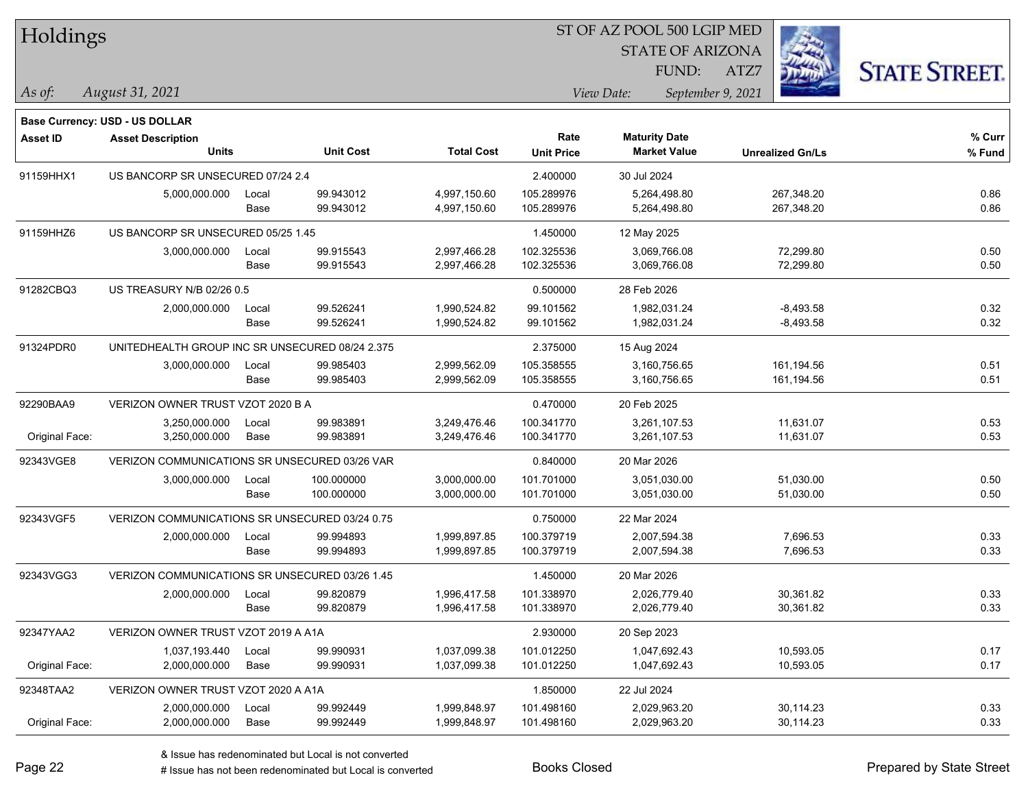|  | <b>Holdings</b> |
|--|-----------------|
|--|-----------------|

STATE OF ARIZONA

ATZ7



*August 31, 2021 As of: View Date: September 9, 2021*

**Base Currency: USD - US DOLLAR**

FUND:

| Asset ID       | <b>Asset Description</b>                        |       |                  | Rate              | <b>Maturity Date</b> |                     | % Curr                  |        |  |
|----------------|-------------------------------------------------|-------|------------------|-------------------|----------------------|---------------------|-------------------------|--------|--|
|                | <b>Units</b>                                    |       | <b>Unit Cost</b> | <b>Total Cost</b> | <b>Unit Price</b>    | <b>Market Value</b> | <b>Unrealized Gn/Ls</b> | % Fund |  |
| 91159HHX1      | US BANCORP SR UNSECURED 07/24 2.4               |       |                  |                   | 2.400000             | 30 Jul 2024         |                         |        |  |
|                | 5,000,000.000                                   | Local | 99.943012        | 4,997,150.60      | 105.289976           | 5,264,498.80        | 267,348.20              | 0.86   |  |
|                |                                                 | Base  | 99.943012        | 4,997,150.60      | 105.289976           | 5,264,498.80        | 267,348.20              | 0.86   |  |
| 91159HHZ6      | US BANCORP SR UNSECURED 05/25 1.45              |       |                  | 1.450000          | 12 May 2025          |                     |                         |        |  |
|                | 3,000,000.000                                   | Local | 99.915543        | 2,997,466.28      | 102.325536           | 3,069,766.08        | 72,299.80               | 0.50   |  |
|                |                                                 | Base  | 99.915543        | 2,997,466.28      | 102.325536           | 3,069,766.08        | 72,299.80               | 0.50   |  |
| 91282CBQ3      | US TREASURY N/B 02/26 0.5                       |       |                  |                   | 0.500000             | 28 Feb 2026         |                         |        |  |
|                | 2,000,000.000                                   | Local | 99.526241        | 1,990,524.82      | 99.101562            | 1,982,031.24        | $-8,493.58$             | 0.32   |  |
|                |                                                 | Base  | 99.526241        | 1,990,524.82      | 99.101562            | 1,982,031.24        | $-8,493.58$             | 0.32   |  |
| 91324PDR0      | UNITEDHEALTH GROUP INC SR UNSECURED 08/24 2.375 |       |                  |                   | 2.375000             | 15 Aug 2024         |                         |        |  |
|                | 3,000,000.000                                   | Local | 99.985403        | 2,999,562.09      | 105.358555           | 3,160,756.65        | 161,194.56              | 0.51   |  |
|                |                                                 | Base  | 99.985403        | 2,999,562.09      | 105.358555           | 3,160,756.65        | 161,194.56              | 0.51   |  |
| 92290BAA9      | VERIZON OWNER TRUST VZOT 2020 B A               |       |                  |                   | 0.470000             | 20 Feb 2025         |                         |        |  |
|                | 3,250,000.000                                   | Local | 99.983891        | 3,249,476.46      | 100.341770           | 3,261,107.53        | 11,631.07               | 0.53   |  |
| Original Face: | 3,250,000.000                                   | Base  | 99.983891        | 3,249,476.46      | 100.341770           | 3,261,107.53        | 11,631.07               | 0.53   |  |
| 92343VGE8      | VERIZON COMMUNICATIONS SR UNSECURED 03/26 VAR   |       |                  | 0.840000          | 20 Mar 2026          |                     |                         |        |  |
|                | 3,000,000.000                                   | Local | 100.000000       | 3,000,000.00      | 101.701000           | 3,051,030.00        | 51,030.00               | 0.50   |  |
|                |                                                 | Base  | 100.000000       | 3,000,000.00      | 101.701000           | 3,051,030.00        | 51,030.00               | 0.50   |  |
| 92343VGF5      | VERIZON COMMUNICATIONS SR UNSECURED 03/24 0.75  |       |                  |                   | 0.750000             | 22 Mar 2024         |                         |        |  |
|                | 2,000,000.000                                   | Local | 99.994893        | 1,999,897.85      | 100.379719           | 2,007,594.38        | 7,696.53                | 0.33   |  |
|                |                                                 | Base  | 99.994893        | 1,999,897.85      | 100.379719           | 2,007,594.38        | 7,696.53                | 0.33   |  |
| 92343VGG3      | VERIZON COMMUNICATIONS SR UNSECURED 03/26 1.45  |       |                  |                   | 1.450000             | 20 Mar 2026         |                         |        |  |
|                | 2,000,000.000                                   | Local | 99.820879        | 1,996,417.58      | 101.338970           | 2,026,779.40        | 30,361.82               | 0.33   |  |
|                |                                                 | Base  | 99.820879        | 1,996,417.58      | 101.338970           | 2,026,779.40        | 30,361.82               | 0.33   |  |
| 92347YAA2      | VERIZON OWNER TRUST VZOT 2019 A A1A             |       |                  |                   | 2.930000             | 20 Sep 2023         |                         |        |  |
|                | 1,037,193.440                                   | Local | 99.990931        | 1,037,099.38      | 101.012250           | 1,047,692.43        | 10,593.05               | 0.17   |  |
| Original Face: | 2,000,000.000                                   | Base  | 99.990931        | 1,037,099.38      | 101.012250           | 1,047,692.43        | 10,593.05               | 0.17   |  |
| 92348TAA2      | VERIZON OWNER TRUST VZOT 2020 A A1A             |       |                  |                   | 1.850000             | 22 Jul 2024         |                         |        |  |
|                | 2,000,000.000                                   | Local | 99.992449        | 1,999,848.97      | 101.498160           | 2,029,963.20        | 30,114.23               | 0.33   |  |
| Original Face: | 2,000,000.000                                   | Base  | 99.992449        | 1,999,848.97      | 101.498160           | 2,029,963.20        | 30,114.23               | 0.33   |  |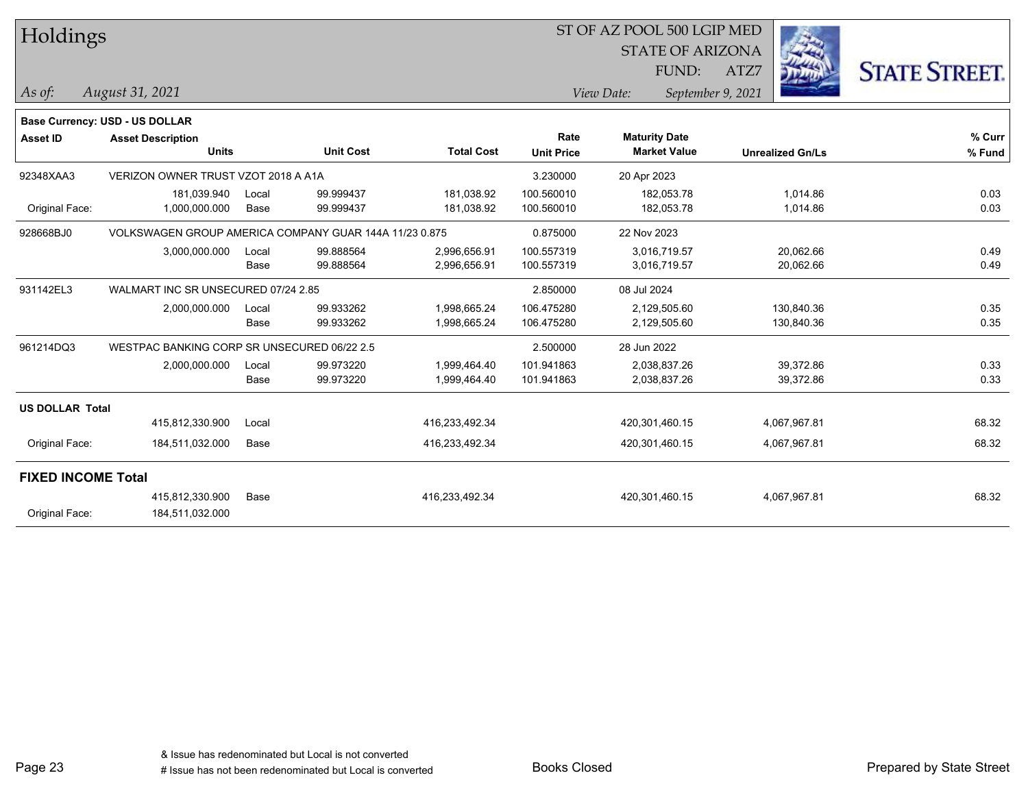| Holdings                  |                                                        |               |                        |                              |                           | ST OF AZ POOL 500 LGIP MED                  |                          |                      |
|---------------------------|--------------------------------------------------------|---------------|------------------------|------------------------------|---------------------------|---------------------------------------------|--------------------------|----------------------|
|                           |                                                        |               |                        |                              |                           | <b>STATE OF ARIZONA</b>                     |                          |                      |
|                           |                                                        |               |                        |                              |                           | FUND:                                       | ATZ7                     | <b>STATE STREET.</b> |
| As of:                    | August 31, 2021                                        |               |                        |                              |                           | View Date:                                  | September 9, 2021        |                      |
|                           | Base Currency: USD - US DOLLAR                         |               |                        |                              |                           |                                             |                          |                      |
| <b>Asset ID</b>           | <b>Asset Description</b><br><b>Units</b>               |               | <b>Unit Cost</b>       | <b>Total Cost</b>            | Rate<br><b>Unit Price</b> | <b>Maturity Date</b><br><b>Market Value</b> | <b>Unrealized Gn/Ls</b>  | % Curr<br>% Fund     |
| 92348XAA3                 | VERIZON OWNER TRUST VZOT 2018 A A1A                    |               |                        |                              | 3.230000                  | 20 Apr 2023                                 |                          |                      |
| Original Face:            | 181,039.940<br>1,000,000.000                           | Local<br>Base | 99.999437<br>99.999437 | 181,038.92<br>181,038.92     | 100.560010<br>100.560010  | 182,053.78<br>182,053.78                    | 1,014.86<br>1,014.86     | 0.03<br>0.03         |
| 928668BJ0                 | VOLKSWAGEN GROUP AMERICA COMPANY GUAR 144A 11/23 0.875 |               |                        |                              | 0.875000                  | 22 Nov 2023                                 |                          |                      |
|                           | 3,000,000.000                                          | Local<br>Base | 99.888564<br>99.888564 | 2,996,656.91<br>2,996,656.91 | 100.557319<br>100.557319  | 3,016,719.57<br>3,016,719.57                | 20,062.66<br>20,062.66   | 0.49<br>0.49         |
| 931142EL3                 | WALMART INC SR UNSECURED 07/24 2.85                    |               |                        |                              | 2.850000                  | 08 Jul 2024                                 |                          |                      |
|                           | 2,000,000.000                                          | Local<br>Base | 99.933262<br>99.933262 | 1,998,665.24<br>1,998,665.24 | 106.475280<br>106.475280  | 2,129,505.60<br>2,129,505.60                | 130,840.36<br>130,840.36 | 0.35<br>0.35         |
| 961214DQ3                 | WESTPAC BANKING CORP SR UNSECURED 06/22 2.5            |               |                        |                              | 2.500000                  | 28 Jun 2022                                 |                          |                      |
|                           | 2,000,000.000                                          | Local<br>Base | 99.973220<br>99.973220 | 1,999,464.40<br>1,999,464.40 | 101.941863<br>101.941863  | 2,038,837.26<br>2,038,837.26                | 39,372.86<br>39,372.86   | 0.33<br>0.33         |
| <b>US DOLLAR Total</b>    |                                                        |               |                        |                              |                           |                                             |                          |                      |
|                           | 415,812,330.900                                        | Local         |                        | 416,233,492.34               |                           | 420,301,460.15                              | 4,067,967.81             | 68.32                |
| Original Face:            | 184,511,032.000                                        | Base          |                        | 416,233,492.34               |                           | 420,301,460.15                              | 4,067,967.81             | 68.32                |
| <b>FIXED INCOME Total</b> |                                                        |               |                        |                              |                           |                                             |                          |                      |
|                           | 415,812,330.900                                        | Base          |                        | 416,233,492.34               |                           | 420,301,460.15                              | 4,067,967.81             | 68.32                |
| Original Face:            | 184,511,032.000                                        |               |                        |                              |                           |                                             |                          |                      |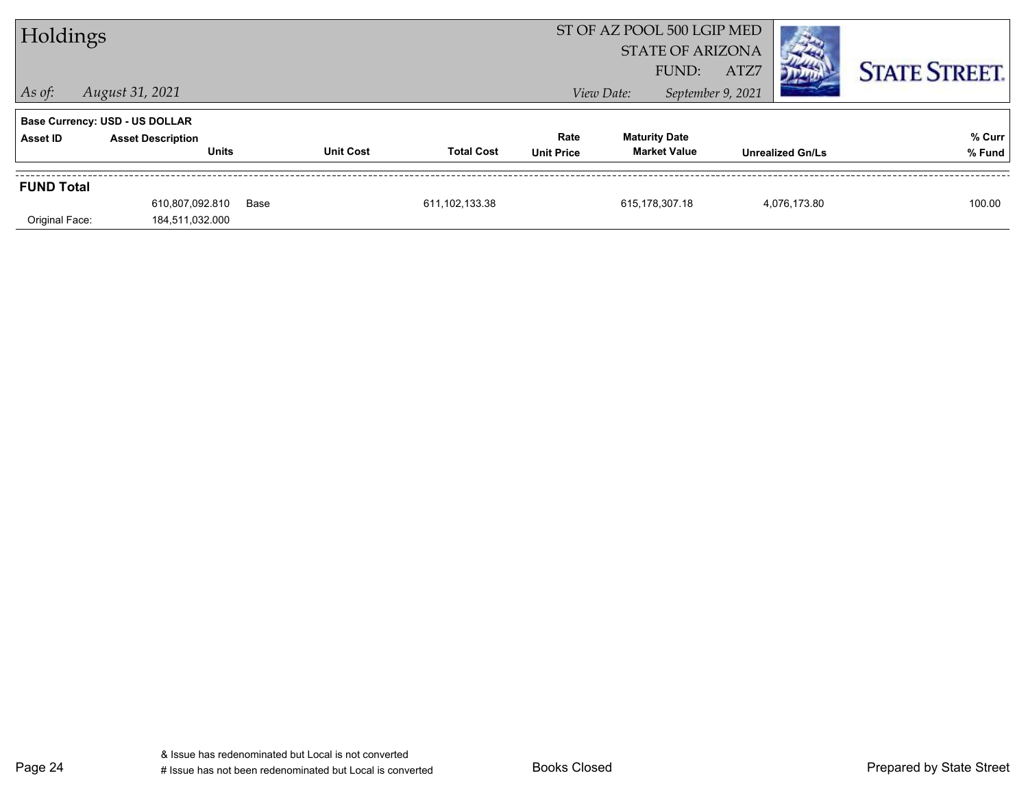| Holdings          |                                          |      |                  |                   |                           |                                             |                                    |                         |                      |
|-------------------|------------------------------------------|------|------------------|-------------------|---------------------------|---------------------------------------------|------------------------------------|-------------------------|----------------------|
| $\vert$ As of:    | August 31, 2021                          |      |                  |                   |                           | View Date:                                  | ATZ7<br>FUND:<br>September 9, 2021 |                         | <b>STATE STREET.</b> |
|                   | <b>Base Currency: USD - US DOLLAR</b>    |      |                  |                   |                           |                                             |                                    |                         |                      |
| Asset ID          | <b>Asset Description</b><br><b>Units</b> |      | <b>Unit Cost</b> | <b>Total Cost</b> | Rate<br><b>Unit Price</b> | <b>Maturity Date</b><br><b>Market Value</b> |                                    | <b>Unrealized Gn/Ls</b> | % Curr<br>% Fund     |
| <b>FUND Total</b> |                                          |      |                  |                   |                           |                                             |                                    |                         |                      |
|                   | 610,807,092.810                          | Base |                  | 611, 102, 133.38  |                           | 615,178,307.18                              |                                    | 4,076,173.80            | 100.00               |
| Original Face:    | 184,511,032.000                          |      |                  |                   |                           |                                             |                                    |                         |                      |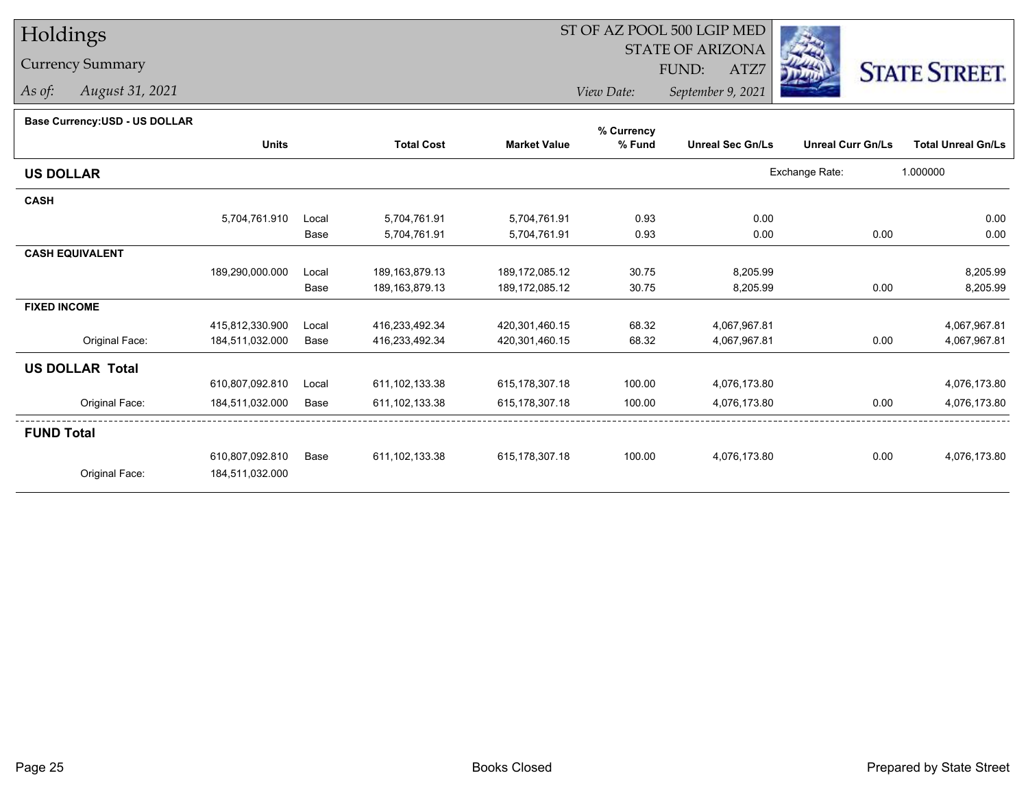# Holdings

### Currency Summary

*As of: August 31, 2021*

## ST OF AZ POOL 500 LGIP MED

 STATE OF ARIZONAFUND:

ATZ7



*View Date:September 9, 2021*

#### **Base Currency:USD - US DOLLAR**

|                        |                 |       |                   |                     | % Currency |                         |                          |                           |
|------------------------|-----------------|-------|-------------------|---------------------|------------|-------------------------|--------------------------|---------------------------|
|                        | <b>Units</b>    |       | <b>Total Cost</b> | <b>Market Value</b> | % Fund     | <b>Unreal Sec Gn/Ls</b> | <b>Unreal Curr Gn/Ls</b> | <b>Total Unreal Gn/Ls</b> |
| <b>US DOLLAR</b>       |                 |       |                   |                     |            |                         | Exchange Rate:           | 1.000000                  |
| <b>CASH</b>            |                 |       |                   |                     |            |                         |                          |                           |
|                        | 5,704,761.910   | Local | 5,704,761.91      | 5,704,761.91        | 0.93       | 0.00                    |                          | 0.00                      |
|                        |                 | Base  | 5,704,761.91      | 5,704,761.91        | 0.93       | 0.00                    | 0.00                     | 0.00                      |
| <b>CASH EQUIVALENT</b> |                 |       |                   |                     |            |                         |                          |                           |
|                        | 189,290,000.000 | Local | 189, 163, 879. 13 | 189,172,085.12      | 30.75      | 8,205.99                |                          | 8,205.99                  |
|                        |                 | Base  | 189, 163, 879. 13 | 189, 172, 085. 12   | 30.75      | 8,205.99                | 0.00                     | 8,205.99                  |
| <b>FIXED INCOME</b>    |                 |       |                   |                     |            |                         |                          |                           |
|                        | 415,812,330.900 | Local | 416,233,492.34    | 420,301,460.15      | 68.32      | 4,067,967.81            |                          | 4,067,967.81              |
| Original Face:         | 184,511,032.000 | Base  | 416,233,492.34    | 420,301,460.15      | 68.32      | 4,067,967.81            | 0.00                     | 4,067,967.81              |
| <b>US DOLLAR Total</b> |                 |       |                   |                     |            |                         |                          |                           |
|                        | 610,807,092.810 | Local | 611, 102, 133.38  | 615, 178, 307. 18   | 100.00     | 4,076,173.80            |                          | 4,076,173.80              |
| Original Face:         | 184,511,032.000 | Base  | 611,102,133.38    | 615, 178, 307. 18   | 100.00     | 4,076,173.80            | 0.00                     | 4,076,173.80              |
| <b>FUND Total</b>      |                 |       |                   |                     |            |                         |                          |                           |
|                        | 610,807,092.810 | Base  | 611, 102, 133.38  | 615,178,307.18      | 100.00     | 4,076,173.80            | 0.00                     | 4,076,173.80              |
| Original Face:         | 184,511,032.000 |       |                   |                     |            |                         |                          |                           |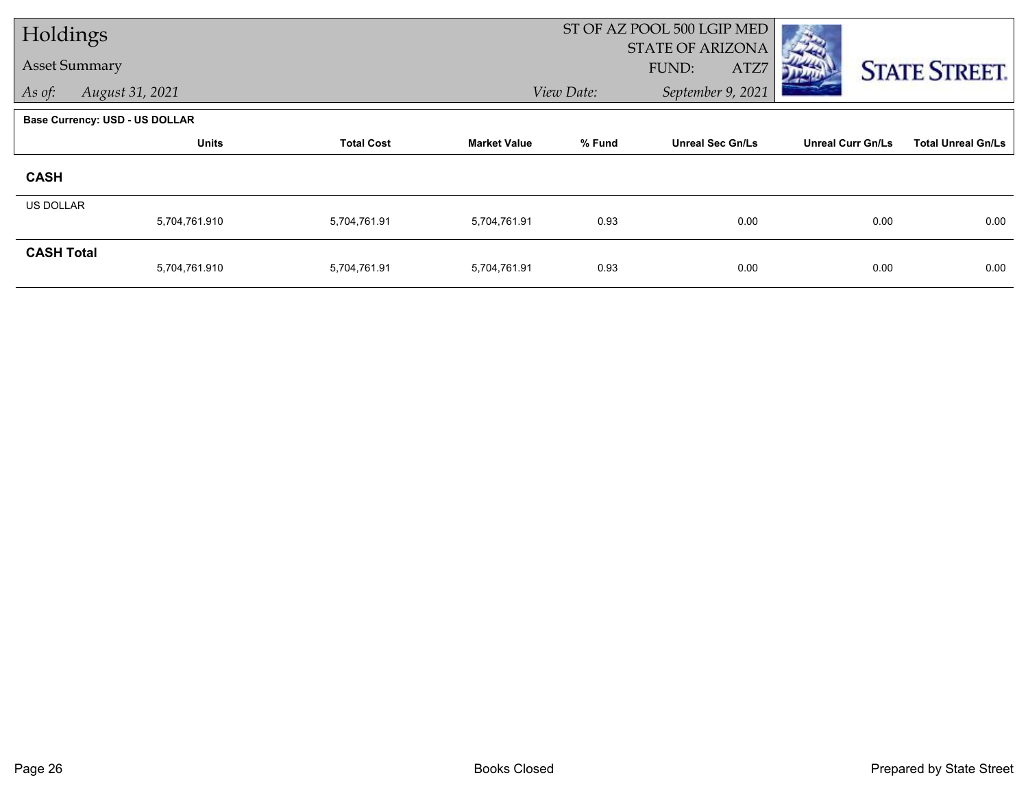| Holdings                              |                   |                     |        |                         |                                                     |                                 |
|---------------------------------------|-------------------|---------------------|--------|-------------------------|-----------------------------------------------------|---------------------------------|
| <b>Asset Summary</b>                  |                   |                     |        |                         |                                                     | <b>STATE STREET.</b>            |
| August 31, 2021                       |                   |                     |        | September 9, 2021       |                                                     |                                 |
| <b>Base Currency: USD - US DOLLAR</b> |                   |                     |        |                         |                                                     |                                 |
| <b>Units</b>                          | <b>Total Cost</b> | <b>Market Value</b> | % Fund | <b>Unreal Sec Gn/Ls</b> | <b>Unreal Curr Gn/Ls</b>                            | <b>Total Unreal Gn/Ls</b>       |
|                                       |                   |                     |        |                         |                                                     |                                 |
| <b>US DOLLAR</b>                      |                   |                     |        |                         |                                                     |                                 |
|                                       | 5,704,761.91      | 5,704,761.91        |        |                         |                                                     | 0.00                            |
| <b>CASH Total</b><br>5,704,761.910    | 5,704,761.91      | 5,704,761.91        | 0.93   | 0.00                    | 0.00                                                | 0.00                            |
|                                       | 5,704,761.910     |                     |        | View Date:<br>0.93      | ST OF AZ POOL 500 LGIP MED<br>FUND:<br>ATZ7<br>0.00 | <b>STATE OF ARIZONA</b><br>0.00 |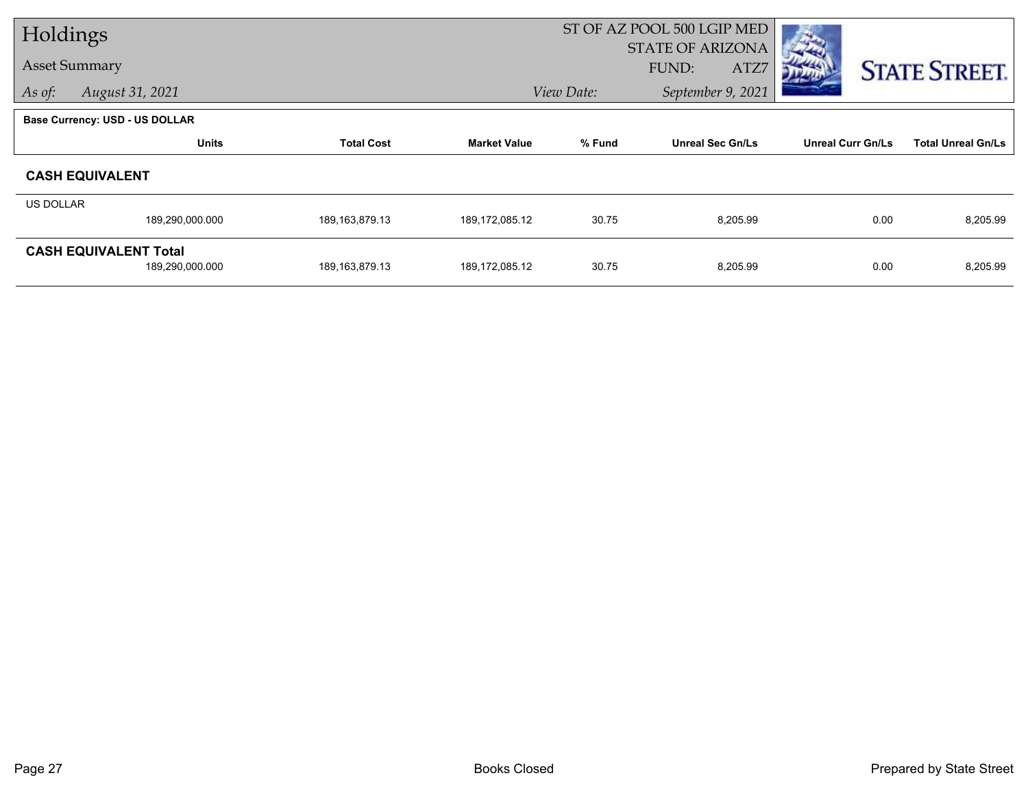| Holdings         |                                       |                   |                     | ST OF AZ POOL 500 LGIP MED      |                         |                          |                           |
|------------------|---------------------------------------|-------------------|---------------------|---------------------------------|-------------------------|--------------------------|---------------------------|
|                  |                                       |                   |                     |                                 | <b>STATE OF ARIZONA</b> |                          |                           |
|                  | <b>Asset Summary</b>                  |                   |                     |                                 | FUND:<br>ATZ7           |                          | <b>STATE STREET.</b>      |
| As of:           | August 31, 2021                       |                   |                     | View Date:<br>September 9, 2021 |                         |                          |                           |
|                  | <b>Base Currency: USD - US DOLLAR</b> |                   |                     |                                 |                         |                          |                           |
|                  | <b>Units</b>                          | <b>Total Cost</b> | <b>Market Value</b> | % Fund                          | <b>Unreal Sec Gn/Ls</b> | <b>Unreal Curr Gn/Ls</b> | <b>Total Unreal Gn/Ls</b> |
|                  | <b>CASH EQUIVALENT</b>                |                   |                     |                                 |                         |                          |                           |
| <b>US DOLLAR</b> |                                       |                   |                     |                                 |                         |                          |                           |
|                  | 189,290,000.000                       | 189, 163, 879. 13 | 189, 172, 085. 12   | 30.75                           | 8,205.99                | 0.00                     | 8,205.99                  |
|                  | <b>CASH EQUIVALENT Total</b>          |                   |                     |                                 |                         |                          |                           |
|                  | 189,290,000.000                       | 189, 163, 879. 13 | 189, 172, 085. 12   | 30.75                           | 8,205.99                | 0.00                     | 8,205.99                  |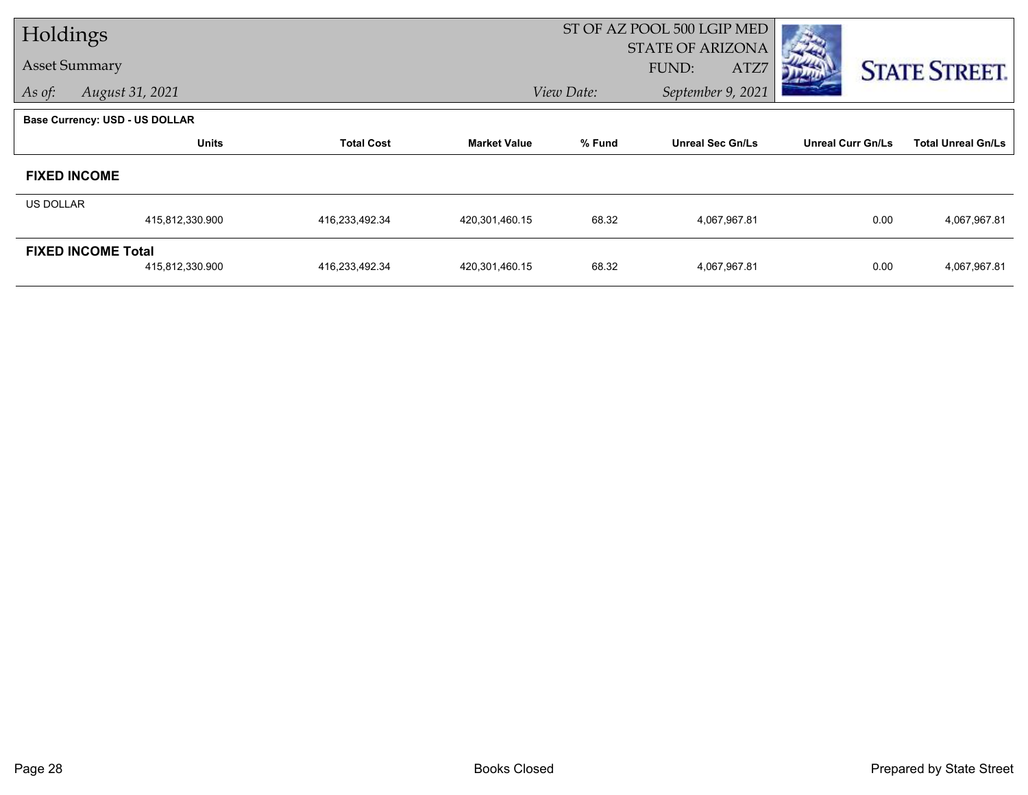| Holdings         |                                       |                   | ST OF AZ POOL 500 LGIP MED |                                 |                         |                          |                           |
|------------------|---------------------------------------|-------------------|----------------------------|---------------------------------|-------------------------|--------------------------|---------------------------|
|                  |                                       |                   |                            |                                 | <b>STATE OF ARIZONA</b> |                          |                           |
|                  | <b>Asset Summary</b>                  |                   |                            |                                 | FUND:<br>ATZ7           |                          | <b>STATE STREET.</b>      |
| As of:           | August 31, 2021                       |                   |                            | View Date:<br>September 9, 2021 |                         |                          |                           |
|                  | <b>Base Currency: USD - US DOLLAR</b> |                   |                            |                                 |                         |                          |                           |
|                  | <b>Units</b>                          | <b>Total Cost</b> | <b>Market Value</b>        | % Fund                          | <b>Unreal Sec Gn/Ls</b> | <b>Unreal Curr Gn/Ls</b> | <b>Total Unreal Gn/Ls</b> |
|                  | <b>FIXED INCOME</b>                   |                   |                            |                                 |                         |                          |                           |
| <b>US DOLLAR</b> |                                       |                   |                            |                                 |                         |                          |                           |
|                  | 415,812,330.900                       | 416,233,492.34    | 420,301,460.15             | 68.32                           | 4,067,967.81            | 0.00                     | 4,067,967.81              |
|                  | <b>FIXED INCOME Total</b>             |                   |                            |                                 |                         |                          |                           |
|                  | 415,812,330.900                       | 416,233,492.34    | 420,301,460.15             | 68.32                           | 4,067,967.81            | 0.00                     | 4,067,967.81              |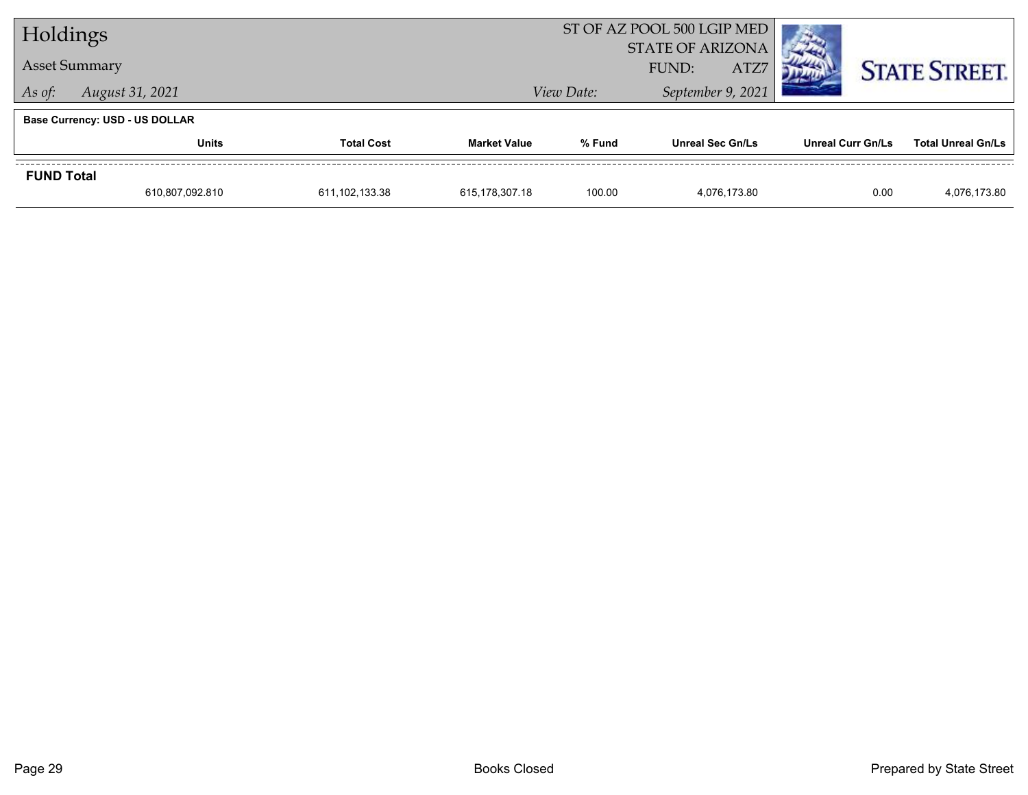| Holdings                              |                            |                | ST OF AZ POOL 500 LGIP MED       |        |                         |                      |                           |
|---------------------------------------|----------------------------|----------------|----------------------------------|--------|-------------------------|----------------------|---------------------------|
| <b>Asset Summary</b>                  |                            |                | <b>STATE OF ARIZONA</b><br>FUND: |        |                         |                      |                           |
|                                       |                            |                | View Date:                       |        |                         | <b>STATE STREET.</b> |                           |
| As of:                                | August 31, 2021            |                |                                  |        | September 9, 2021       |                      |                           |
| <b>Base Currency: USD - US DOLLAR</b> |                            |                |                                  |        |                         |                      |                           |
|                                       | Units<br><b>Total Cost</b> |                | <b>Market Value</b>              | % Fund | <b>Unreal Sec Gn/Ls</b> | Unreal Curr Gn/Ls    | <b>Total Unreal Gn/Ls</b> |
| <b>FUND Total</b>                     |                            |                |                                  |        |                         |                      |                           |
|                                       | 610,807,092.810            | 611,102,133.38 | 615,178,307.18                   | 100.00 | 4.076.173.80            | 0.00                 | 4,076,173.80              |